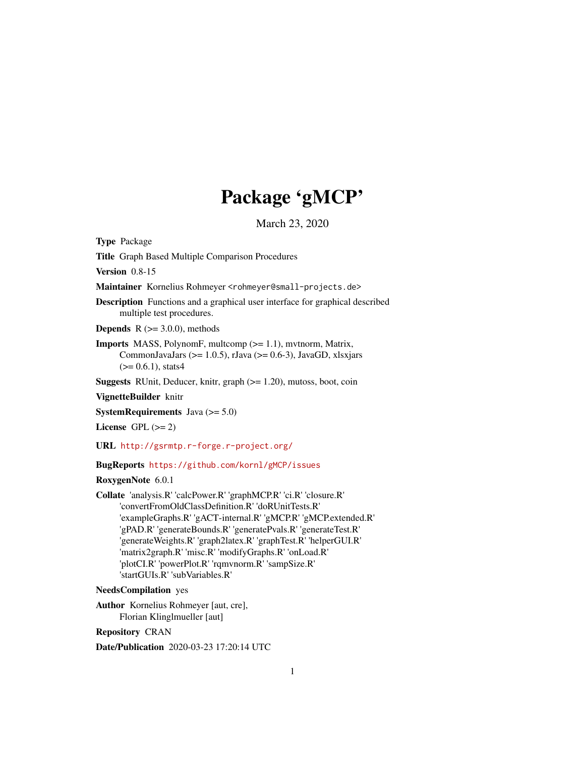# Package 'gMCP'

March 23, 2020

<span id="page-0-0"></span>Type Package

Title Graph Based Multiple Comparison Procedures

Version 0.8-15

Maintainer Kornelius Rohmeyer <rohmeyer@small-projects.de>

Description Functions and a graphical user interface for graphical described multiple test procedures.

**Depends** R  $(>= 3.0.0)$ , methods

Imports MASS, PolynomF, multcomp (>= 1.1), mvtnorm, Matrix, CommonJavaJars ( $>= 1.0.5$ ), rJava ( $>= 0.6-3$ ), JavaGD, xlsxjars  $(>= 0.6.1)$ , stats4

Suggests RUnit, Deducer, knitr, graph (>= 1.20), mutoss, boot, coin

VignetteBuilder knitr

**SystemRequirements** Java  $(>= 5.0)$ 

License GPL  $(>= 2)$ 

URL <http://gsrmtp.r-forge.r-project.org/>

## BugReports <https://github.com/kornl/gMCP/issues>

## RoxygenNote 6.0.1

Collate 'analysis.R' 'calcPower.R' 'graphMCP.R' 'ci.R' 'closure.R' 'convertFromOldClassDefinition.R' 'doRUnitTests.R' 'exampleGraphs.R' 'gACT-internal.R' 'gMCP.R' 'gMCP.extended.R' 'gPAD.R' 'generateBounds.R' 'generatePvals.R' 'generateTest.R' 'generateWeights.R' 'graph2latex.R' 'graphTest.R' 'helperGUI.R' 'matrix2graph.R' 'misc.R' 'modifyGraphs.R' 'onLoad.R' 'plotCI.R' 'powerPlot.R' 'rqmvnorm.R' 'sampSize.R' 'startGUIs.R' 'subVariables.R'

## NeedsCompilation yes

Author Kornelius Rohmeyer [aut, cre], Florian Klinglmueller [aut]

Repository CRAN

Date/Publication 2020-03-23 17:20:14 UTC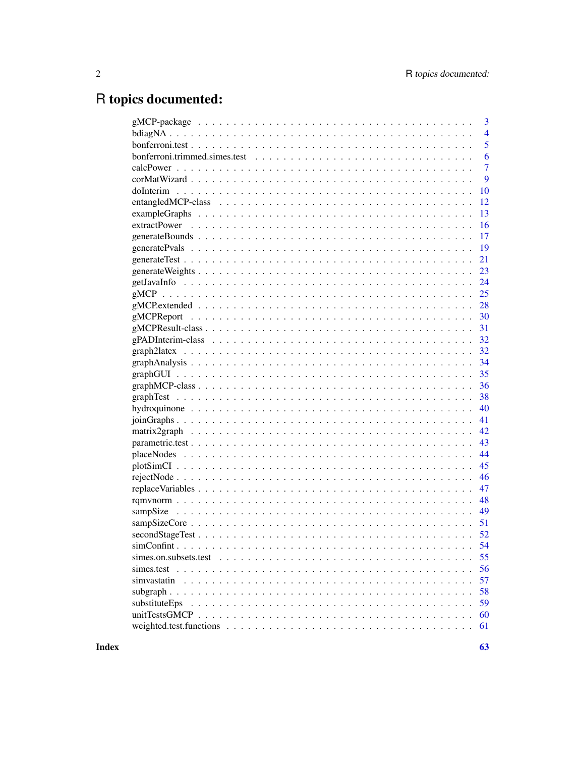# R topics documented:

|                                                                                                                    | 3              |
|--------------------------------------------------------------------------------------------------------------------|----------------|
|                                                                                                                    | $\overline{4}$ |
|                                                                                                                    | 5              |
|                                                                                                                    | 6              |
|                                                                                                                    | $\overline{7}$ |
|                                                                                                                    | 9              |
|                                                                                                                    | 10             |
|                                                                                                                    | 12             |
|                                                                                                                    | 13             |
|                                                                                                                    | 16             |
|                                                                                                                    | 17             |
|                                                                                                                    | 19             |
|                                                                                                                    | 21             |
|                                                                                                                    | 23             |
|                                                                                                                    | 24             |
|                                                                                                                    | 25             |
|                                                                                                                    | 28             |
|                                                                                                                    | 30             |
|                                                                                                                    | 31             |
|                                                                                                                    | 32             |
|                                                                                                                    | 32             |
|                                                                                                                    | 34             |
|                                                                                                                    | 35             |
|                                                                                                                    | 36             |
| graphTest                                                                                                          | 38             |
|                                                                                                                    | 40             |
|                                                                                                                    | 41             |
|                                                                                                                    | 42             |
|                                                                                                                    | 43             |
| $placeNodes \dots \dots \dots \dots \dots \dots \dots \dots \dots \dots \dots \dots \dots \dots \dots \dots \dots$ | 44             |
|                                                                                                                    | 45             |
|                                                                                                                    | 46             |
|                                                                                                                    | 47             |
|                                                                                                                    | 48             |
| sampSize                                                                                                           | 49             |
|                                                                                                                    | 51             |
|                                                                                                                    | 52             |
|                                                                                                                    | 54             |
|                                                                                                                    | 55             |
| simes.test                                                                                                         | 56             |
|                                                                                                                    | 57             |
|                                                                                                                    | 58             |
| substituteEps                                                                                                      | 59             |
|                                                                                                                    | 60             |
|                                                                                                                    | 61             |
|                                                                                                                    |                |

**Index**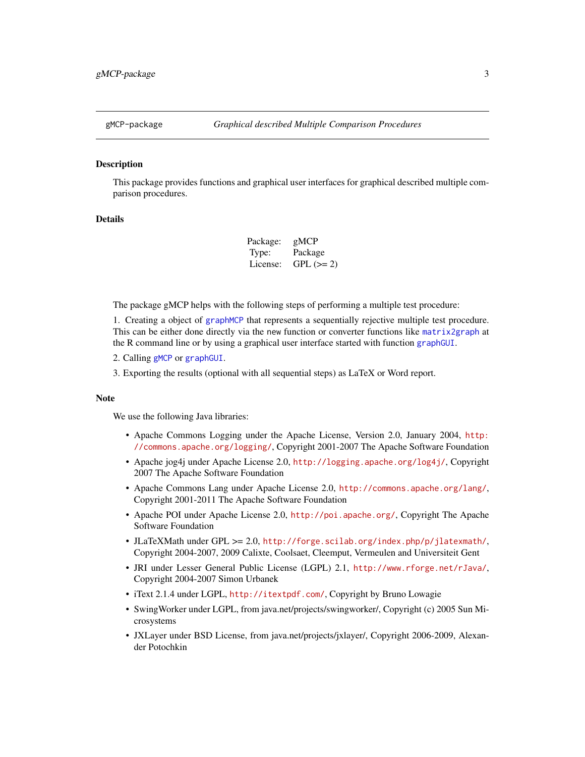<span id="page-2-0"></span>

#### Description

This package provides functions and graphical user interfaces for graphical described multiple comparison procedures.

#### Details

| Package: | gMCP       |
|----------|------------|
| Type:    | Package    |
| License: | $GPL (=2)$ |

The package gMCP helps with the following steps of performing a multiple test procedure:

1. Creating a object of [graphMCP](#page-35-1) that represents a sequentially rejective multiple test procedure. This can be either done directly via the new function or converter functions like [matrix2graph](#page-41-1) at the R command line or by using a graphical user interface started with function [graphGUI](#page-34-1).

- 2. Calling [gMCP](#page-24-1) or [graphGUI](#page-34-1).
- 3. Exporting the results (optional with all sequential steps) as LaTeX or Word report.

#### **Note**

We use the following Java libraries:

- Apache Commons Logging under the Apache License, Version 2.0, January 2004, [http:](http://commons.apache.org/logging/) [//commons.apache.org/logging/](http://commons.apache.org/logging/), Copyright 2001-2007 The Apache Software Foundation
- Apache jog4j under Apache License 2.0, <http://logging.apache.org/log4j/>, Copyright 2007 The Apache Software Foundation
- Apache Commons Lang under Apache License 2.0, <http://commons.apache.org/lang/>, Copyright 2001-2011 The Apache Software Foundation
- Apache POI under Apache License 2.0, <http://poi.apache.org/>, Copyright The Apache Software Foundation
- JLaTeXMath under GPL >= 2.0, <http://forge.scilab.org/index.php/p/jlatexmath/>, Copyright 2004-2007, 2009 Calixte, Coolsaet, Cleemput, Vermeulen and Universiteit Gent
- JRI under Lesser General Public License (LGPL) 2.1, <http://www.rforge.net/rJava/>, Copyright 2004-2007 Simon Urbanek
- iText 2.1.4 under LGPL, <http://itextpdf.com/>, Copyright by Bruno Lowagie
- SwingWorker under LGPL, from java.net/projects/swingworker/, Copyright (c) 2005 Sun Microsystems
- JXLayer under BSD License, from java.net/projects/jxlayer/, Copyright 2006-2009, Alexander Potochkin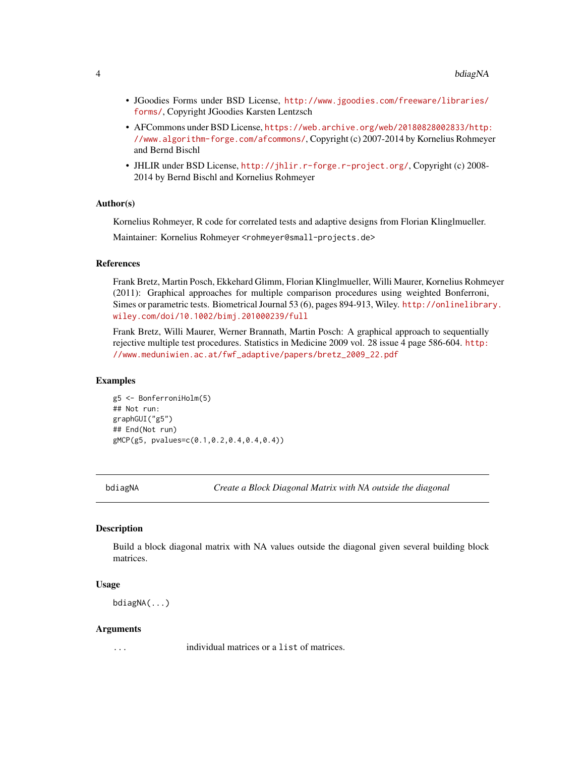- <span id="page-3-0"></span>• JGoodies Forms under BSD License, [http://www.jgoodies.com/freeware/libraries/](http://www.jgoodies.com/freeware/libraries/forms/) [forms/](http://www.jgoodies.com/freeware/libraries/forms/), Copyright JGoodies Karsten Lentzsch
- AFCommons under BSD License, [https://web.archive.org/web/20180828002833/http:](https://web.archive.org/web/20180828002833/http://www.algorithm-forge.com/afcommons/) [//www.algorithm-forge.com/afcommons/](https://web.archive.org/web/20180828002833/http://www.algorithm-forge.com/afcommons/), Copyright (c) 2007-2014 by Kornelius Rohmeyer and Bernd Bischl
- JHLIR under BSD License, <http://jhlir.r-forge.r-project.org/>, Copyright (c) 2008- 2014 by Bernd Bischl and Kornelius Rohmeyer

#### Author(s)

Kornelius Rohmeyer, R code for correlated tests and adaptive designs from Florian Klinglmueller. Maintainer: Kornelius Rohmeyer <rohmeyer@small-projects.de>

## References

Frank Bretz, Martin Posch, Ekkehard Glimm, Florian Klinglmueller, Willi Maurer, Kornelius Rohmeyer (2011): Graphical approaches for multiple comparison procedures using weighted Bonferroni, Simes or parametric tests. Biometrical Journal 53 (6), pages 894-913, Wiley. [http://onlinelibrar](http://onlinelibrary.wiley.com/doi/10.1002/bimj.201000239/full)y. [wiley.com/doi/10.1002/bimj.201000239/full](http://onlinelibrary.wiley.com/doi/10.1002/bimj.201000239/full)

Frank Bretz, Willi Maurer, Werner Brannath, Martin Posch: A graphical approach to sequentially rejective multiple test procedures. Statistics in Medicine 2009 vol. 28 issue 4 page 586-604. [http:](http://www.meduniwien.ac.at/fwf_adaptive/papers/bretz_2009_22.pdf) [//www.meduniwien.ac.at/fwf\\_adaptive/papers/bretz\\_2009\\_22.pdf](http://www.meduniwien.ac.at/fwf_adaptive/papers/bretz_2009_22.pdf)

#### Examples

g5 <- BonferroniHolm(5) ## Not run: graphGUI("g5") ## End(Not run) gMCP(g5, pvalues=c(0.1,0.2,0.4,0.4,0.4))

bdiagNA *Create a Block Diagonal Matrix with NA outside the diagonal*

## **Description**

Build a block diagonal matrix with NA values outside the diagonal given several building block matrices.

## Usage

bdiagNA(...)

#### Arguments

... individual matrices or a list of matrices.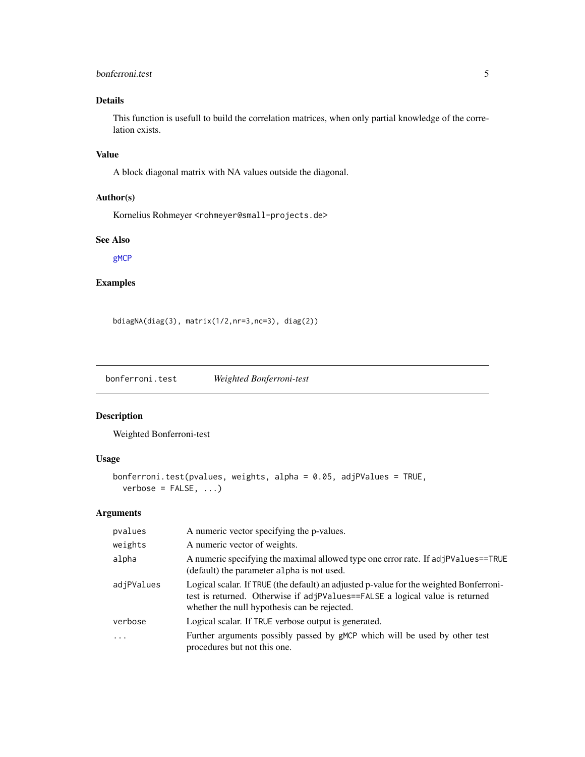## <span id="page-4-0"></span>bonferroni.test 5

## Details

This function is usefull to build the correlation matrices, when only partial knowledge of the correlation exists.

## Value

A block diagonal matrix with NA values outside the diagonal.

## Author(s)

Kornelius Rohmeyer <rohmeyer@small-projects.de>

## See Also

[gMCP](#page-24-1)

## Examples

bdiagNA(diag(3), matrix(1/2,nr=3,nc=3), diag(2))

bonferroni.test *Weighted Bonferroni-test*

## Description

Weighted Bonferroni-test

## Usage

```
bonferroni.test(pvalues, weights, alpha = 0.05, adjPValues = TRUE,
  verbose = FALSE, ...)
```

| pvalues    | A numeric vector specifying the p-values.                                                                                                                                                                              |
|------------|------------------------------------------------------------------------------------------------------------------------------------------------------------------------------------------------------------------------|
| weights    | A numeric vector of weights.                                                                                                                                                                                           |
| alpha      | A numeric specifying the maximal allowed type one error rate. If adjPValues==TRUE<br>(default) the parameter alpha is not used.                                                                                        |
| adjPValues | Logical scalar. If TRUE (the default) an adjusted p-value for the weighted Bonferroni-<br>test is returned. Otherwise if adjPValues==FALSE a logical value is returned<br>whether the null hypothesis can be rejected. |
| verbose    | Logical scalar. If TRUE verbose output is generated.                                                                                                                                                                   |
| $\cdots$   | Further arguments possibly passed by gMCP which will be used by other test<br>procedures but not this one.                                                                                                             |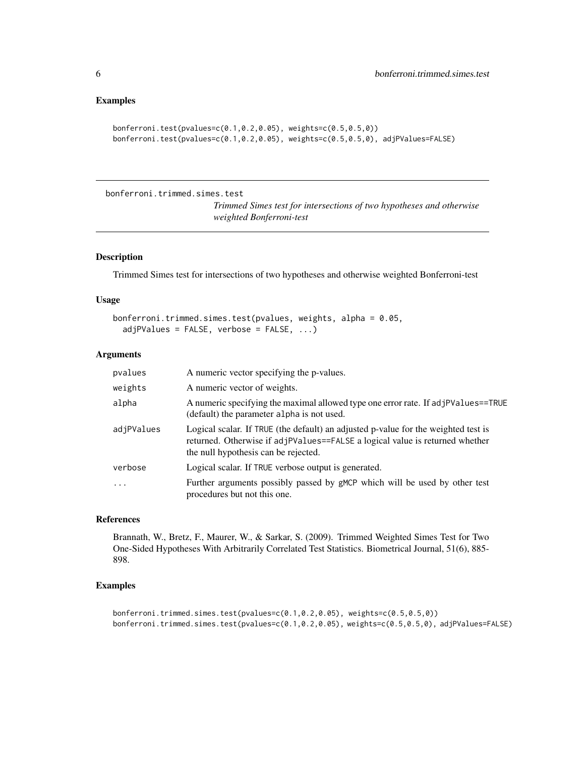## <span id="page-5-0"></span>Examples

```
bonferroni.test(pvalues=c(0.1,0.2,0.05), weights=c(0.5,0.5,0))
bonferroni.test(pvalues=c(0.1,0.2,0.05), weights=c(0.5,0.5,0), adjPValues=FALSE)
```
bonferroni.trimmed.simes.test

*Trimmed Simes test for intersections of two hypotheses and otherwise weighted Bonferroni-test*

## Description

Trimmed Simes test for intersections of two hypotheses and otherwise weighted Bonferroni-test

## Usage

```
bonferroni.trimmed.simes.test(pvalues, weights, alpha = 0.05,
  adjPValues = FALSE, verbose = FALSE, ...)
```
#### Arguments

| pvalues                 | A numeric vector specifying the p-values.                                                                                                                                                                  |
|-------------------------|------------------------------------------------------------------------------------------------------------------------------------------------------------------------------------------------------------|
| weights                 | A numeric vector of weights.                                                                                                                                                                               |
| alpha                   | A numeric specifying the maximal allowed type one error rate. If adjPValues==TRUE<br>(default) the parameter alpha is not used.                                                                            |
| adjPValues              | Logical scalar. If TRUE (the default) an adjusted p-value for the weighted test is<br>returned. Otherwise if adjPValues==FALSE a logical value is returned whether<br>the null hypothesis can be rejected. |
| verbose                 | Logical scalar. If TRUE verbose output is generated.                                                                                                                                                       |
| $\cdot$ $\cdot$ $\cdot$ | Further arguments possibly passed by gMCP which will be used by other test<br>procedures but not this one.                                                                                                 |

#### References

Brannath, W., Bretz, F., Maurer, W., & Sarkar, S. (2009). Trimmed Weighted Simes Test for Two One-Sided Hypotheses With Arbitrarily Correlated Test Statistics. Biometrical Journal, 51(6), 885- 898.

#### Examples

```
bonferroni.trimmed.simes.test(pvalues=c(0.1,0.2,0.05), weights=c(0.5,0.5,0))
bonferroni.trimmed.simes.test(pvalues=c(0.1,0.2,0.05), weights=c(0.5,0.5,0), adjPValues=FALSE)
```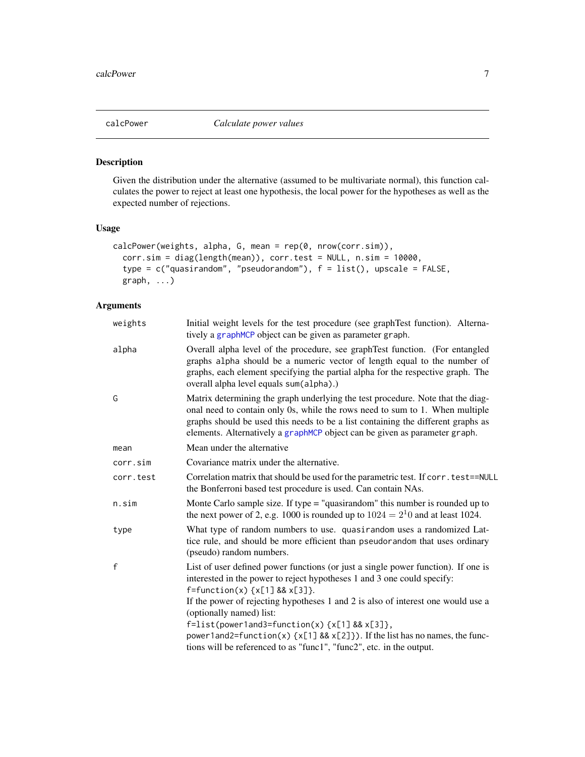<span id="page-6-0"></span>

## Description

Given the distribution under the alternative (assumed to be multivariate normal), this function calculates the power to reject at least one hypothesis, the local power for the hypotheses as well as the expected number of rejections.

## Usage

```
calcPower(weights, alpha, G, mean = rep(0, nrow(corr.sim)),
  corr.sim = diag(length(mean)), corr.test = NULL, n.sim = 10000,
  type = c("quasirandom", "pseudorandom"), f = list(), upscale = FALSE,
  graph, ...)
```

| Overall alpha level of the procedure, see graphTest function. (For entangled<br>graphs alpha should be a numeric vector of length equal to the number of<br>graphs, each element specifying the partial alpha for the respective graph. The<br>overall alpha level equals sum(alpha).)<br>Matrix determining the graph underlying the test procedure. Note that the diag-<br>onal need to contain only 0s, while the rows need to sum to 1. When multiple<br>graphs should be used this needs to be a list containing the different graphs as<br>elements. Alternatively a graphMCP object can be given as parameter graph.<br>Mean under the alternative<br>Covariance matrix under the alternative. |
|-------------------------------------------------------------------------------------------------------------------------------------------------------------------------------------------------------------------------------------------------------------------------------------------------------------------------------------------------------------------------------------------------------------------------------------------------------------------------------------------------------------------------------------------------------------------------------------------------------------------------------------------------------------------------------------------------------|
|                                                                                                                                                                                                                                                                                                                                                                                                                                                                                                                                                                                                                                                                                                       |
|                                                                                                                                                                                                                                                                                                                                                                                                                                                                                                                                                                                                                                                                                                       |
|                                                                                                                                                                                                                                                                                                                                                                                                                                                                                                                                                                                                                                                                                                       |
|                                                                                                                                                                                                                                                                                                                                                                                                                                                                                                                                                                                                                                                                                                       |
| Correlation matrix that should be used for the parametric test. If corr. test==NULL<br>the Bonferroni based test procedure is used. Can contain NAs.                                                                                                                                                                                                                                                                                                                                                                                                                                                                                                                                                  |
| Monte Carlo sample size. If type $=$ "quasirandom" this number is rounded up to<br>the next power of 2, e.g. 1000 is rounded up to $1024 = 2^{10}$ and at least 1024.                                                                                                                                                                                                                                                                                                                                                                                                                                                                                                                                 |
| What type of random numbers to use. quasirandom uses a randomized Lat-<br>tice rule, and should be more efficient than pseudorandom that uses ordinary<br>(pseudo) random numbers.                                                                                                                                                                                                                                                                                                                                                                                                                                                                                                                    |
| List of user defined power functions (or just a single power function). If one is<br>interested in the power to reject hypotheses 1 and 3 one could specify:<br>f=function(x) ${x[1]}$ & $x[3]$ .<br>If the power of rejecting hypotheses 1 and 2 is also of interest one would use a<br>(optionally named) list:<br>$f=list(power1and3=function(x) {x[1] 8&x[3]},$<br>powerland2=function(x) {x[1] && x[2]}). If the list has no names, the func-<br>tions will be referenced to as "func1", "func2", etc. in the output.                                                                                                                                                                            |
|                                                                                                                                                                                                                                                                                                                                                                                                                                                                                                                                                                                                                                                                                                       |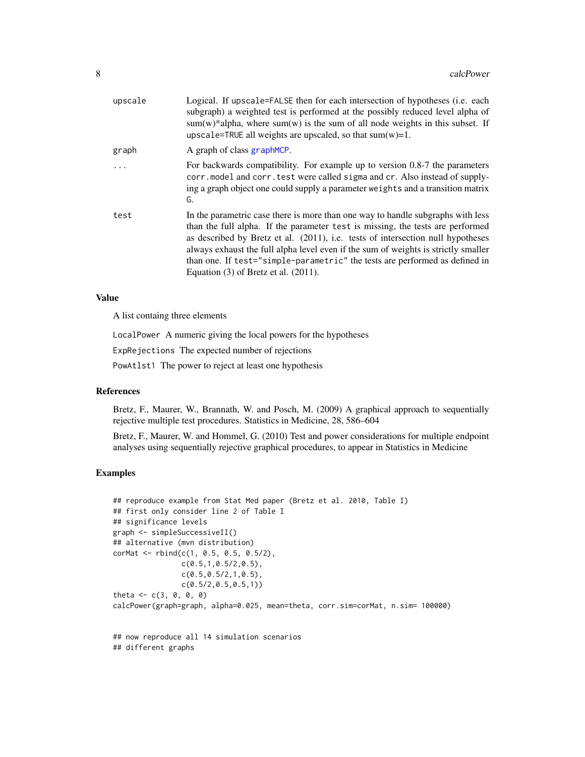<span id="page-7-0"></span>

| upscale | Logical. If upscale=FALSE then for each intersection of hypotheses (i.e. each<br>subgraph) a weighted test is performed at the possibly reduced level alpha of<br>$sum(w)*alpha$ , where sum(w) is the sum of all node weights in this subset. If<br>upscale=TRUE all weights are upscaled, so that $sum(w)=1$ .                                                                                                                                                          |
|---------|---------------------------------------------------------------------------------------------------------------------------------------------------------------------------------------------------------------------------------------------------------------------------------------------------------------------------------------------------------------------------------------------------------------------------------------------------------------------------|
| graph   | A graph of class graph MCP.                                                                                                                                                                                                                                                                                                                                                                                                                                               |
|         | For backwards compatibility. For example up to version 0.8-7 the parameters<br>corr.model and corr.test were called sigma and cr. Also instead of supply-<br>ing a graph object one could supply a parameter weights and a transition matrix<br>G.                                                                                                                                                                                                                        |
| test    | In the parametric case there is more than one way to handle subgraphs with less<br>than the full alpha. If the parameter test is missing, the tests are performed<br>as described by Bretz et al. $(2011)$ , i.e. tests of intersection null hypotheses<br>always exhaust the full alpha level even if the sum of weights is strictly smaller<br>than one. If test="simple-parametric" the tests are performed as defined in<br>Equation $(3)$ of Bretz et al. $(2011)$ . |

#### Value

A list containg three elements

LocalPower A numeric giving the local powers for the hypotheses

ExpRejections The expected number of rejections

PowAtlst1 The power to reject at least one hypothesis

#### References

Bretz, F., Maurer, W., Brannath, W. and Posch, M. (2009) A graphical approach to sequentially rejective multiple test procedures. Statistics in Medicine, 28, 586–604

Bretz, F., Maurer, W. and Hommel, G. (2010) Test and power considerations for multiple endpoint analyses using sequentially rejective graphical procedures, to appear in Statistics in Medicine

## Examples

```
## reproduce example from Stat Med paper (Bretz et al. 2010, Table I)
## first only consider line 2 of Table I
## significance levels
graph <- simpleSuccessiveII()
## alternative (mvn distribution)
corMat <- rbind(c(1, 0.5, 0.5, 0.5/2),
                c(0.5,1,0.5/2,0.5),
                c(0.5,0.5/2,1,0.5),
                c(0.5/2,0.5,0.5,1))
theta <-c(3, 0, 0, 0)calcPower(graph=graph, alpha=0.025, mean=theta, corr.sim=corMat, n.sim= 100000)
```
## now reproduce all 14 simulation scenarios ## different graphs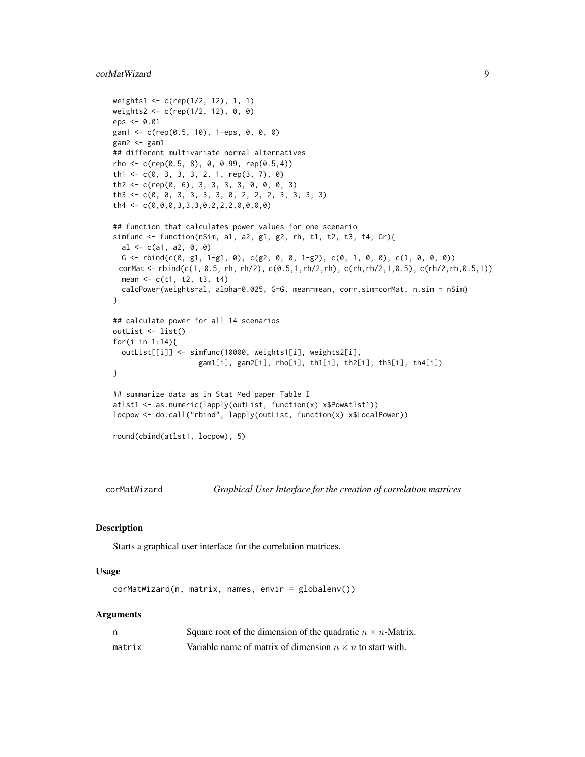## <span id="page-8-0"></span>corMatWizard 9

```
weights1 <- c(rep(1/2, 12), 1, 1)
weights2 <- c(rep(1/2, 12), 0, 0)
eps < -0.01gam1 <- c(rep(0.5, 10), 1-eps, 0, 0, 0)
gam2 < - gam1
## different multivariate normal alternatives
rho <- c(rep(0.5, 8), 0, 0.99, rep(0.5,4))
th1 <- c(0, 3, 3, 3, 2, 1, rep(3, 7), 0)
th2 \leq c (rep(0, 6), 3, 3, 3, 3, 0, 0, 0, 3)
th3 <- c(0, 0, 3, 3, 3, 3, 0, 2, 2, 2, 3, 3, 3, 3)
th4 <- c(0,0,0,3,3,3,0,2,2,2,0,0,0,0)## function that calculates power values for one scenario
simfunc <- function(nSim, a1, a2, g1, g2, rh, t1, t2, t3, t4, Gr){
  al <- c(a1, a2, 0, 0)
  G \leftarrow \text{rbind}(c(0, g1, 1-g1, 0), c(g2, 0, 0, 1-g2), c(0, 1, 0, 0), c(1, 0, 0, 0))corMat <- rbind(c(1, 0.5, rh, rh/2), c(0.5,1,rh/2,rh), c(rh,rh/2,1,0.5), c(rh/2,rh,0.5,1))
  mean <- c(t1, t2, t3, t4)
  calcPower(weights=al, alpha=0.025, G=G, mean=mean, corr.sim=corMat, n.sim = nSim)
}
## calculate power for all 14 scenarios
outList <- list()
for(i in 1:14){
  outList[[i]] <- simfunc(10000, weights1[i], weights2[i],
                    gam1[i], gam2[i], rho[i], th1[i], th2[i], th3[i], th4[i])
}
## summarize data as in Stat Med paper Table I
atlst1 <- as.numeric(lapply(outList, function(x) x$PowAtlst1))
locpow <- do.call("rbind", lapply(outList, function(x) x$LocalPower))
round(cbind(atlst1, locpow), 5)
```
corMatWizard *Graphical User Interface for the creation of correlation matrices*

## Description

Starts a graphical user interface for the correlation matrices.

#### Usage

corMatWizard(n, matrix, names, envir = globalenv())

| n      | Square root of the dimension of the quadratic $n \times n$ -Matrix. |
|--------|---------------------------------------------------------------------|
| matrix | Variable name of matrix of dimension $n \times n$ to start with.    |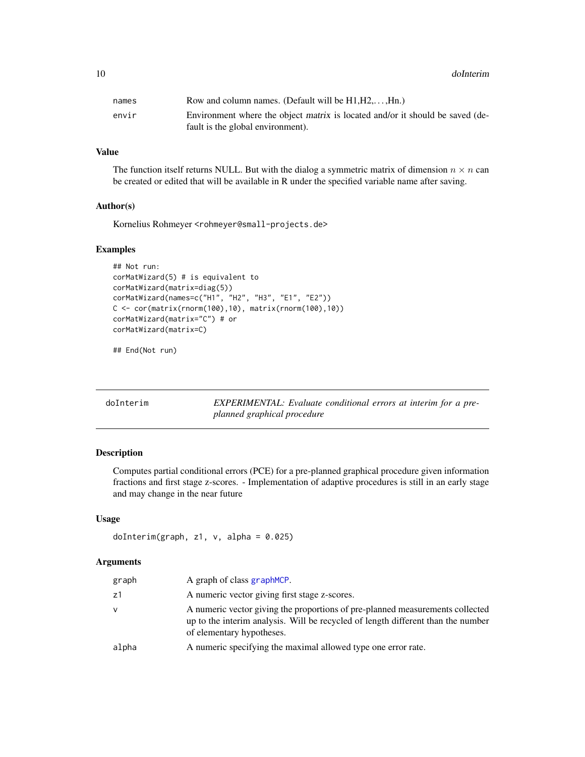<span id="page-9-0"></span>10 doInterim

| names | Row and column names. (Default will be $H1.H2$ . Hn.)                                                              |
|-------|--------------------------------------------------------------------------------------------------------------------|
| envir | Environment where the object matrix is located and/or it should be saved (de-<br>fault is the global environment). |

## Value

The function itself returns NULL. But with the dialog a symmetric matrix of dimension  $n \times n$  can be created or edited that will be available in R under the specified variable name after saving.

## Author(s)

Kornelius Rohmeyer <rohmeyer@small-projects.de>

## Examples

```
## Not run:
corMatWizard(5) # is equivalent to
corMatWizard(matrix=diag(5))
corMatWizard(names=c("H1", "H2", "H3", "E1", "E2"))
C <- cor(matrix(rnorm(100),10), matrix(rnorm(100),10))
corMatWizard(matrix="C") # or
corMatWizard(matrix=C)
```
## End(Not run)

<span id="page-9-1"></span>doInterim *EXPERIMENTAL: Evaluate conditional errors at interim for a preplanned graphical procedure*

## Description

Computes partial conditional errors (PCE) for a pre-planned graphical procedure given information fractions and first stage z-scores. - Implementation of adaptive procedures is still in an early stage and may change in the near future

## Usage

```
doInterim(graph, z1, v, alpha = 0.025)
```

| A numeric vector giving first stage z-scores.<br>z1<br>$\mathsf{v}$<br>of elementary hypotheses.<br>A numeric specifying the maximal allowed type one error rate.<br>alpha | graph | A graph of class graph MCP.                                                                                                                                       |
|----------------------------------------------------------------------------------------------------------------------------------------------------------------------------|-------|-------------------------------------------------------------------------------------------------------------------------------------------------------------------|
|                                                                                                                                                                            |       |                                                                                                                                                                   |
|                                                                                                                                                                            |       | A numeric vector giving the proportions of pre-planned measurements collected<br>up to the interim analysis. Will be recycled of length different than the number |
|                                                                                                                                                                            |       |                                                                                                                                                                   |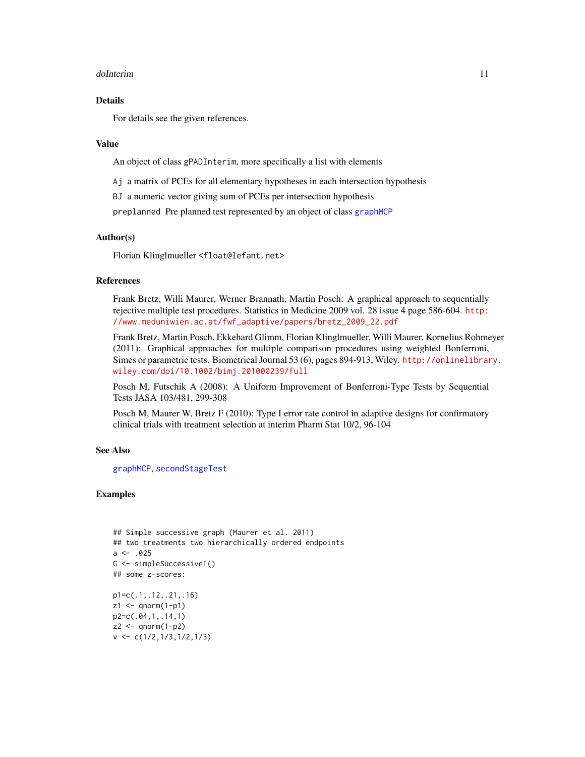#### <span id="page-10-0"></span>doInterim 11

## Details

For details see the given references.

#### Value

An object of class gPADInterim, more specifically a list with elements

Aj a matrix of PCEs for all elementary hypotheses in each intersection hypothesis

BJ a numeric vector giving sum of PCEs per intersection hypothesis

preplanned Pre planned test represented by an object of class [graphMCP](#page-35-1)

#### Author(s)

Florian Klinglmueller <float@lefant.net>

#### References

Frank Bretz, Willi Maurer, Werner Brannath, Martin Posch: A graphical approach to sequentially rejective multiple test procedures. Statistics in Medicine 2009 vol. 28 issue 4 page 586-604. [http:](http://www.meduniwien.ac.at/fwf_adaptive/papers/bretz_2009_22.pdf) [//www.meduniwien.ac.at/fwf\\_adaptive/papers/bretz\\_2009\\_22.pdf](http://www.meduniwien.ac.at/fwf_adaptive/papers/bretz_2009_22.pdf)

Frank Bretz, Martin Posch, Ekkehard Glimm, Florian Klinglmueller, Willi Maurer, Kornelius Rohmeyer (2011): Graphical approaches for multiple comparison procedures using weighted Bonferroni, Simes or parametric tests. Biometrical Journal 53 (6), pages 894-913, Wiley. [http://onlinelibrar](http://onlinelibrary.wiley.com/doi/10.1002/bimj.201000239/full)y. [wiley.com/doi/10.1002/bimj.201000239/full](http://onlinelibrary.wiley.com/doi/10.1002/bimj.201000239/full)

Posch M, Futschik A (2008): A Uniform Improvement of Bonferroni-Type Tests by Sequential Tests JASA 103/481, 299-308

Posch M, Maurer W, Bretz F (2010): Type I error rate control in adaptive designs for confirmatory clinical trials with treatment selection at interim Pharm Stat 10/2, 96-104

#### See Also

[graphMCP](#page-35-1), [secondStageTest](#page-51-1)

## Examples

```
## Simple successive graph (Maurer et al. 2011)
## two treatments two hierarchically ordered endpoints
a < -0.025G <- simpleSuccessiveI()
## some z-scores:
p1=c(.1,.12,.21,.16)
z1 <- qnorm(1-p1)p2=c(.04,1,.14,1)
z2 \le qnorm(1-p2)
v \leq c(1/2, 1/3, 1/2, 1/3)
```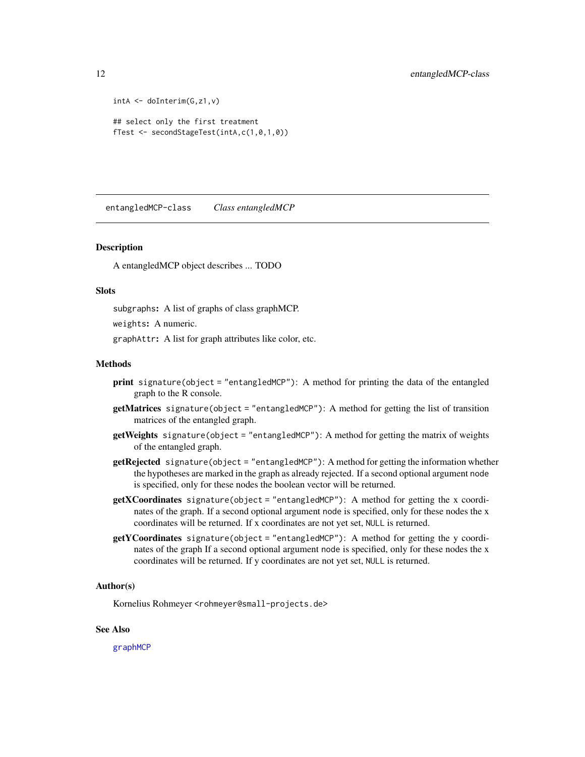```
intA \leftarrow \text{do}Interim(G, z1, v)## select only the first treatment
fTest <- secondStageTest(intA,c(1,0,1,0))
```
entangledMCP-class *Class entangledMCP*

## <span id="page-11-1"></span>Description

A entangledMCP object describes ... TODO

## **Slots**

subgraphs: A list of graphs of class graphMCP.

weights: A numeric.

graphAttr: A list for graph attributes like color, etc.

## Methods

- print signature(object = "entangledMCP"): A method for printing the data of the entangled graph to the R console.
- getMatrices signature(object = "entangledMCP"): A method for getting the list of transition matrices of the entangled graph.
- getWeights signature(object = "entangledMCP"): A method for getting the matrix of weights of the entangled graph.
- getRejected signature(object = "entangledMCP"): A method for getting the information whether the hypotheses are marked in the graph as already rejected. If a second optional argument node is specified, only for these nodes the boolean vector will be returned.
- getXCoordinates signature(object = "entangledMCP"): A method for getting the x coordinates of the graph. If a second optional argument node is specified, only for these nodes the x coordinates will be returned. If x coordinates are not yet set, NULL is returned.
- getYCoordinates signature(object = "entangledMCP"): A method for getting the y coordinates of the graph If a second optional argument node is specified, only for these nodes the x coordinates will be returned. If y coordinates are not yet set, NULL is returned.

#### Author(s)

Kornelius Rohmeyer <rohmeyer@small-projects.de>

## See Also

[graphMCP](#page-35-1)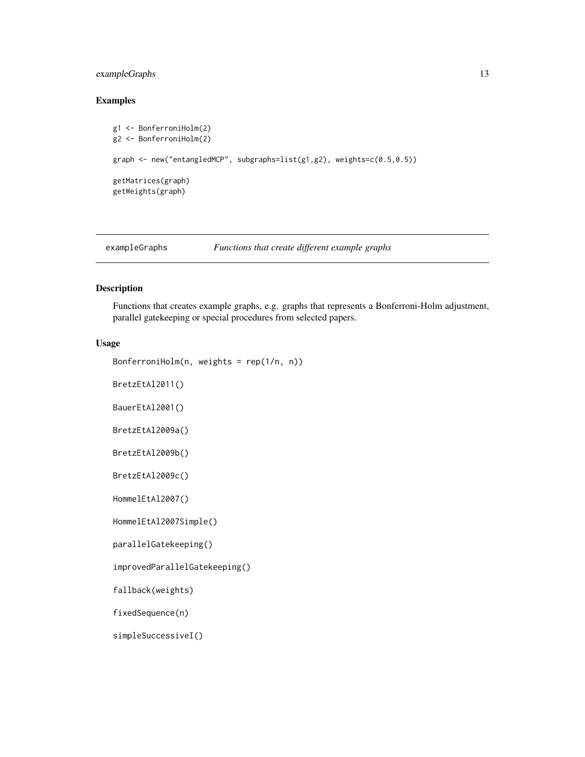## <span id="page-12-0"></span>exampleGraphs 13

## Examples

```
g1 <- BonferroniHolm(2)
g2 <- BonferroniHolm(2)
graph <- new("entangledMCP", subgraphs=list(g1,g2), weights=c(0.5,0.5))
getMatrices(graph)
getWeights(graph)
```
exampleGraphs *Functions that create different example graphs*

## Description

Functions that creates example graphs, e.g. graphs that represents a Bonferroni-Holm adjustment, parallel gatekeeping or special procedures from selected papers.

#### Usage

BonferroniHolm(n, weights = rep(1/n, n))

BretzEtAl2011()

BauerEtAl2001()

BretzEtAl2009a()

BretzEtAl2009b()

BretzEtAl2009c()

HommelEtAl2007()

HommelEtAl2007Simple()

parallelGatekeeping()

improvedParallelGatekeeping()

fallback(weights)

fixedSequence(n)

simpleSuccessiveI()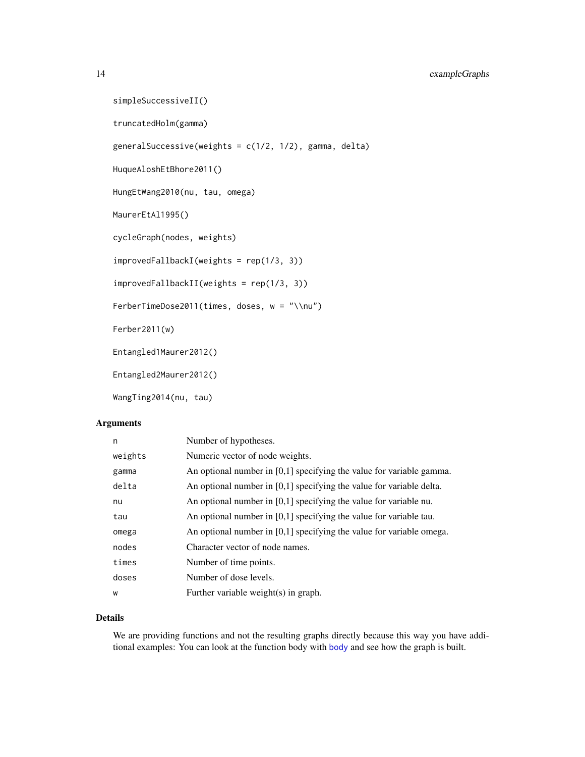```
simpleSuccessiveII()
truncatedHolm(gamma)
generalSuccessive(weights = c(1/2, 1/2), gamma, delta)
HuqueAloshEtBhore2011()
HungEtWang2010(nu, tau, omega)
MaurerEtAl1995()
cycleGraph(nodes, weights)
improvedFallbackI(weights = rep(1/3, 3))
improvedFallbackII(weights = rep(1/3, 3))
FerberTimeDose2011(times, doses, w = "\\nu")
Ferber2011(w)
Entangled1Maurer2012()
Entangled2Maurer2012()
```
WangTing2014(nu, tau)

## Arguments

| n       | Number of hypotheses.                                                  |
|---------|------------------------------------------------------------------------|
| weights | Numeric vector of node weights.                                        |
| gamma   | An optional number in $[0,1]$ specifying the value for variable gamma. |
| delta   | An optional number in $[0,1]$ specifying the value for variable delta. |
| nu      | An optional number in $[0,1]$ specifying the value for variable nu.    |
| tau     | An optional number in $[0,1]$ specifying the value for variable tau.   |
| omega   | An optional number in $[0,1]$ specifying the value for variable omega. |
| nodes   | Character vector of node names.                                        |
| times   | Number of time points.                                                 |
| doses   | Number of dose levels.                                                 |
| W       | Further variable weight(s) in graph.                                   |
|         |                                                                        |

## Details

We are providing functions and not the resulting graphs directly because this way you have additional examples: You can look at the function body with [body](#page-0-0) and see how the graph is built.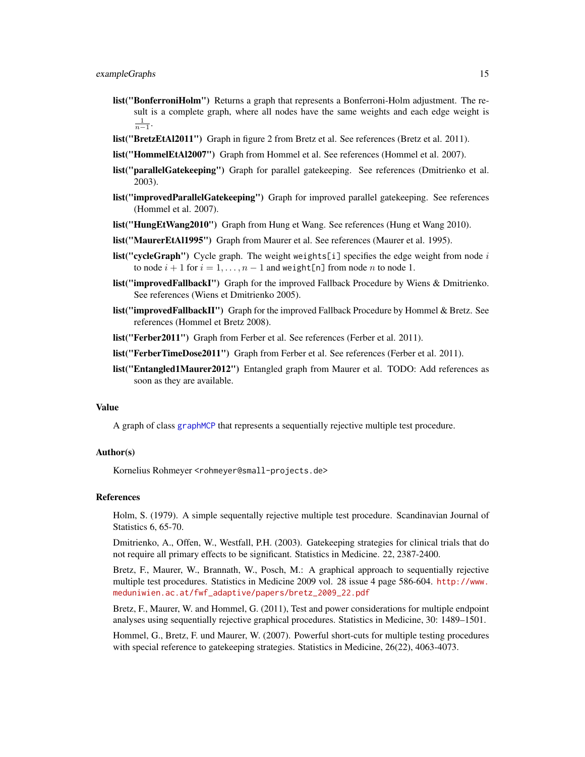- <span id="page-14-0"></span>list("BonferroniHolm") Returns a graph that represents a Bonferroni-Holm adjustment. The result is a complete graph, where all nodes have the same weights and each edge weight is  $\frac{1}{n-1}$ .
- list("BretzEtAl2011") Graph in figure 2 from Bretz et al. See references (Bretz et al. 2011).
- list("HommelEtAl2007") Graph from Hommel et al. See references (Hommel et al. 2007).
- list("parallelGatekeeping") Graph for parallel gatekeeping. See references (Dmitrienko et al. 2003).
- list("improvedParallelGatekeeping") Graph for improved parallel gatekeeping. See references (Hommel et al. 2007).
- list("HungEtWang2010") Graph from Hung et Wang. See references (Hung et Wang 2010).
- list("MaurerEtAl1995") Graph from Maurer et al. See references (Maurer et al. 1995).
- **list("cycleGraph")** Cycle graph. The weight weights[i] specifies the edge weight from node i to node  $i + 1$  for  $i = 1, ..., n - 1$  and weight[n] from node *n* to node 1.
- list("improvedFallbackI") Graph for the improved Fallback Procedure by Wiens & Dmitrienko. See references (Wiens et Dmitrienko 2005).
- list("improvedFallbackII") Graph for the improved Fallback Procedure by Hommel & Bretz. See references (Hommel et Bretz 2008).
- list("Ferber2011") Graph from Ferber et al. See references (Ferber et al. 2011).
- list("FerberTimeDose2011") Graph from Ferber et al. See references (Ferber et al. 2011).
- list("Entangled1Maurer2012") Entangled graph from Maurer et al. TODO: Add references as soon as they are available.

#### Value

A graph of class [graphMCP](#page-35-1) that represents a sequentially rejective multiple test procedure.

#### Author(s)

Kornelius Rohmeyer <rohmeyer@small-projects.de>

## References

Holm, S. (1979). A simple sequentally rejective multiple test procedure. Scandinavian Journal of Statistics 6, 65-70.

Dmitrienko, A., Offen, W., Westfall, P.H. (2003). Gatekeeping strategies for clinical trials that do not require all primary effects to be significant. Statistics in Medicine. 22, 2387-2400.

Bretz, F., Maurer, W., Brannath, W., Posch, M.: A graphical approach to sequentially rejective multiple test procedures. Statistics in Medicine 2009 vol. 28 issue 4 page 586-604. [http://www.](http://www.meduniwien.ac.at/fwf_adaptive/papers/bretz_2009_22.pdf) [meduniwien.ac.at/fwf\\_adaptive/papers/bretz\\_2009\\_22.pdf](http://www.meduniwien.ac.at/fwf_adaptive/papers/bretz_2009_22.pdf)

Bretz, F., Maurer, W. and Hommel, G. (2011), Test and power considerations for multiple endpoint analyses using sequentially rejective graphical procedures. Statistics in Medicine, 30: 1489–1501.

Hommel, G., Bretz, F. und Maurer, W. (2007). Powerful short-cuts for multiple testing procedures with special reference to gatekeeping strategies. Statistics in Medicine, 26(22), 4063-4073.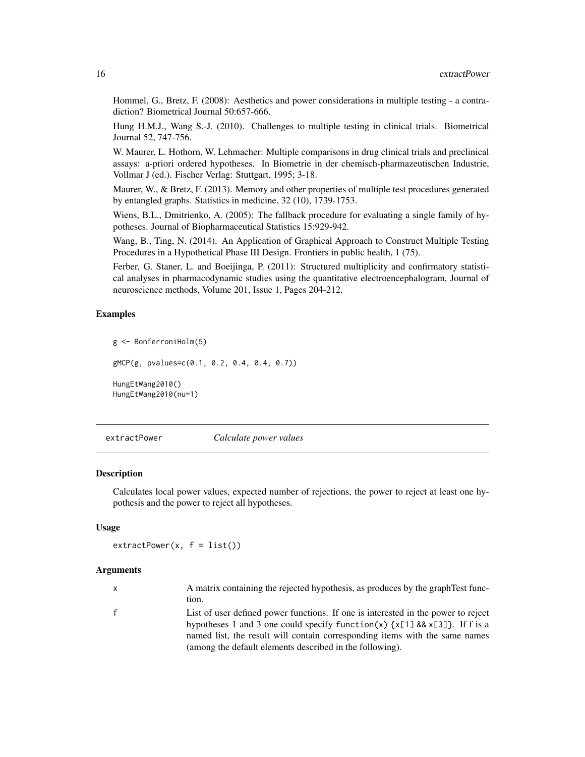<span id="page-15-0"></span>Hommel, G., Bretz, F. (2008): Aesthetics and power considerations in multiple testing - a contradiction? Biometrical Journal 50:657-666.

Hung H.M.J., Wang S.-J. (2010). Challenges to multiple testing in clinical trials. Biometrical Journal 52, 747-756.

W. Maurer, L. Hothorn, W. Lehmacher: Multiple comparisons in drug clinical trials and preclinical assays: a-priori ordered hypotheses. In Biometrie in der chemisch-pharmazeutischen Industrie, Vollmar J (ed.). Fischer Verlag: Stuttgart, 1995; 3-18.

Maurer, W., & Bretz, F. (2013). Memory and other properties of multiple test procedures generated by entangled graphs. Statistics in medicine, 32 (10), 1739-1753.

Wiens, B.L., Dmitrienko, A. (2005): The fallback procedure for evaluating a single family of hypotheses. Journal of Biopharmaceutical Statistics 15:929-942.

Wang, B., Ting, N. (2014). An Application of Graphical Approach to Construct Multiple Testing Procedures in a Hypothetical Phase III Design. Frontiers in public health, 1 (75).

Ferber, G. Staner, L. and Boeijinga, P. (2011): Structured multiplicity and confirmatory statistical analyses in pharmacodynamic studies using the quantitative electroencephalogram, Journal of neuroscience methods, Volume 201, Issue 1, Pages 204-212.

## Examples

```
g <- BonferroniHolm(5)
gMCP(g, pvalues=c(0.1, 0.2, 0.4, 0.4, 0.7))
HungEtWang2010()
HungEtWang2010(nu=1)
```
extractPower *Calculate power values*

#### Description

Calculates local power values, expected number of rejections, the power to reject at least one hypothesis and the power to reject all hypotheses.

## Usage

 $extractPower(x, f = list())$ 

#### Arguments

| A matrix containing the rejected hypothesis, as produces by the graphTest func- |
|---------------------------------------------------------------------------------|
| tion.                                                                           |

f List of user defined power functions. If one is interested in the power to reject hypotheses 1 and 3 one could specify function(x)  $\{x[1] \& x[3]\}$ . If f is a named list, the result will contain corresponding items with the same names (among the default elements described in the following).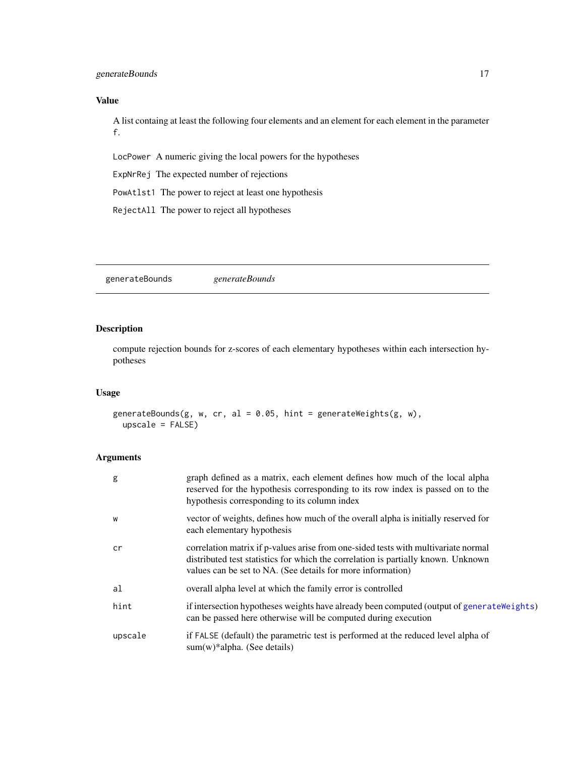## <span id="page-16-0"></span>generateBounds 17

## Value

A list containg at least the following four elements and an element for each element in the parameter f.

LocPower A numeric giving the local powers for the hypotheses

ExpNrRej The expected number of rejections

PowAtlst1 The power to reject at least one hypothesis

RejectAll The power to reject all hypotheses

generateBounds *generateBounds*

## Description

compute rejection bounds for z-scores of each elementary hypotheses within each intersection hypotheses

## Usage

generateBounds(g, w, cr, al = 0.05, hint = generateWeights(g, w), upscale = FALSE)

| g       | graph defined as a matrix, each element defines how much of the local alpha<br>reserved for the hypothesis corresponding to its row index is passed on to the<br>hypothesis corresponding to its column index                          |
|---------|----------------------------------------------------------------------------------------------------------------------------------------------------------------------------------------------------------------------------------------|
| W       | vector of weights, defines how much of the overall alpha is initially reserved for<br>each elementary hypothesis                                                                                                                       |
| cr      | correlation matrix if p-values arise from one-sided tests with multivariate normal<br>distributed test statistics for which the correlation is partially known. Unknown<br>values can be set to NA. (See details for more information) |
| al      | overall alpha level at which the family error is controlled                                                                                                                                                                            |
| hint    | if intersection hypotheses weights have already been computed (output of generate Weights)<br>can be passed here otherwise will be computed during execution                                                                           |
| upscale | if FALSE (default) the parametric test is performed at the reduced level alpha of<br>$sum(w)*alpha$ . (See details)                                                                                                                    |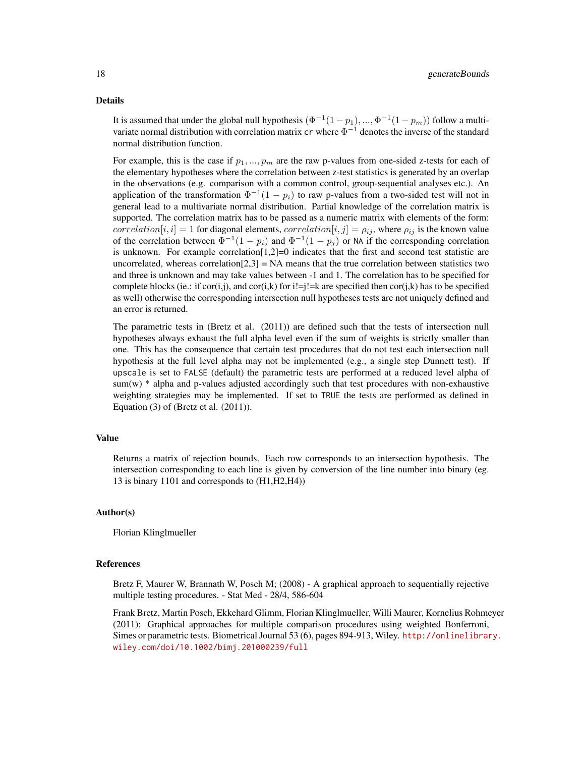#### Details

It is assumed that under the global null hypothesis  $(\Phi^{-1}(1-p_1),...,\Phi^{-1}(1-p_m))$  follow a multivariate normal distribution with correlation matrix cr where  $\Phi^{-1}$  denotes the inverse of the standard normal distribution function.

For example, this is the case if  $p_1, ..., p_m$  are the raw p-values from one-sided z-tests for each of the elementary hypotheses where the correlation between z-test statistics is generated by an overlap in the observations (e.g. comparison with a common control, group-sequential analyses etc.). An application of the transformation  $\Phi^{-1}(1-p_i)$  to raw p-values from a two-sided test will not in general lead to a multivariate normal distribution. Partial knowledge of the correlation matrix is supported. The correlation matrix has to be passed as a numeric matrix with elements of the form: correlation $[i, i] = 1$  for diagonal elements, correlation $[i, j] = \rho_{ij}$ , where  $\rho_{ij}$  is the known value of the correlation between  $\Phi^{-1}(1-p_i)$  and  $\Phi^{-1}(1-p_j)$  or NA if the corresponding correlation is unknown. For example correlation $[1,2]=0$  indicates that the first and second test statistic are uncorrelated, whereas correlation $[2,3] = NA$  means that the true correlation between statistics two and three is unknown and may take values between -1 and 1. The correlation has to be specified for complete blocks (ie.: if cor(i,j), and cor(i,k) for i!=j!=k are specified then cor(j,k) has to be specified as well) otherwise the corresponding intersection null hypotheses tests are not uniquely defined and an error is returned.

The parametric tests in (Bretz et al. (2011)) are defined such that the tests of intersection null hypotheses always exhaust the full alpha level even if the sum of weights is strictly smaller than one. This has the consequence that certain test procedures that do not test each intersection null hypothesis at the full level alpha may not be implemented (e.g., a single step Dunnett test). If upscale is set to FALSE (default) the parametric tests are performed at a reduced level alpha of  $sum(w)$  \* alpha and p-values adjusted accordingly such that test procedures with non-exhaustive weighting strategies may be implemented. If set to TRUE the tests are performed as defined in Equation  $(3)$  of (Bretz et al.  $(2011)$ ).

#### Value

Returns a matrix of rejection bounds. Each row corresponds to an intersection hypothesis. The intersection corresponding to each line is given by conversion of the line number into binary (eg. 13 is binary 1101 and corresponds to (H1,H2,H4))

#### Author(s)

Florian Klinglmueller

#### References

Bretz F, Maurer W, Brannath W, Posch M; (2008) - A graphical approach to sequentially rejective multiple testing procedures. - Stat Med - 28/4, 586-604

Frank Bretz, Martin Posch, Ekkehard Glimm, Florian Klinglmueller, Willi Maurer, Kornelius Rohmeyer (2011): Graphical approaches for multiple comparison procedures using weighted Bonferroni, Simes or parametric tests. Biometrical Journal 53 (6), pages 894-913, Wiley. [http://onlinelibrar](http://onlinelibrary.wiley.com/doi/10.1002/bimj.201000239/full)y. [wiley.com/doi/10.1002/bimj.201000239/full](http://onlinelibrary.wiley.com/doi/10.1002/bimj.201000239/full)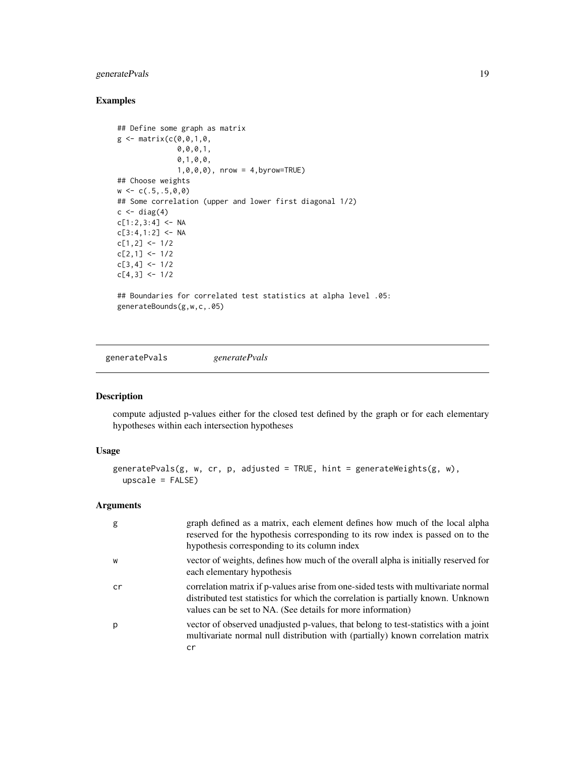## <span id="page-18-0"></span>generatePvals 19

## Examples

```
## Define some graph as matrix
g \le - matrix(c(0, 0, 1, 0, 1)0,0,0,1,
              0,1,0,0,
              1,0,0,0), nrow = 4,byrow=TRUE)
## Choose weights
w < -c(.5,.5,0,0)## Some correlation (upper and lower first diagonal 1/2)
c \leftarrow diag(4)c[1:2,3:4] <- NA
c[3:4,1:2] <- NA
c[1,2] <- 1/2
c[2,1] <- 1/2c[3, 4] <- 1/2
c[4,3] <- 1/2
## Boundaries for correlated test statistics at alpha level .05:
generateBounds(g,w,c,.05)
```
<span id="page-18-1"></span>generatePvals *generatePvals*

## Description

compute adjusted p-values either for the closed test defined by the graph or for each elementary hypotheses within each intersection hypotheses

## Usage

```
generatePvals(g, w, cr, p, adjusted = TRUE, hint = generateWeights(g, w),
 upscale = FALSE)
```

| g  | graph defined as a matrix, each element defines how much of the local alpha<br>reserved for the hypothesis corresponding to its row index is passed on to the<br>hypothesis corresponding to its column index                          |
|----|----------------------------------------------------------------------------------------------------------------------------------------------------------------------------------------------------------------------------------------|
| W  | vector of weights, defines how much of the overall alpha is initially reserved for<br>each elementary hypothesis                                                                                                                       |
| cr | correlation matrix if p-values arise from one-sided tests with multivariate normal<br>distributed test statistics for which the correlation is partially known. Unknown<br>values can be set to NA. (See details for more information) |
| p  | vector of observed unadjusted p-values, that belong to test-statistics with a joint<br>multivariate normal null distribution with (partially) known correlation matrix<br>cr                                                           |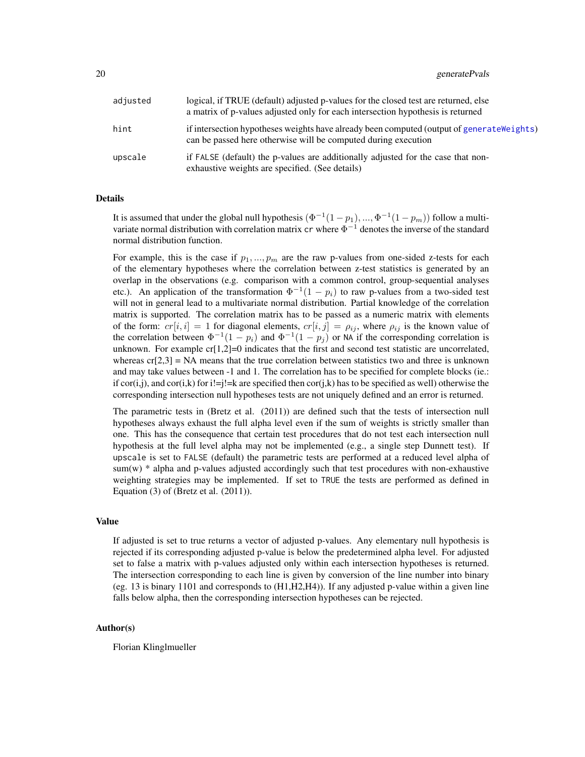<span id="page-19-0"></span>20 generatePvals

| adjusted | logical, if TRUE (default) adjusted p-values for the closed test are returned, else<br>a matrix of p-values adjusted only for each intersection hypothesis is returned |
|----------|------------------------------------------------------------------------------------------------------------------------------------------------------------------------|
| hint     | if intersection hypotheses weights have already been computed (output of generate Weights)<br>can be passed here otherwise will be computed during execution           |
| upscale  | if FALSE (default) the p-values are additionally adjusted for the case that non-<br>exhaustive weights are specified. (See details)                                    |

#### Details

It is assumed that under the global null hypothesis  $(\Phi^{-1}(1-p_1), ..., \Phi^{-1}(1-p_m))$  follow a multivariate normal distribution with correlation matrix cr where  $\Phi^{-1}$  denotes the inverse of the standard normal distribution function.

For example, this is the case if  $p_1, ..., p_m$  are the raw p-values from one-sided z-tests for each of the elementary hypotheses where the correlation between z-test statistics is generated by an overlap in the observations (e.g. comparison with a common control, group-sequential analyses etc.). An application of the transformation  $\Phi^{-1}(1-p_i)$  to raw p-values from a two-sided test will not in general lead to a multivariate normal distribution. Partial knowledge of the correlation matrix is supported. The correlation matrix has to be passed as a numeric matrix with elements of the form:  $cr[i, i] = 1$  for diagonal elements,  $cr[i, j] = \rho_{ij}$ , where  $\rho_{ij}$  is the known value of the correlation between  $\Phi^{-1}(1-p_i)$  and  $\Phi^{-1}(1-p_j)$  or NA if the corresponding correlation is unknown. For example  $cr[1,2]=0$  indicates that the first and second test statistic are uncorrelated, whereas  $cr[2,3] = NA$  means that the true correlation between statistics two and three is unknown and may take values between -1 and 1. The correlation has to be specified for complete blocks (ie.: if cor(i,j), and cor(i,k) for i!=j!=k are specified then cor(j,k) has to be specified as well) otherwise the corresponding intersection null hypotheses tests are not uniquely defined and an error is returned.

The parametric tests in (Bretz et al. (2011)) are defined such that the tests of intersection null hypotheses always exhaust the full alpha level even if the sum of weights is strictly smaller than one. This has the consequence that certain test procedures that do not test each intersection null hypothesis at the full level alpha may not be implemented (e.g., a single step Dunnett test). If upscale is set to FALSE (default) the parametric tests are performed at a reduced level alpha of  $sum(w)$  \* alpha and p-values adjusted accordingly such that test procedures with non-exhaustive weighting strategies may be implemented. If set to TRUE the tests are performed as defined in Equation (3) of (Bretz et al. (2011)).

#### Value

If adjusted is set to true returns a vector of adjusted p-values. Any elementary null hypothesis is rejected if its corresponding adjusted p-value is below the predetermined alpha level. For adjusted set to false a matrix with p-values adjusted only within each intersection hypotheses is returned. The intersection corresponding to each line is given by conversion of the line number into binary (eg. 13 is binary 1101 and corresponds to (H1,H2,H4)). If any adjusted p-value within a given line falls below alpha, then the corresponding intersection hypotheses can be rejected.

#### Author(s)

Florian Klinglmueller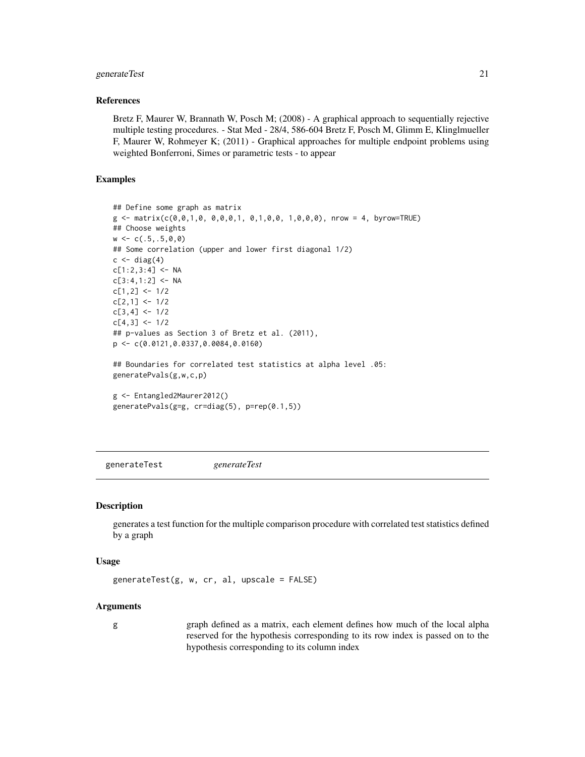#### <span id="page-20-0"></span>generateTest 21

#### References

Bretz F, Maurer W, Brannath W, Posch M; (2008) - A graphical approach to sequentially rejective multiple testing procedures. - Stat Med - 28/4, 586-604 Bretz F, Posch M, Glimm E, Klinglmueller F, Maurer W, Rohmeyer K; (2011) - Graphical approaches for multiple endpoint problems using weighted Bonferroni, Simes or parametric tests - to appear

## Examples

```
## Define some graph as matrix
g \le - matrix(c(0,0,1,0, 0,0,0,1, 0,1,0,0, 1,0,0,0), nrow = 4, byrow=TRUE)
## Choose weights
w \leftarrow c(.5,.5,0,0)## Some correlation (upper and lower first diagonal 1/2)
c \leftarrow diag(4)c[1:2,3:4] <- NA
c[3:4,1:2] <- NA
c[1,2] <- 1/2c[2,1] <- 1/2
c[3,4] < -1/2c[4,3] <- 1/2
## p-values as Section 3 of Bretz et al. (2011),
p <- c(0.0121,0.0337,0.0084,0.0160)
## Boundaries for correlated test statistics at alpha level .05:
generatePvals(g,w,c,p)
g <- Entangled2Maurer2012()
generatePvals(g=g, cr=diag(5), p=rep(0.1,5))
```
generateTest *generateTest*

#### Description

generates a test function for the multiple comparison procedure with correlated test statistics defined by a graph

#### Usage

```
generateTest(g, w, cr, al, upscale = FALSE)
```
#### Arguments

g graph defined as a matrix, each element defines how much of the local alpha reserved for the hypothesis corresponding to its row index is passed on to the hypothesis corresponding to its column index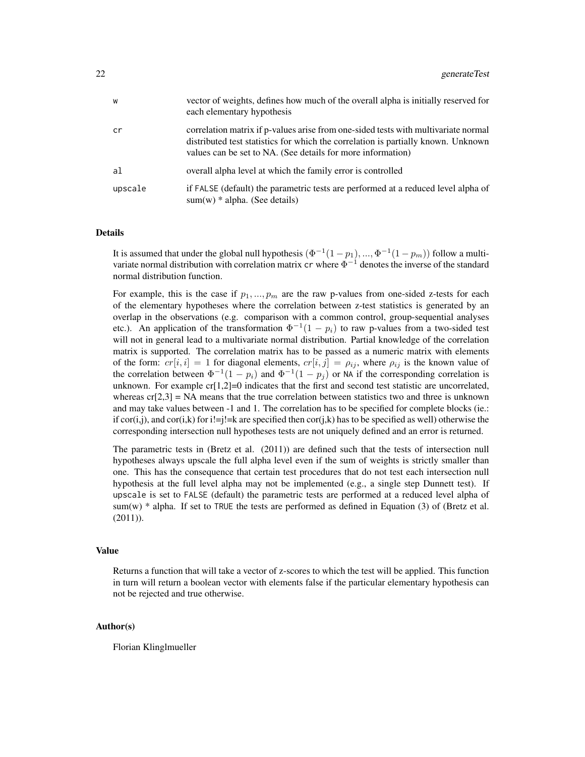| W       | vector of weights, defines how much of the overall alpha is initially reserved for<br>each elementary hypothesis                                                                                                                       |
|---------|----------------------------------------------------------------------------------------------------------------------------------------------------------------------------------------------------------------------------------------|
| cr      | correlation matrix if p-values arise from one-sided tests with multivariate normal<br>distributed test statistics for which the correlation is partially known. Unknown<br>values can be set to NA. (See details for more information) |
| al      | overall alpha level at which the family error is controlled                                                                                                                                                                            |
| upscale | if FALSE (default) the parametric tests are performed at a reduced level alpha of<br>$sum(w) * alpha$ . (See details)                                                                                                                  |

## Details

It is assumed that under the global null hypothesis  $(\Phi^{-1}(1-p_1), ..., \Phi^{-1}(1-p_m))$  follow a multivariate normal distribution with correlation matrix cr where  $\Phi^{-1}$  denotes the inverse of the standard normal distribution function.

For example, this is the case if  $p_1, ..., p_m$  are the raw p-values from one-sided z-tests for each of the elementary hypotheses where the correlation between z-test statistics is generated by an overlap in the observations (e.g. comparison with a common control, group-sequential analyses etc.). An application of the transformation  $\Phi^{-1}(1-p_i)$  to raw p-values from a two-sided test will not in general lead to a multivariate normal distribution. Partial knowledge of the correlation matrix is supported. The correlation matrix has to be passed as a numeric matrix with elements of the form:  $cr[i, i] = 1$  for diagonal elements,  $cr[i, j] = \rho_{ij}$ , where  $\rho_{ij}$  is the known value of the correlation between  $\Phi^{-1}(1-p_i)$  and  $\Phi^{-1}(1-p_j)$  or NA if the corresponding correlation is unknown. For example  $cr[1,2]=0$  indicates that the first and second test statistic are uncorrelated, whereas  $cr[2,3] = NA$  means that the true correlation between statistics two and three is unknown and may take values between -1 and 1. The correlation has to be specified for complete blocks (ie.: if cor(i,j), and cor(i,k) for i!=j!=k are specified then cor(j,k) has to be specified as well) otherwise the corresponding intersection null hypotheses tests are not uniquely defined and an error is returned.

The parametric tests in (Bretz et al. (2011)) are defined such that the tests of intersection null hypotheses always upscale the full alpha level even if the sum of weights is strictly smaller than one. This has the consequence that certain test procedures that do not test each intersection null hypothesis at the full level alpha may not be implemented (e.g., a single step Dunnett test). If upscale is set to FALSE (default) the parametric tests are performed at a reduced level alpha of sum(w)  $*$  alpha. If set to TRUE the tests are performed as defined in Equation (3) of (Bretz et al. (2011)).

## Value

Returns a function that will take a vector of z-scores to which the test will be applied. This function in turn will return a boolean vector with elements false if the particular elementary hypothesis can not be rejected and true otherwise.

#### Author(s)

Florian Klinglmueller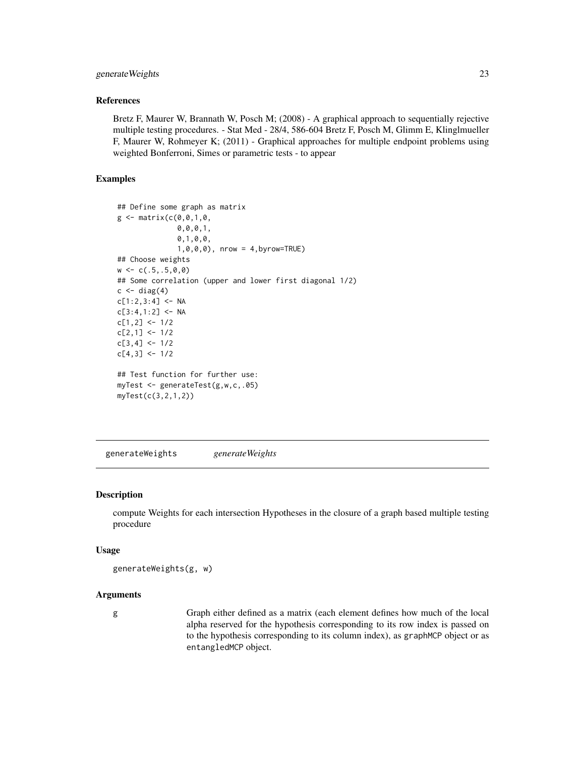## <span id="page-22-0"></span>generateWeights 23

#### References

Bretz F, Maurer W, Brannath W, Posch M; (2008) - A graphical approach to sequentially rejective multiple testing procedures. - Stat Med - 28/4, 586-604 Bretz F, Posch M, Glimm E, Klinglmueller F, Maurer W, Rohmeyer K; (2011) - Graphical approaches for multiple endpoint problems using weighted Bonferroni, Simes or parametric tests - to appear

## Examples

```
## Define some graph as matrix
g \leftarrow matrix(c(0, 0, 1, 0, 1)0,0,0,1,
               0,1,0,0,
               1,0,0,0), nrow = 4,byrow=TRUE)
## Choose weights
w \leq -c(.5,.5,0,0)## Some correlation (upper and lower first diagonal 1/2)
c \leftarrow diag(4)c[1:2,3:4] <- NA
c[3:4,1:2] <- NA
c[1,2] <- 1/2
c[2,1] <- 1/2
c[3,4] <- 1/2c[4,3] < -1/2## Test function for further use:
myTest <- generateTest(g,w,c,.05)
myTest(c(3,2,1,2))
```
<span id="page-22-1"></span>generateWeights *generateWeights*

#### Description

compute Weights for each intersection Hypotheses in the closure of a graph based multiple testing procedure

## Usage

```
generateWeights(g, w)
```
#### Arguments

g Graph either defined as a matrix (each element defines how much of the local alpha reserved for the hypothesis corresponding to its row index is passed on to the hypothesis corresponding to its column index), as graphMCP object or as entangledMCP object.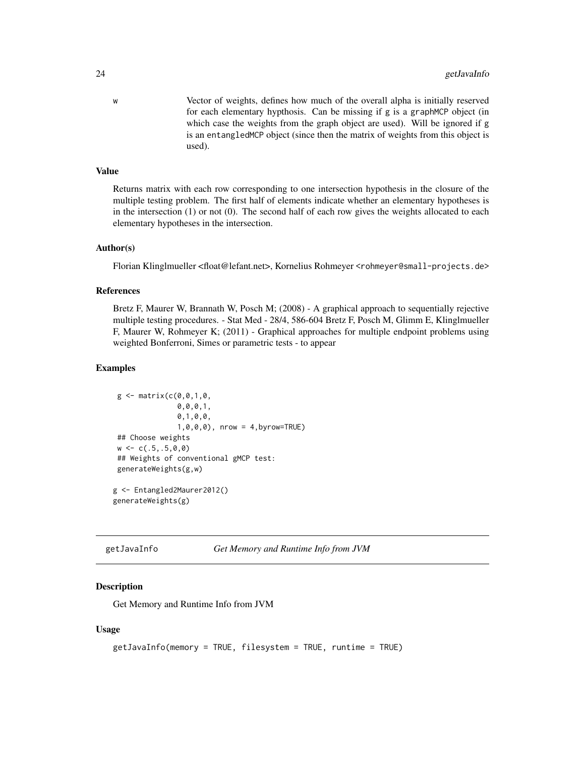w Vector of weights, defines how much of the overall alpha is initially reserved for each elementary hypthosis. Can be missing if g is a graphMCP object (in which case the weights from the graph object are used). Will be ignored if g is an entangledMCP object (since then the matrix of weights from this object is used).

#### Value

Returns matrix with each row corresponding to one intersection hypothesis in the closure of the multiple testing problem. The first half of elements indicate whether an elementary hypotheses is in the intersection  $(1)$  or not  $(0)$ . The second half of each row gives the weights allocated to each elementary hypotheses in the intersection.

## Author(s)

Florian Klinglmueller <float@lefant.net>, Kornelius Rohmeyer <rohmeyer@small-projects.de>

## References

Bretz F, Maurer W, Brannath W, Posch M; (2008) - A graphical approach to sequentially rejective multiple testing procedures. - Stat Med - 28/4, 586-604 Bretz F, Posch M, Glimm E, Klinglmueller F, Maurer W, Rohmeyer K; (2011) - Graphical approaches for multiple endpoint problems using weighted Bonferroni, Simes or parametric tests - to appear

## Examples

```
g \le - matrix(c(0, 0, 1, 0, 1)0,0,0,1,
                0,1,0,0,
                1,0,0,0), nrow = 4,byrow=TRUE)
## Choose weights
w \leq -c(.5,.5,0,0)## Weights of conventional gMCP test:
generateWeights(g,w)
g <- Entangled2Maurer2012()
```

```
generateWeights(g)
```

```
getJavaInfo Get Memory and Runtime Info from JVM
```
## Description

Get Memory and Runtime Info from JVM

#### Usage

```
getJavaInfo(memory = TRUE, filesystem = TRUE, runtime = TRUE)
```
<span id="page-23-0"></span>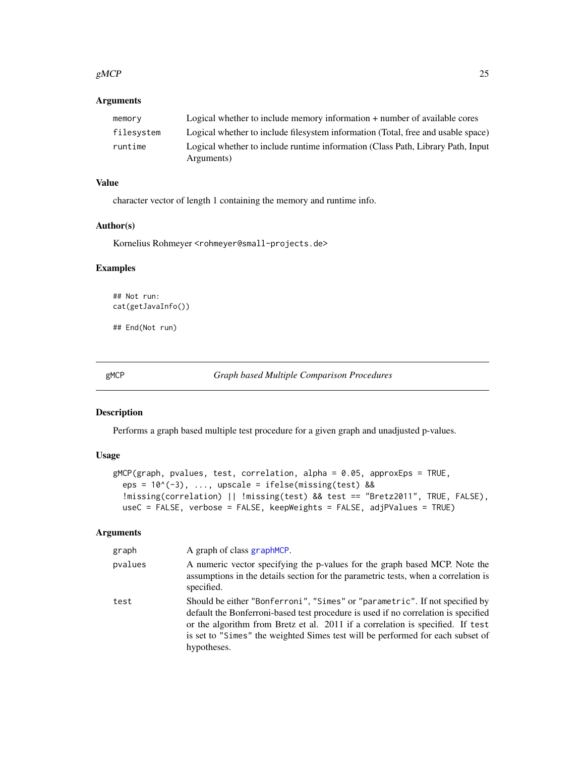#### <span id="page-24-0"></span>gMCP  $\sim$  25

## Arguments

| Logical whether to include memory information + number of available cores                     |
|-----------------------------------------------------------------------------------------------|
| Logical whether to include filesystem information (Total, free and usable space)              |
| Logical whether to include runtime information (Class Path, Library Path, Input<br>Arguments) |
|                                                                                               |

## Value

character vector of length 1 containing the memory and runtime info.

## Author(s)

Kornelius Rohmeyer <rohmeyer@small-projects.de>

## Examples

```
## Not run:
cat(getJavaInfo())
## End(Not run)
```
<span id="page-24-1"></span>gMCP *Graph based Multiple Comparison Procedures*

## Description

Performs a graph based multiple test procedure for a given graph and unadjusted p-values.

#### Usage

```
gMCP(graph, pvalues, test, correlation, alpha = 0.05, approxEps = TRUE,
 eps = 10^*(-3), ..., upscale = ifelse(missing(test) &&
  !missing(correlation) || !missing(test) && test == "Bretz2011", TRUE, FALSE),
 useC = FALSE, verbose = FALSE, keepWeights = FALSE, adjPValues = TRUE)
```

| graph   | A graph of class graphMCP.                                                                                                                                                                                                                                                                                                                           |
|---------|------------------------------------------------------------------------------------------------------------------------------------------------------------------------------------------------------------------------------------------------------------------------------------------------------------------------------------------------------|
| pvalues | A numeric vector specifying the p-values for the graph based MCP. Note the<br>assumptions in the details section for the parametric tests, when a correlation is<br>specified.                                                                                                                                                                       |
| test    | Should be either "Bonferroni", "Simes" or "parametric". If not specified by<br>default the Bonferroni-based test procedure is used if no correlation is specified<br>or the algorithm from Bretz et al. 2011 if a correlation is specified. If test<br>is set to "Simes" the weighted Simes test will be performed for each subset of<br>hypotheses. |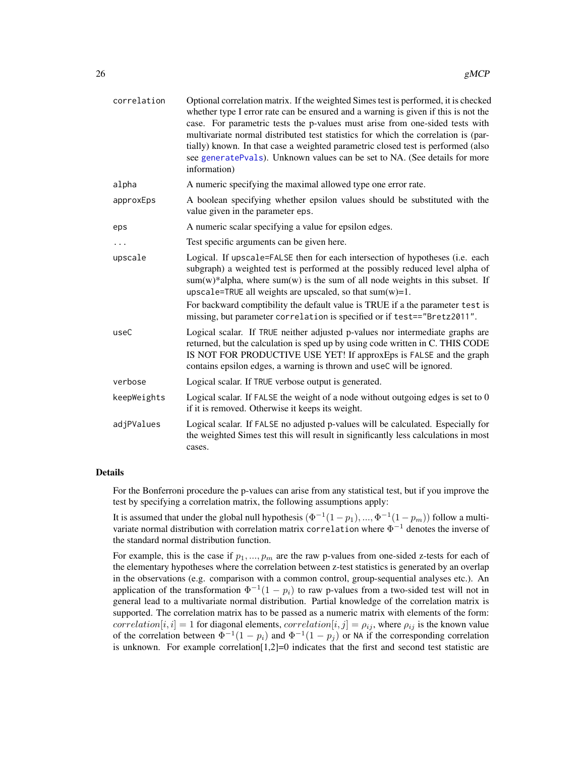<span id="page-25-0"></span>

| correlation | Optional correlation matrix. If the weighted Simes test is performed, it is checked<br>whether type I error rate can be ensured and a warning is given if this is not the<br>case. For parametric tests the p-values must arise from one-sided tests with<br>multivariate normal distributed test statistics for which the correlation is (par-<br>tially) known. In that case a weighted parametric closed test is performed (also<br>see generatePvals). Unknown values can be set to NA. (See details for more<br>information) |
|-------------|-----------------------------------------------------------------------------------------------------------------------------------------------------------------------------------------------------------------------------------------------------------------------------------------------------------------------------------------------------------------------------------------------------------------------------------------------------------------------------------------------------------------------------------|
| alpha       | A numeric specifying the maximal allowed type one error rate.                                                                                                                                                                                                                                                                                                                                                                                                                                                                     |
| approxEps   | A boolean specifying whether epsilon values should be substituted with the<br>value given in the parameter eps.                                                                                                                                                                                                                                                                                                                                                                                                                   |
| eps         | A numeric scalar specifying a value for epsilon edges.                                                                                                                                                                                                                                                                                                                                                                                                                                                                            |
| .           | Test specific arguments can be given here.                                                                                                                                                                                                                                                                                                                                                                                                                                                                                        |
| upscale     | Logical. If upscale=FALSE then for each intersection of hypotheses (i.e. each<br>subgraph) a weighted test is performed at the possibly reduced level alpha of<br>$sum(w)*alpha$ , where sum(w) is the sum of all node weights in this subset. If<br>upscale=TRUE all weights are upscaled, so that $sum(w)=1$ .<br>For backward comptibility the default value is TRUE if a the parameter test is<br>missing, but parameter correlation is specified or if test=="Bretz2011".                                                    |
| useC        | Logical scalar. If TRUE neither adjusted p-values nor intermediate graphs are<br>returned, but the calculation is sped up by using code written in C. THIS CODE<br>IS NOT FOR PRODUCTIVE USE YET! If approxEps is FALSE and the graph<br>contains epsilon edges, a warning is thrown and useC will be ignored.                                                                                                                                                                                                                    |
| verbose     | Logical scalar. If TRUE verbose output is generated.                                                                                                                                                                                                                                                                                                                                                                                                                                                                              |
| keepWeights | Logical scalar. If FALSE the weight of a node without outgoing edges is set to 0<br>if it is removed. Otherwise it keeps its weight.                                                                                                                                                                                                                                                                                                                                                                                              |
| adjPValues  | Logical scalar. If FALSE no adjusted p-values will be calculated. Especially for<br>the weighted Simes test this will result in significantly less calculations in most<br>cases.                                                                                                                                                                                                                                                                                                                                                 |

## Details

For the Bonferroni procedure the p-values can arise from any statistical test, but if you improve the test by specifying a correlation matrix, the following assumptions apply:

It is assumed that under the global null hypothesis  $(\Phi^{-1}(1-p_1), ..., \Phi^{-1}(1-p_m))$  follow a multivariate normal distribution with correlation matrix correlation where  $\Phi^{-1}$  denotes the inverse of the standard normal distribution function.

For example, this is the case if  $p_1, ..., p_m$  are the raw p-values from one-sided z-tests for each of the elementary hypotheses where the correlation between z-test statistics is generated by an overlap in the observations (e.g. comparison with a common control, group-sequential analyses etc.). An application of the transformation  $\Phi^{-1}(1-p_i)$  to raw p-values from a two-sided test will not in general lead to a multivariate normal distribution. Partial knowledge of the correlation matrix is supported. The correlation matrix has to be passed as a numeric matrix with elements of the form: correlation $[i, i] = 1$  for diagonal elements, correlation  $[i, j] = \rho_{ij}$ , where  $\rho_{ij}$  is the known value of the correlation between  $\Phi^{-1}(1-p_i)$  and  $\Phi^{-1}(1-p_j)$  or NA if the corresponding correlation is unknown. For example correlation $[1,2]=0$  indicates that the first and second test statistic are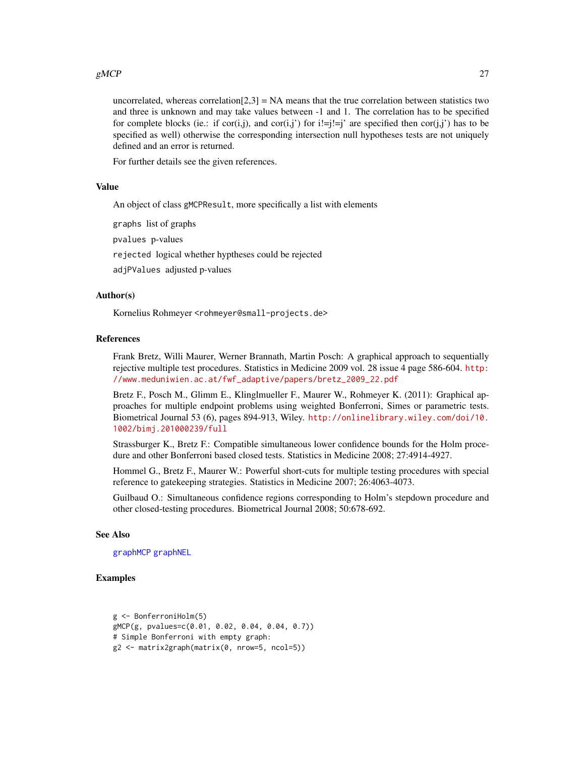#### <span id="page-26-0"></span>gMCP  $27$

uncorrelated, whereas correlation $[2,3] = NA$  means that the true correlation between statistics two and three is unknown and may take values between -1 and 1. The correlation has to be specified for complete blocks (ie.: if cor(i,j), and cor(i,j') for  $i!=j!=j'$  are specified then cor(i,j') has to be specified as well) otherwise the corresponding intersection null hypotheses tests are not uniquely defined and an error is returned.

For further details see the given references.

## Value

An object of class gMCPResult, more specifically a list with elements

graphs list of graphs

pvalues p-values

rejected logical whether hyptheses could be rejected

adjPValues adjusted p-values

## Author(s)

Kornelius Rohmeyer <rohmeyer@small-projects.de>

#### References

Frank Bretz, Willi Maurer, Werner Brannath, Martin Posch: A graphical approach to sequentially rejective multiple test procedures. Statistics in Medicine 2009 vol. 28 issue 4 page 586-604. [http:](http://www.meduniwien.ac.at/fwf_adaptive/papers/bretz_2009_22.pdf) [//www.meduniwien.ac.at/fwf\\_adaptive/papers/bretz\\_2009\\_22.pdf](http://www.meduniwien.ac.at/fwf_adaptive/papers/bretz_2009_22.pdf)

Bretz F., Posch M., Glimm E., Klinglmueller F., Maurer W., Rohmeyer K. (2011): Graphical approaches for multiple endpoint problems using weighted Bonferroni, Simes or parametric tests. Biometrical Journal 53 (6), pages 894-913, Wiley. [http://onlinelibrary.wiley.com/doi/10.](http://onlinelibrary.wiley.com/doi/10.1002/bimj.201000239/full) [1002/bimj.201000239/full](http://onlinelibrary.wiley.com/doi/10.1002/bimj.201000239/full)

Strassburger K., Bretz F.: Compatible simultaneous lower confidence bounds for the Holm procedure and other Bonferroni based closed tests. Statistics in Medicine 2008; 27:4914-4927.

Hommel G., Bretz F., Maurer W.: Powerful short-cuts for multiple testing procedures with special reference to gatekeeping strategies. Statistics in Medicine 2007; 26:4063-4073.

Guilbaud O.: Simultaneous confidence regions corresponding to Holm's stepdown procedure and other closed-testing procedures. Biometrical Journal 2008; 50:678-692.

## See Also

[graphMCP](#page-35-1) [graphNEL](#page-0-0)

#### Examples

```
g <- BonferroniHolm(5)
gMCP(g, pvalues=c(0.01, 0.02, 0.04, 0.04, 0.7))
# Simple Bonferroni with empty graph:
g2 <- matrix2graph(matrix(0, nrow=5, ncol=5))
```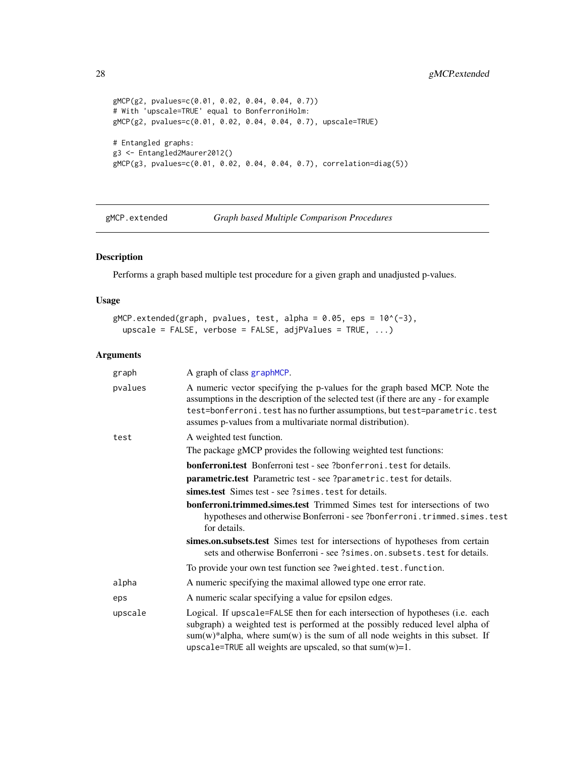```
gMCP(g2, pvalues=c(0.01, 0.02, 0.04, 0.04, 0.7))
# With 'upscale=TRUE' equal to BonferroniHolm:
gMCP(g2, pvalues=c(0.01, 0.02, 0.04, 0.04, 0.7), upscale=TRUE)
# Entangled graphs:
g3 <- Entangled2Maurer2012()
gMCP(g3, pvalues=c(0.01, 0.02, 0.04, 0.04, 0.7), correlation=diag(5))
```
gMCP.extended *Graph based Multiple Comparison Procedures*

## Description

Performs a graph based multiple test procedure for a given graph and unadjusted p-values.

#### Usage

```
gMCP.extended(graph, pvalues, test, alpha = 0.05, eps = 10^(-3),
 upscale = FALSE, verbose = FALSE, adjPValues = TRUE, ...)
```

| graph   | A graph of class graphMCP.                                                                                                                                                                                                                                                                                       |
|---------|------------------------------------------------------------------------------------------------------------------------------------------------------------------------------------------------------------------------------------------------------------------------------------------------------------------|
| pvalues | A numeric vector specifying the p-values for the graph based MCP. Note the<br>assumptions in the description of the selected test (if there are any - for example<br>test=bonferroni.test has no further assumptions, but test=parametric.test<br>assumes p-values from a multivariate normal distribution).     |
| test    | A weighted test function.                                                                                                                                                                                                                                                                                        |
|         | The package gMCP provides the following weighted test functions:                                                                                                                                                                                                                                                 |
|         | <b>bonferroni.test</b> Bonferroni test - see ?bonferroni.test for details.                                                                                                                                                                                                                                       |
|         | parametric.test Parametric test - see ?parametric.test for details.                                                                                                                                                                                                                                              |
|         | simes.test Simes test - see ?simes.test for details.                                                                                                                                                                                                                                                             |
|         | <b>bonferroni.trimmed.simes.test</b> Trimmed Simes test for intersections of two<br>hypotheses and otherwise Bonferroni - see ?bonferroni.trimmed.simes.test<br>for details.                                                                                                                                     |
|         | simes.on.subsets.test Simes test for intersections of hypotheses from certain<br>sets and otherwise Bonferroni - see ?simes.on.subsets.test for details.                                                                                                                                                         |
|         | To provide your own test function see ?weighted.test.function.                                                                                                                                                                                                                                                   |
| alpha   | A numeric specifying the maximal allowed type one error rate.                                                                                                                                                                                                                                                    |
| eps     | A numeric scalar specifying a value for epsilon edges.                                                                                                                                                                                                                                                           |
| upscale | Logical. If upscale=FALSE then for each intersection of hypotheses (i.e. each<br>subgraph) a weighted test is performed at the possibly reduced level alpha of<br>$sum(w)*alpha$ , where sum(w) is the sum of all node weights in this subset. If<br>upscale=TRUE all weights are upscaled, so that $sum(w)=1$ . |

<span id="page-27-0"></span>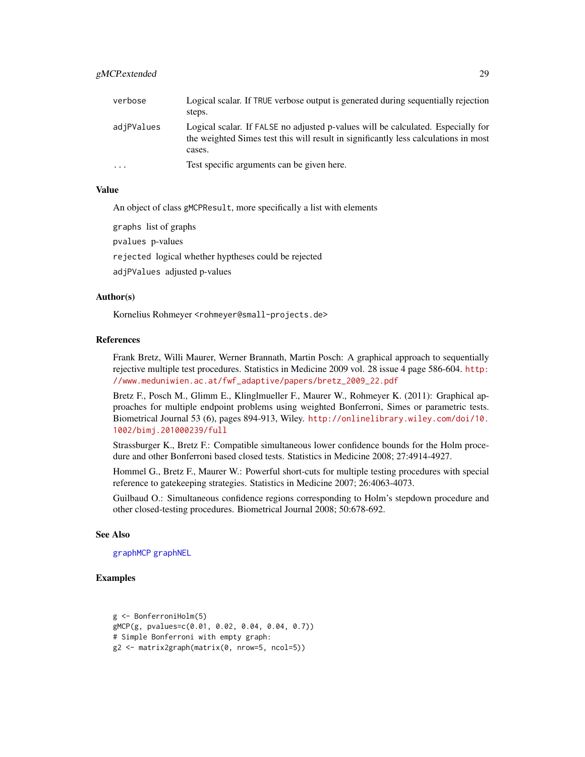<span id="page-28-0"></span>

| verbose                 | Logical scalar. If TRUE verbose output is generated during sequentially rejection<br>steps.                                                                                       |
|-------------------------|-----------------------------------------------------------------------------------------------------------------------------------------------------------------------------------|
| adjPValues              | Logical scalar. If FALSE no adjusted p-values will be calculated. Especially for<br>the weighted Simes test this will result in significantly less calculations in most<br>cases. |
| $\cdot$ $\cdot$ $\cdot$ | Test specific arguments can be given here.                                                                                                                                        |

## Value

An object of class gMCPResult, more specifically a list with elements

graphs list of graphs

pvalues p-values

rejected logical whether hyptheses could be rejected

adjPValues adjusted p-values

#### Author(s)

Kornelius Rohmeyer <rohmeyer@small-projects.de>

#### References

Frank Bretz, Willi Maurer, Werner Brannath, Martin Posch: A graphical approach to sequentially rejective multiple test procedures. Statistics in Medicine 2009 vol. 28 issue 4 page 586-604. [http:](http://www.meduniwien.ac.at/fwf_adaptive/papers/bretz_2009_22.pdf) [//www.meduniwien.ac.at/fwf\\_adaptive/papers/bretz\\_2009\\_22.pdf](http://www.meduniwien.ac.at/fwf_adaptive/papers/bretz_2009_22.pdf)

Bretz F., Posch M., Glimm E., Klinglmueller F., Maurer W., Rohmeyer K. (2011): Graphical approaches for multiple endpoint problems using weighted Bonferroni, Simes or parametric tests. Biometrical Journal 53 (6), pages 894-913, Wiley. [http://onlinelibrary.wiley.com/doi/10.](http://onlinelibrary.wiley.com/doi/10.1002/bimj.201000239/full) [1002/bimj.201000239/full](http://onlinelibrary.wiley.com/doi/10.1002/bimj.201000239/full)

Strassburger K., Bretz F.: Compatible simultaneous lower confidence bounds for the Holm procedure and other Bonferroni based closed tests. Statistics in Medicine 2008; 27:4914-4927.

Hommel G., Bretz F., Maurer W.: Powerful short-cuts for multiple testing procedures with special reference to gatekeeping strategies. Statistics in Medicine 2007; 26:4063-4073.

Guilbaud O.: Simultaneous confidence regions corresponding to Holm's stepdown procedure and other closed-testing procedures. Biometrical Journal 2008; 50:678-692.

#### See Also

[graphMCP](#page-35-1) [graphNEL](#page-0-0)

#### Examples

```
g <- BonferroniHolm(5)
gMCP(g, pvalues=c(0.01, 0.02, 0.04, 0.04, 0.7))
# Simple Bonferroni with empty graph:
g2 <- matrix2graph(matrix(0, nrow=5, ncol=5))
```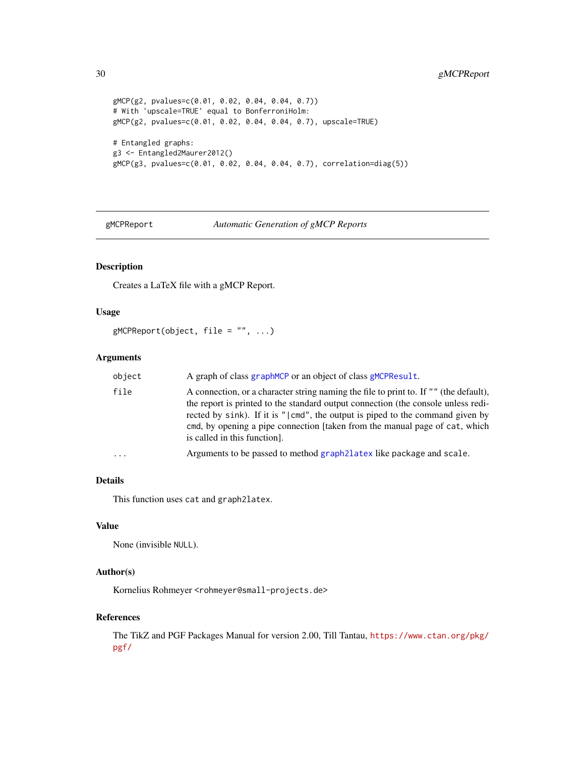```
gMCP(g2, pvalues=c(0.01, 0.02, 0.04, 0.04, 0.7))
# With 'upscale=TRUE' equal to BonferroniHolm:
gMCP(g2, pvalues=c(0.01, 0.02, 0.04, 0.04, 0.7), upscale=TRUE)
# Entangled graphs:
g3 <- Entangled2Maurer2012()
gMCP(g3, pvalues=c(0.01, 0.02, 0.04, 0.04, 0.7), correlation=diag(5))
```
<span id="page-29-1"></span>gMCPReport *Automatic Generation of gMCP Reports*

## Description

Creates a LaTeX file with a gMCP Report.

## Usage

 $g$ MCPReport(object, file = "", ...)

## Arguments

| object | A graph of class graphMCP or an object of class gMCPResult.                                                                                                                                                                                                                                                                                                               |
|--------|---------------------------------------------------------------------------------------------------------------------------------------------------------------------------------------------------------------------------------------------------------------------------------------------------------------------------------------------------------------------------|
| file   | A connection, or a character string naming the file to print to. If "" (the default),<br>the report is printed to the standard output connection (the console unless redi-<br>rected by sink). If it is " cmd", the output is piped to the command given by<br>cmd, by opening a pipe connection [taken from the manual page of cat, which<br>is called in this function. |
| .      | Arguments to be passed to method graph 2 latex like package and scale.                                                                                                                                                                                                                                                                                                    |

## Details

This function uses cat and graph2latex.

## Value

None (invisible NULL).

## Author(s)

Kornelius Rohmeyer <rohmeyer@small-projects.de>

#### References

The TikZ and PGF Packages Manual for version 2.00, Till Tantau, [https://www.ctan.org/pkg/](https://www.ctan.org/pkg/pgf/) [pgf/](https://www.ctan.org/pkg/pgf/)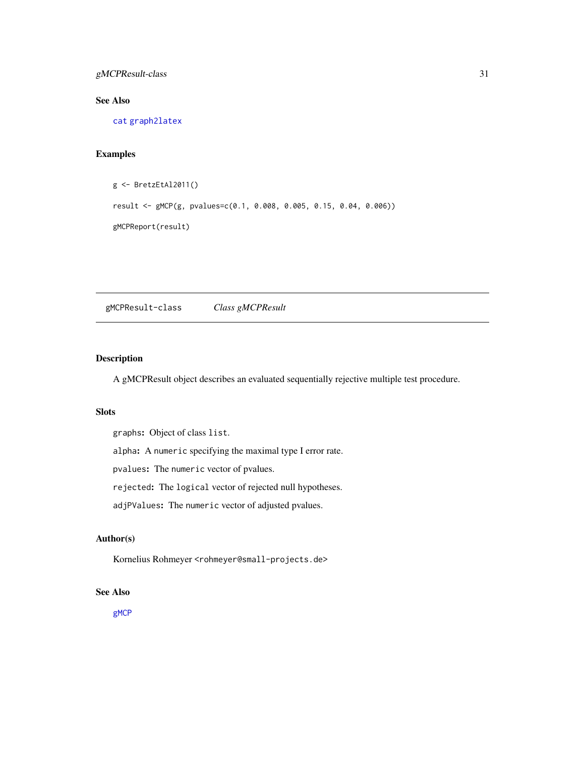## <span id="page-30-0"></span>gMCPResult-class 31

## See Also

[cat](#page-0-0) [graph2latex](#page-31-1)

## Examples

```
g <- BretzEtAl2011()
result <- gMCP(g, pvalues=c(0.1, 0.008, 0.005, 0.15, 0.04, 0.006))
gMCPReport(result)
```
gMCPResult-class *Class gMCPResult*

## <span id="page-30-1"></span>Description

A gMCPResult object describes an evaluated sequentially rejective multiple test procedure.

## **Slots**

graphs: Object of class list.

alpha: A numeric specifying the maximal type I error rate.

pvalues: The numeric vector of pvalues.

rejected: The logical vector of rejected null hypotheses.

adjPValues: The numeric vector of adjusted pvalues.

## Author(s)

Kornelius Rohmeyer <rohmeyer@small-projects.de>

#### See Also

[gMCP](#page-24-1)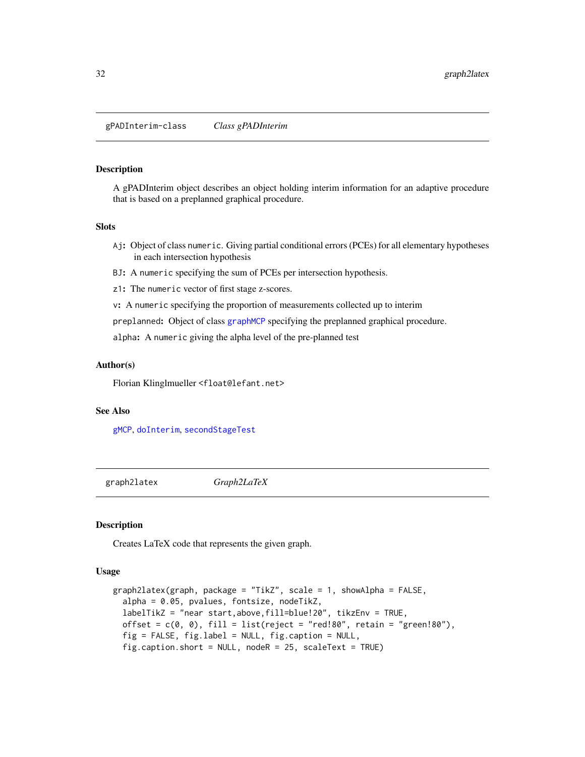<span id="page-31-0"></span>gPADInterim-class *Class gPADInterim*

#### <span id="page-31-2"></span>**Description**

A gPADInterim object describes an object holding interim information for an adaptive procedure that is based on a preplanned graphical procedure.

## Slots

- Aj: Object of class numeric. Giving partial conditional errors (PCEs) for all elementary hypotheses in each intersection hypothesis
- BJ: A numeric specifying the sum of PCEs per intersection hypothesis.
- z1: The numeric vector of first stage z-scores.
- v: A numeric specifying the proportion of measurements collected up to interim

preplanned: Object of class [graphMCP](#page-35-1) specifying the preplanned graphical procedure.

alpha: A numeric giving the alpha level of the pre-planned test

#### Author(s)

Florian Klinglmueller <float@lefant.net>

#### See Also

[gMCP](#page-24-1), [doInterim](#page-9-1), [secondStageTest](#page-51-1)

<span id="page-31-1"></span>graph2latex *Graph2LaTeX*

## **Description**

Creates LaTeX code that represents the given graph.

## Usage

```
graph2latex(graph, package = "TikZ", scale = 1, showAlpha = FALSE,
  alpha = 0.05, pvalues, fontsize, nodeTikZ,
  labelTikZ = "near start,above,fill=blue!20", tikzEnv = TRUE,
 offset = c(0, 0), fill = list(reject = "red!80", retain = "green!80"),
 fig = FALSE, fig.label = NULL, fig.caption = NULL,
  fig.caption.short = NULL, nodeR = 25, scaleText = TRUE)
```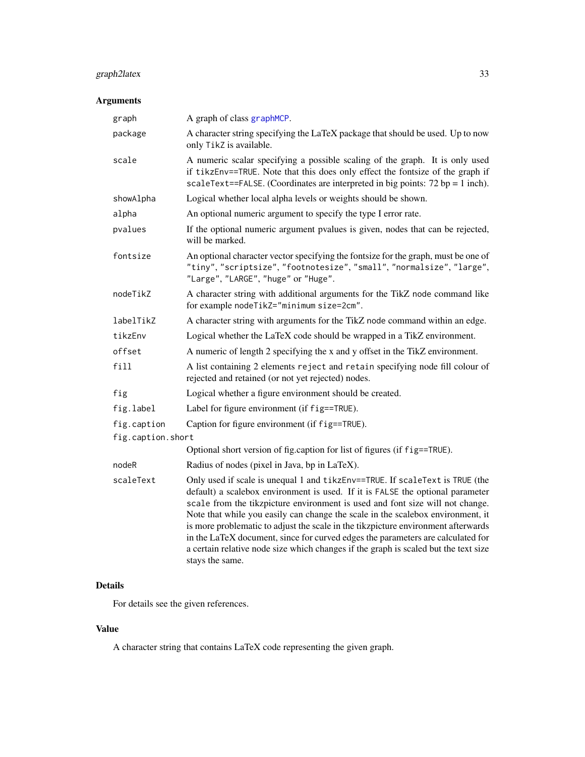## graph2latex 33

## Arguments

| graph             | A graph of class graphMCP.                                                                                                                                                                                                                                                                                                                                                                                                                                                                                                                                                                                           |
|-------------------|----------------------------------------------------------------------------------------------------------------------------------------------------------------------------------------------------------------------------------------------------------------------------------------------------------------------------------------------------------------------------------------------------------------------------------------------------------------------------------------------------------------------------------------------------------------------------------------------------------------------|
| package           | A character string specifying the LaTeX package that should be used. Up to now<br>only TikZ is available.                                                                                                                                                                                                                                                                                                                                                                                                                                                                                                            |
| scale             | A numeric scalar specifying a possible scaling of the graph. It is only used<br>if tikzEnv==TRUE. Note that this does only effect the fontsize of the graph if<br>scaleText==FALSE. (Coordinates are interpreted in big points: $72 bp = 1 inch$ ).                                                                                                                                                                                                                                                                                                                                                                  |
| showAlpha         | Logical whether local alpha levels or weights should be shown.                                                                                                                                                                                                                                                                                                                                                                                                                                                                                                                                                       |
| alpha             | An optional numeric argument to specify the type I error rate.                                                                                                                                                                                                                                                                                                                                                                                                                                                                                                                                                       |
| pvalues           | If the optional numeric argument pvalues is given, nodes that can be rejected,<br>will be marked.                                                                                                                                                                                                                                                                                                                                                                                                                                                                                                                    |
| fontsize          | An optional character vector specifying the fontsize for the graph, must be one of<br>"tiny", "scriptsize", "footnotesize", "small", "normalsize", "large",<br>"Large", "LARGE", "huge" or "Huge".                                                                                                                                                                                                                                                                                                                                                                                                                   |
| nodeTikZ          | A character string with additional arguments for the TikZ node command like<br>for example nodeTikZ="minimum size=2cm".                                                                                                                                                                                                                                                                                                                                                                                                                                                                                              |
| labelTikZ         | A character string with arguments for the TikZ node command within an edge.                                                                                                                                                                                                                                                                                                                                                                                                                                                                                                                                          |
| tikzEnv           | Logical whether the LaTeX code should be wrapped in a TikZ environment.                                                                                                                                                                                                                                                                                                                                                                                                                                                                                                                                              |
| offset            | A numeric of length 2 specifying the x and y offset in the TikZ environment.                                                                                                                                                                                                                                                                                                                                                                                                                                                                                                                                         |
| fill              | A list containing 2 elements reject and retain specifying node fill colour of<br>rejected and retained (or not yet rejected) nodes.                                                                                                                                                                                                                                                                                                                                                                                                                                                                                  |
| fig               | Logical whether a figure environment should be created.                                                                                                                                                                                                                                                                                                                                                                                                                                                                                                                                                              |
| fig.label         | Label for figure environment (if fig==TRUE).                                                                                                                                                                                                                                                                                                                                                                                                                                                                                                                                                                         |
| fig.caption       | Caption for figure environment (if fig==TRUE).                                                                                                                                                                                                                                                                                                                                                                                                                                                                                                                                                                       |
| fig.caption.short |                                                                                                                                                                                                                                                                                                                                                                                                                                                                                                                                                                                                                      |
|                   | Optional short version of fig.caption for list of figures (if fig==TRUE).                                                                                                                                                                                                                                                                                                                                                                                                                                                                                                                                            |
| nodeR             | Radius of nodes (pixel in Java, bp in LaTeX).                                                                                                                                                                                                                                                                                                                                                                                                                                                                                                                                                                        |
| scaleText         | Only used if scale is unequal 1 and tikzEnv==TRUE. If scaleText is TRUE (the<br>default) a scalebox environment is used. If it is FALSE the optional parameter<br>scale from the tikzpicture environment is used and font size will not change.<br>Note that while you easily can change the scale in the scalebox environment, it<br>is more problematic to adjust the scale in the tikzpicture environment afterwards<br>in the LaTeX document, since for curved edges the parameters are calculated for<br>a certain relative node size which changes if the graph is scaled but the text size<br>stays the same. |
|                   |                                                                                                                                                                                                                                                                                                                                                                                                                                                                                                                                                                                                                      |

## Details

For details see the given references.

## Value

A character string that contains LaTeX code representing the given graph.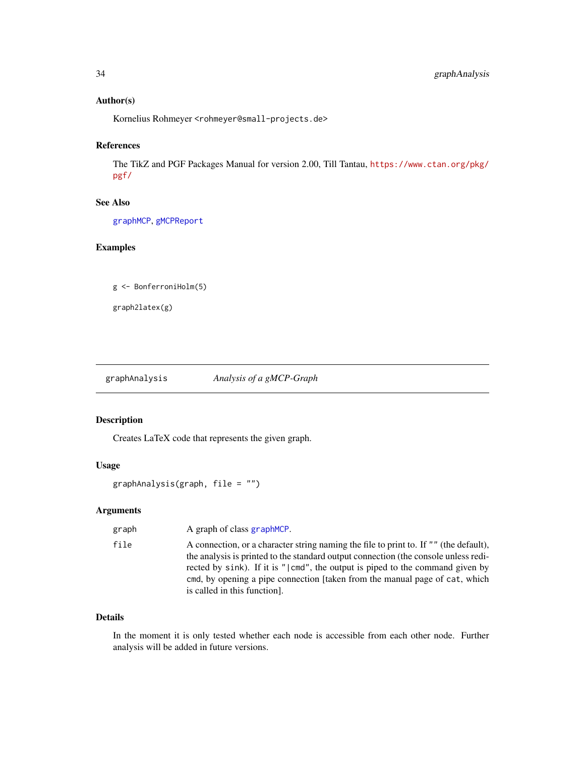## <span id="page-33-0"></span>Author(s)

Kornelius Rohmeyer <rohmeyer@small-projects.de>

## References

The TikZ and PGF Packages Manual for version 2.00, Till Tantau, [https://www.ctan.org/pkg/](https://www.ctan.org/pkg/pgf/) [pgf/](https://www.ctan.org/pkg/pgf/)

## See Also

[graphMCP](#page-35-1), [gMCPReport](#page-29-1)

## Examples

```
g <- BonferroniHolm(5)
```
graph2latex(g)

graphAnalysis *Analysis of a gMCP-Graph*

## Description

Creates LaTeX code that represents the given graph.

## Usage

```
graphAnalysis(graph, file = "")
```
## Arguments

| graph | A graph of class graph MCP.                                                                                                                                                                                                                                                                                                                                                   |
|-------|-------------------------------------------------------------------------------------------------------------------------------------------------------------------------------------------------------------------------------------------------------------------------------------------------------------------------------------------------------------------------------|
| file  | A connection, or a character string naming the file to print to. If "" (the default),<br>the analysis is printed to the standard output connection (the console unless redi-<br>rected by sink). If it is "   cmd", the output is piped to the command given by<br>cmd, by opening a pipe connection [taken from the manual page of cat, which<br>is called in this function. |

## Details

In the moment it is only tested whether each node is accessible from each other node. Further analysis will be added in future versions.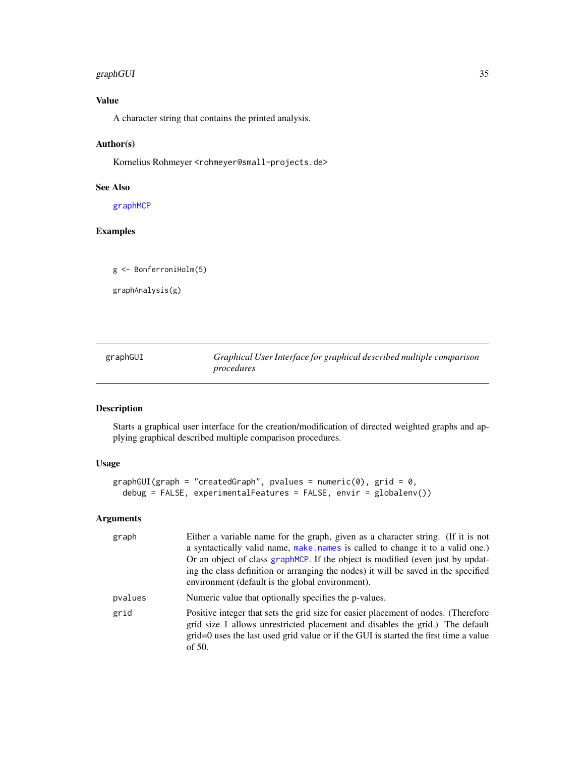## <span id="page-34-0"></span>graphGUI 35

## Value

A character string that contains the printed analysis.

## Author(s)

Kornelius Rohmeyer <rohmeyer@small-projects.de>

## See Also

[graphMCP](#page-35-1)

## Examples

g <- BonferroniHolm(5)

graphAnalysis(g)

<span id="page-34-1"></span>graphGUI *Graphical User Interface for graphical described multiple comparison procedures*

#### Description

Starts a graphical user interface for the creation/modification of directed weighted graphs and applying graphical described multiple comparison procedures.

## Usage

```
graphGUI(graph = "createdGraph", pvalues = numeric(0), grid = 0,
 debug = FALSE, experimentalFeatures = FALSE, envir = globalenv())
```

| graph   | Either a variable name for the graph, given as a character string. (If it is not<br>a syntactically valid name, make names is called to change it to a valid one.)<br>Or an object of class graphMCP. If the object is modified (even just by updat-<br>ing the class definition or arranging the nodes) it will be saved in the specified<br>environment (default is the global environment). |
|---------|------------------------------------------------------------------------------------------------------------------------------------------------------------------------------------------------------------------------------------------------------------------------------------------------------------------------------------------------------------------------------------------------|
| pvalues | Numeric value that optionally specifies the p-values.                                                                                                                                                                                                                                                                                                                                          |
| grid    | Positive integer that sets the grid size for easier placement of nodes. (Therefore<br>grid size 1 allows unrestricted placement and disables the grid.) The default<br>grid=0 uses the last used grid value or if the GUI is started the first time a value<br>of 50.                                                                                                                          |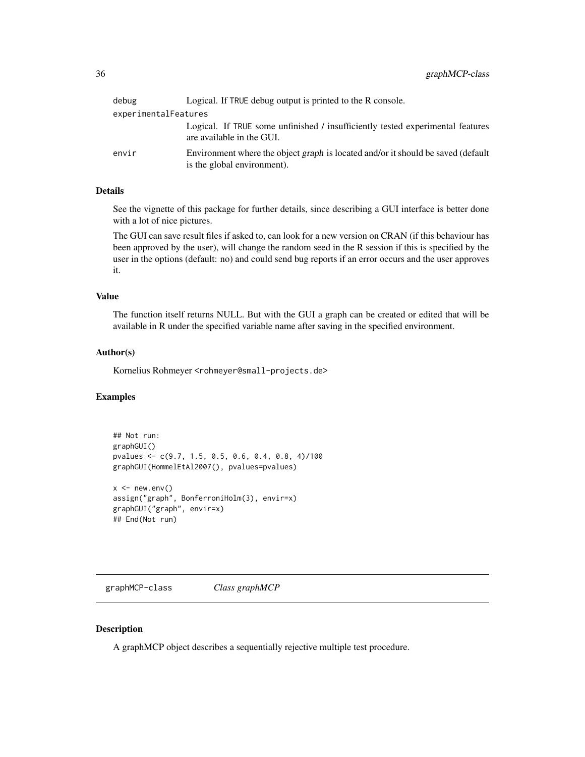<span id="page-35-0"></span>

| debug                | Logical. If TRUE debug output is printed to the R console.                                                      |
|----------------------|-----------------------------------------------------------------------------------------------------------------|
| experimentalFeatures |                                                                                                                 |
|                      | Logical. If TRUE some unfinished / insufficiently tested experimental features<br>are available in the GUI.     |
| envir                | Environment where the object graph is located and/or it should be saved (default<br>is the global environment). |

## Details

See the vignette of this package for further details, since describing a GUI interface is better done with a lot of nice pictures.

The GUI can save result files if asked to, can look for a new version on CRAN (if this behaviour has been approved by the user), will change the random seed in the R session if this is specified by the user in the options (default: no) and could send bug reports if an error occurs and the user approves it.

## Value

The function itself returns NULL. But with the GUI a graph can be created or edited that will be available in R under the specified variable name after saving in the specified environment.

## Author(s)

Kornelius Rohmeyer <rohmeyer@small-projects.de>

## Examples

## Not run: graphGUI() pvalues <- c(9.7, 1.5, 0.5, 0.6, 0.4, 0.8, 4)/100 graphGUI(HommelEtAl2007(), pvalues=pvalues)  $x \le -$  new.env() assign("graph", BonferroniHolm(3), envir=x) graphGUI("graph", envir=x) ## End(Not run)

graphMCP-class *Class graphMCP*

## <span id="page-35-1"></span>Description

A graphMCP object describes a sequentially rejective multiple test procedure.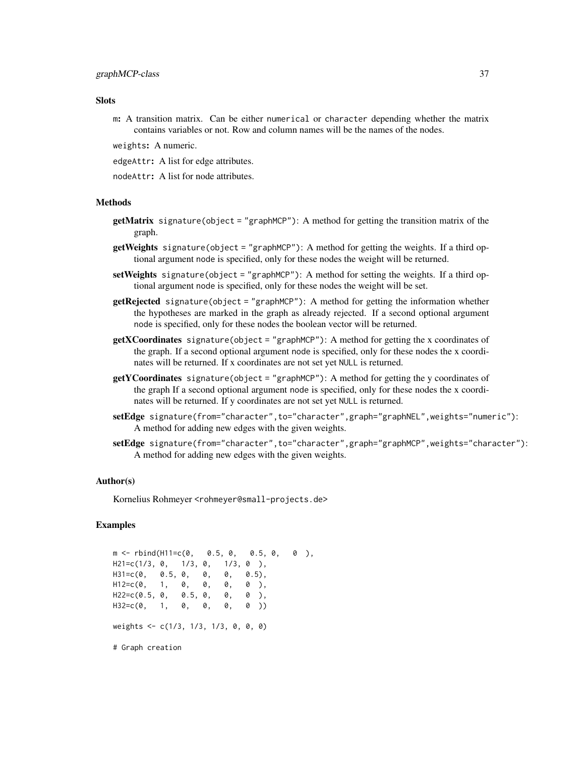## **Slots**

- m: A transition matrix. Can be either numerical or character depending whether the matrix contains variables or not. Row and column names will be the names of the nodes.
- weights: A numeric.

edgeAttr: A list for edge attributes.

nodeAttr: A list for node attributes.

#### **Methods**

- getMatrix signature(object = "graphMCP"): A method for getting the transition matrix of the graph.
- getWeights signature(object = "graphMCP"): A method for getting the weights. If a third optional argument node is specified, only for these nodes the weight will be returned.
- setWeights signature(object = "graphMCP"): A method for setting the weights. If a third optional argument node is specified, only for these nodes the weight will be set.
- getRejected signature(object = "graphMCP"): A method for getting the information whether the hypotheses are marked in the graph as already rejected. If a second optional argument node is specified, only for these nodes the boolean vector will be returned.
- getXCoordinates signature(object = "graphMCP"): A method for getting the x coordinates of the graph. If a second optional argument node is specified, only for these nodes the x coordinates will be returned. If x coordinates are not set yet NULL is returned.
- getYCoordinates signature(object = "graphMCP"): A method for getting the y coordinates of the graph If a second optional argument node is specified, only for these nodes the x coordinates will be returned. If y coordinates are not set yet NULL is returned.
- setEdge signature(from="character",to="character",graph="graphNEL",weights="numeric"): A method for adding new edges with the given weights.
- setEdge signature(from="character",to="character",graph="graphMCP",weights="character"): A method for adding new edges with the given weights.

#### Author(s)

Kornelius Rohmeyer <rohmeyer@small-projects.de>

## Examples

```
m \le - rbind(H11=c(0, 0.5, 0, 0.5, 0, 0),
H21=c(1/3, 0, 1/3, 0, 1/3, 0 ),
H31=c(0, 0.5, 0, 0, 0, 0.5),
H12=c(0, 1, 0, 0, 0, 0)H22=c(0.5, 0, 0.5, 0, 0, 0,H32=c(0, 1, 0, 0, 0, 0)weights <- c(1/3, 1/3, 1/3, 0, 0, 0)
# Graph creation
```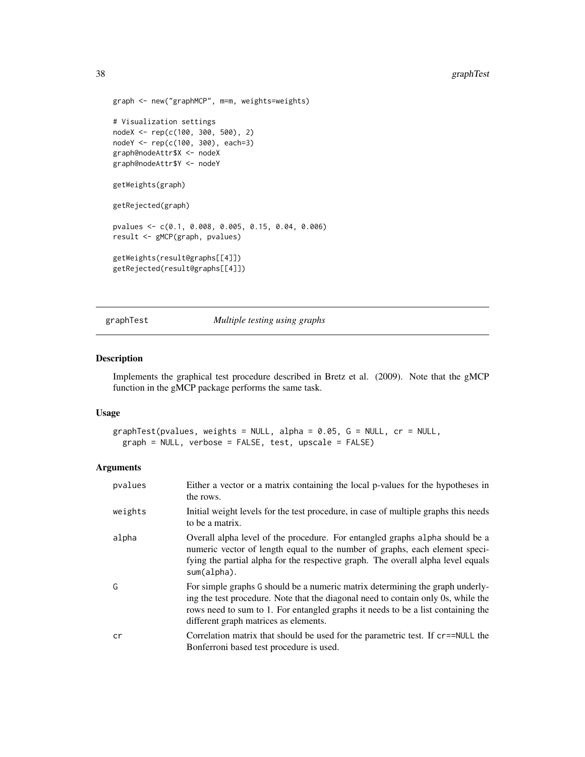```
graph <- new("graphMCP", m=m, weights=weights)
# Visualization settings
nodeX <- rep(c(100, 300, 500), 2)
nodeY <- rep(c(100, 300), each=3)
graph@nodeAttr$X <- nodeX
graph@nodeAttr$Y <- nodeY
getWeights(graph)
getRejected(graph)
pvalues <- c(0.1, 0.008, 0.005, 0.15, 0.04, 0.006)
result <- gMCP(graph, pvalues)
getWeights(result@graphs[[4]])
getRejected(result@graphs[[4]])
```
graphTest *Multiple testing using graphs*

## Description

Implements the graphical test procedure described in Bretz et al. (2009). Note that the gMCP function in the gMCP package performs the same task.

## Usage

```
graphTest(pvalues, weights = NULL, alpha = 0.05, G = NULL, cr = NULL,graph = NULL, verbose = FALSE, test, upscale = FALSE)
```

| pvalues | Either a vector or a matrix containing the local p-values for the hypotheses in<br>the rows.                                                                                                                                                                                                    |
|---------|-------------------------------------------------------------------------------------------------------------------------------------------------------------------------------------------------------------------------------------------------------------------------------------------------|
| weights | Initial weight levels for the test procedure, in case of multiple graphs this needs<br>to be a matrix.                                                                                                                                                                                          |
| alpha   | Overall alpha level of the procedure. For entangled graphs alpha should be a<br>numeric vector of length equal to the number of graphs, each element speci-<br>fying the partial alpha for the respective graph. The overall alpha level equals<br>sum(alpha).                                  |
| G       | For simple graphs G should be a numeric matrix determining the graph underly-<br>ing the test procedure. Note that the diagonal need to contain only 0s, while the<br>rows need to sum to 1. For entangled graphs it needs to be a list containing the<br>different graph matrices as elements. |
| cr      | Correlation matrix that should be used for the parametric test. If cr==NULL the<br>Bonferroni based test procedure is used.                                                                                                                                                                     |

<span id="page-37-0"></span>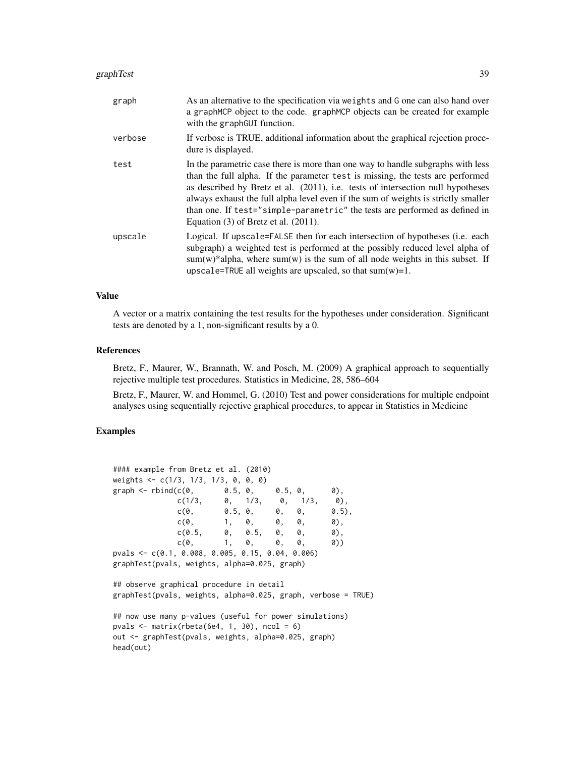#### graphTest 39

| graph   | As an alternative to the specification via weights and G one can also hand over<br>a graphMCP object to the code. graphMCP objects can be created for example<br>with the graph GUI function.                                                                                                                                                                                                                                                                             |
|---------|---------------------------------------------------------------------------------------------------------------------------------------------------------------------------------------------------------------------------------------------------------------------------------------------------------------------------------------------------------------------------------------------------------------------------------------------------------------------------|
| verbose | If verbose is TRUE, additional information about the graphical rejection proce-<br>dure is displayed.                                                                                                                                                                                                                                                                                                                                                                     |
| test    | In the parametric case there is more than one way to handle subgraphs with less<br>than the full alpha. If the parameter test is missing, the tests are performed<br>as described by Bretz et al. $(2011)$ , i.e. tests of intersection null hypotheses<br>always exhaust the full alpha level even if the sum of weights is strictly smaller<br>than one. If test="simple-parametric" the tests are performed as defined in<br>Equation $(3)$ of Bretz et al. $(2011)$ . |
| upscale | Logical. If upscale=FALSE then for each intersection of hypotheses (i.e. each<br>subgraph) a weighted test is performed at the possibly reduced level alpha of<br>$sum(w)*alpha$ , where sum(w) is the sum of all node weights in this subset. If<br>upscale=TRUE all weights are upscaled, so that $sum(w)=1$ .                                                                                                                                                          |

## Value

A vector or a matrix containing the test results for the hypotheses under consideration. Significant tests are denoted by a 1, non-significant results by a 0.

#### References

Bretz, F., Maurer, W., Brannath, W. and Posch, M. (2009) A graphical approach to sequentially rejective multiple test procedures. Statistics in Medicine, 28, 586–604

Bretz, F., Maurer, W. and Hommel, G. (2010) Test and power considerations for multiple endpoint analyses using sequentially rejective graphical procedures, to appear in Statistics in Medicine

## Examples

| #### example from Bretz et al. (2010)<br>weights <- c(1/3, 1/3, 1/3, 0, 0, 0)                                                                                                    |                            |  |  |  |
|----------------------------------------------------------------------------------------------------------------------------------------------------------------------------------|----------------------------|--|--|--|
| $graph \leq rbind(c(0, 0.5, 0, 0.5, 0, 0),$                                                                                                                                      |                            |  |  |  |
|                                                                                                                                                                                  | c(1/3, 0, 1/3, 0, 1/3, 0), |  |  |  |
|                                                                                                                                                                                  | C(0, 0.5, 0, 0, 0, 0.5),   |  |  |  |
|                                                                                                                                                                                  | C(0, 1, 0, 0, 0, 0),       |  |  |  |
|                                                                                                                                                                                  | C(0.5, 0, 0.5, 0, 0, 0),   |  |  |  |
|                                                                                                                                                                                  | C(0, 1, 0, 0, 0, 0)        |  |  |  |
| pvals <- c(0.1, 0.008, 0.005, 0.15, 0.04, 0.006)                                                                                                                                 |                            |  |  |  |
| graphTest(pvals, weights, alpha=0.025, graph)                                                                                                                                    |                            |  |  |  |
| ## observe graphical procedure in detail<br>graphTest(pvals, weights, alpha=0.025, graph, verbose = TRUE)                                                                        |                            |  |  |  |
| ## now use many p-values (useful for power simulations)<br>pvals $\leq$ matrix(rbeta(6e4, 1, 30), ncol = 6)<br>out <- graphTest(pvals, weights, alpha=0.025, graph)<br>head(out) |                            |  |  |  |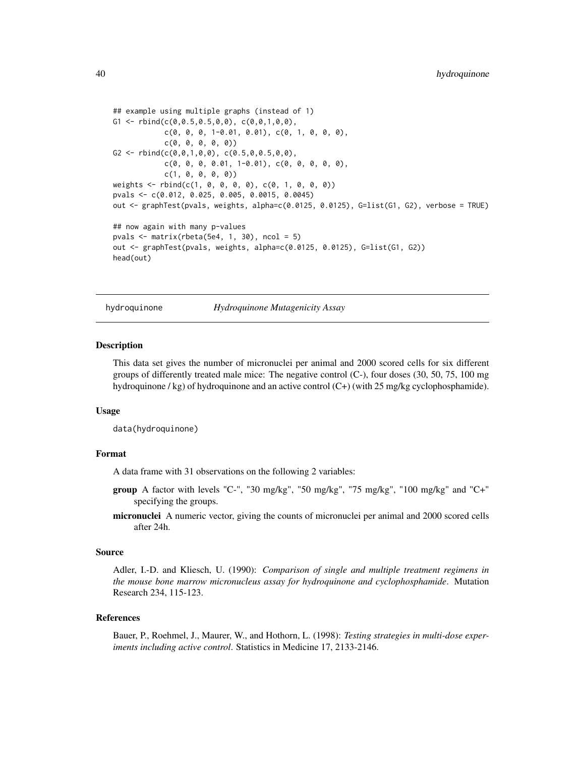```
## example using multiple graphs (instead of 1)
G1 <- rbind(c(\emptyset, \emptyset.5, \emptyset.5, \emptyset, \emptyset), c(\emptyset, \emptyset, 1, \emptyset, \emptyset),c(0, 0, 0, 1-0.01, 0.01), c(0, 1, 0, 0, 0),
                c(\emptyset, \emptyset, \emptyset, \emptyset, \emptyset)G2 \leq -rbind(c(\emptyset, \emptyset, 1, \emptyset, \emptyset), c(\emptyset.5, \emptyset, \emptyset.5, \emptyset, \emptyset),c(0, 0, 0, 0.01, 1-0.01), c(0, 0, 0, 0, 0),c(1, 0, 0, 0, 0))
weights <- rbind(c(1, 0, 0, 0, 0), c(0, 1, 0, 0, 0))
pvals <- c(0.012, 0.025, 0.005, 0.0015, 0.0045)
out <- graphTest(pvals, weights, alpha=c(0.0125, 0.0125), G=list(G1, G2), verbose = TRUE)
## now again with many p-values
pvals \leq matrix(rbeta(5e4, 1, 30), ncol = 5)
out <- graphTest(pvals, weights, alpha=c(0.0125, 0.0125), G=list(G1, G2))
head(out)
```
hydroquinone *Hydroquinone Mutagenicity Assay*

#### **Description**

This data set gives the number of micronuclei per animal and 2000 scored cells for six different groups of differently treated male mice: The negative control (C-), four doses (30, 50, 75, 100 mg hydroquinone / kg) of hydroquinone and an active control (C+) (with 25 mg/kg cyclophosphamide).

## Usage

data(hydroquinone)

#### Format

A data frame with 31 observations on the following 2 variables:

- group A factor with levels "C-", "30 mg/kg", "50 mg/kg", "75 mg/kg", "100 mg/kg" and "C+" specifying the groups.
- micronuclei A numeric vector, giving the counts of micronuclei per animal and 2000 scored cells after 24h.

#### Source

Adler, I.-D. and Kliesch, U. (1990): *Comparison of single and multiple treatment regimens in the mouse bone marrow micronucleus assay for hydroquinone and cyclophosphamide*. Mutation Research 234, 115-123.

#### References

Bauer, P., Roehmel, J., Maurer, W., and Hothorn, L. (1998): *Testing strategies in multi-dose experiments including active control*. Statistics in Medicine 17, 2133-2146.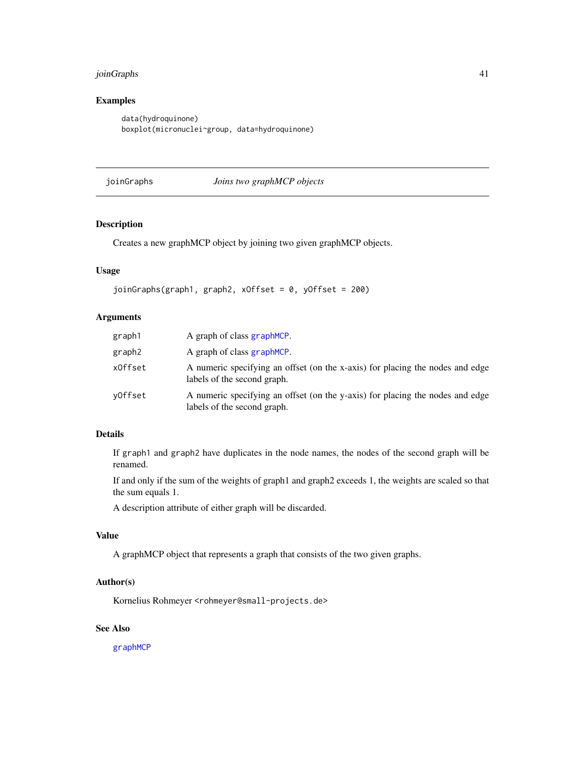## <span id="page-40-0"></span>joinGraphs 41

## Examples

```
data(hydroquinone)
boxplot(micronuclei~group, data=hydroquinone)
```
joinGraphs *Joins two graphMCP objects*

## Description

Creates a new graphMCP object by joining two given graphMCP objects.

## Usage

```
joinGraphs(graph1, graph2, xOffset = 0, yOffset = 200)
```
## Arguments

| graph1  | A graph of class graphMCP.                                                                                   |
|---------|--------------------------------------------------------------------------------------------------------------|
| graph2  | A graph of class graph MCP.                                                                                  |
| xOffset | A numeric specifying an offset (on the x-axis) for placing the nodes and edge<br>labels of the second graph. |
| yOffset | A numeric specifying an offset (on the y-axis) for placing the nodes and edge<br>labels of the second graph. |

## Details

If graph1 and graph2 have duplicates in the node names, the nodes of the second graph will be renamed.

If and only if the sum of the weights of graph1 and graph2 exceeds 1, the weights are scaled so that the sum equals 1.

A description attribute of either graph will be discarded.

## Value

A graphMCP object that represents a graph that consists of the two given graphs.

#### Author(s)

Kornelius Rohmeyer <rohmeyer@small-projects.de>

## See Also

[graphMCP](#page-35-1)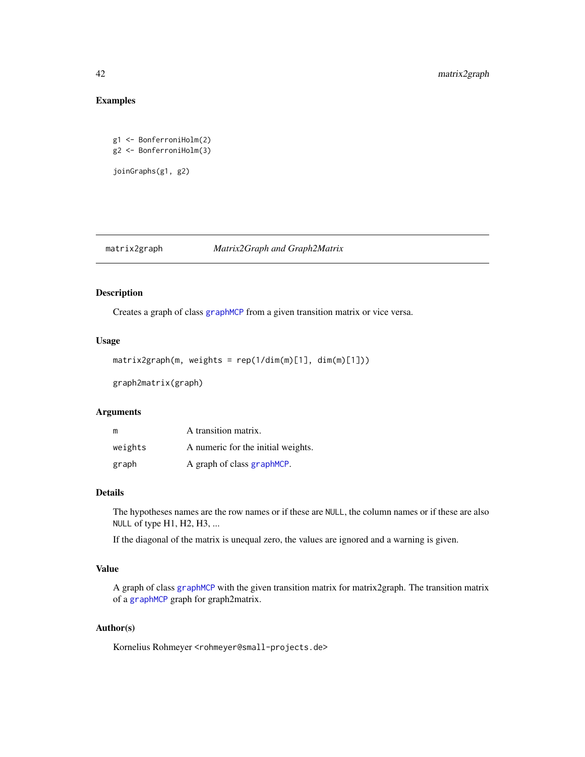## <span id="page-41-0"></span>Examples

```
g1 <- BonferroniHolm(2)
g2 <- BonferroniHolm(3)
joinGraphs(g1, g2)
```
<span id="page-41-1"></span>matrix2graph *Matrix2Graph and Graph2Matrix*

## Description

Creates a graph of class [graphMCP](#page-35-1) from a given transition matrix or vice versa.

## Usage

 $matrix2graph(m, weights = rep(1/dim(m)[1], dim(m)[1]))$ 

graph2matrix(graph)

## Arguments

| m       | A transition matrix.               |
|---------|------------------------------------|
| weights | A numeric for the initial weights. |
| graph   | A graph of class graph MCP.        |

## Details

The hypotheses names are the row names or if these are NULL, the column names or if these are also NULL of type H1, H2, H3, ...

If the diagonal of the matrix is unequal zero, the values are ignored and a warning is given.

## Value

A graph of class [graphMCP](#page-35-1) with the given transition matrix for matrix2graph. The transition matrix of a [graphMCP](#page-35-1) graph for graph2matrix.

#### Author(s)

Kornelius Rohmeyer <rohmeyer@small-projects.de>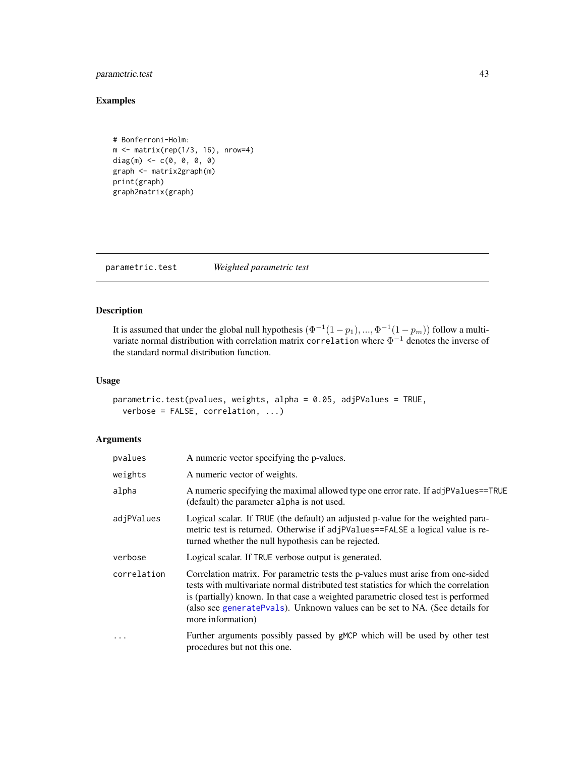## <span id="page-42-0"></span>parametric.test 43

## Examples

```
# Bonferroni-Holm:
m \leq - matrix(rep(1/3, 16), nrow=4)
diag(m) <- c(0, 0, 0, 0)graph <- matrix2graph(m)
print(graph)
graph2matrix(graph)
```
parametric.test *Weighted parametric test*

## Description

It is assumed that under the global null hypothesis  $(\Phi^{-1}(1-p_1), ..., \Phi^{-1}(1-p_m))$  follow a multivariate normal distribution with correlation matrix correlation where  $\Phi^{-1}$  denotes the inverse of the standard normal distribution function.

#### Usage

```
parametric.test(pvalues, weights, alpha = 0.05, adjPValues = TRUE,
 verbose = FALSE, correlation, ...)
```

| pvalues     | A numeric vector specifying the p-values.                                                                                                                                                                                                                                                                                                                        |
|-------------|------------------------------------------------------------------------------------------------------------------------------------------------------------------------------------------------------------------------------------------------------------------------------------------------------------------------------------------------------------------|
| weights     | A numeric vector of weights.                                                                                                                                                                                                                                                                                                                                     |
| alpha       | A numeric specifying the maximal allowed type one error rate. If adjPValues==TRUE<br>(default) the parameter alpha is not used.                                                                                                                                                                                                                                  |
| adjPValues  | Logical scalar. If TRUE (the default) an adjusted p-value for the weighted para-<br>metric test is returned. Otherwise if adjPValues==FALSE a logical value is re-<br>turned whether the null hypothesis can be rejected.                                                                                                                                        |
| verbose     | Logical scalar. If TRUE verbose output is generated.                                                                                                                                                                                                                                                                                                             |
| correlation | Correlation matrix. For parametric tests the p-values must arise from one-sided<br>tests with multivariate normal distributed test statistics for which the correlation<br>is (partially) known. In that case a weighted parametric closed test is performed<br>(also see generatePvals). Unknown values can be set to NA. (See details for<br>more information) |
| $\ddotsc$   | Further arguments possibly passed by gMCP which will be used by other test<br>procedures but not this one.                                                                                                                                                                                                                                                       |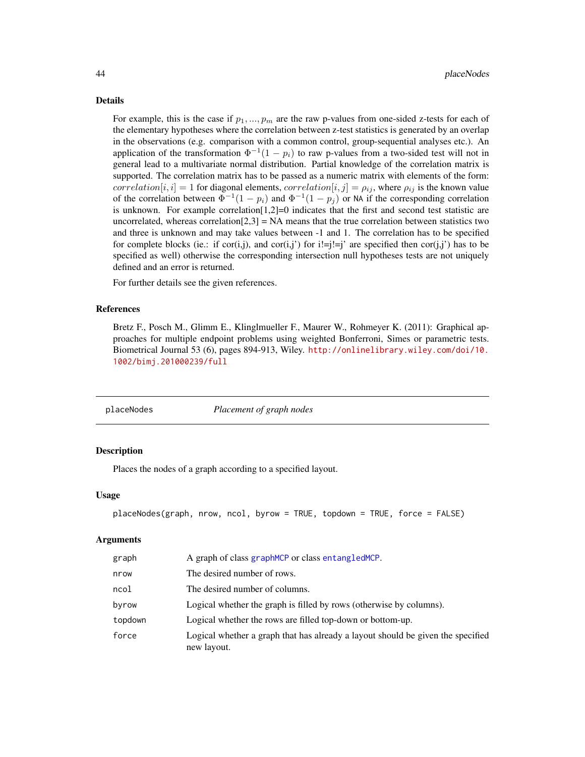#### <span id="page-43-0"></span>Details

For example, this is the case if  $p_1, ..., p_m$  are the raw p-values from one-sided z-tests for each of the elementary hypotheses where the correlation between z-test statistics is generated by an overlap in the observations (e.g. comparison with a common control, group-sequential analyses etc.). An application of the transformation  $\Phi^{-1}(1-p_i)$  to raw p-values from a two-sided test will not in general lead to a multivariate normal distribution. Partial knowledge of the correlation matrix is supported. The correlation matrix has to be passed as a numeric matrix with elements of the form: correlation $[i, i] = 1$  for diagonal elements, correlation $[i, j] = \rho_{ij}$ , where  $\rho_{ij}$  is the known value of the correlation between  $\Phi^{-1}(1-p_i)$  and  $\Phi^{-1}(1-p_j)$  or NA if the corresponding correlation is unknown. For example correlation $[1,2]=0$  indicates that the first and second test statistic are uncorrelated, whereas correlation $[2,3] = NA$  means that the true correlation between statistics two and three is unknown and may take values between -1 and 1. The correlation has to be specified for complete blocks (ie.: if cor(i,j), and cor(i,j') for  $i|=j|=j'$  are specified then cor(j,j') has to be specified as well) otherwise the corresponding intersection null hypotheses tests are not uniquely defined and an error is returned.

For further details see the given references.

## References

Bretz F., Posch M., Glimm E., Klinglmueller F., Maurer W., Rohmeyer K. (2011): Graphical approaches for multiple endpoint problems using weighted Bonferroni, Simes or parametric tests. Biometrical Journal 53 (6), pages 894-913, Wiley. [http://onlinelibrary.wiley.com/doi/10.](http://onlinelibrary.wiley.com/doi/10.1002/bimj.201000239/full) [1002/bimj.201000239/full](http://onlinelibrary.wiley.com/doi/10.1002/bimj.201000239/full)

| placeNodes |
|------------|
|            |

## **Placement of graph nodes**

## Description

Places the nodes of a graph according to a specified layout.

#### Usage

```
placeNodes(graph, nrow, ncol, byrow = TRUE, topdown = TRUE, force = FALSE)
```

| graph   | A graph of class graphMCP or class entangledMCP.                                               |
|---------|------------------------------------------------------------------------------------------------|
| nrow    | The desired number of rows.                                                                    |
| ncol    | The desired number of columns.                                                                 |
| byrow   | Logical whether the graph is filled by rows (otherwise by columns).                            |
| topdown | Logical whether the rows are filled top-down or bottom-up.                                     |
| force   | Logical whether a graph that has already a layout should be given the specified<br>new layout. |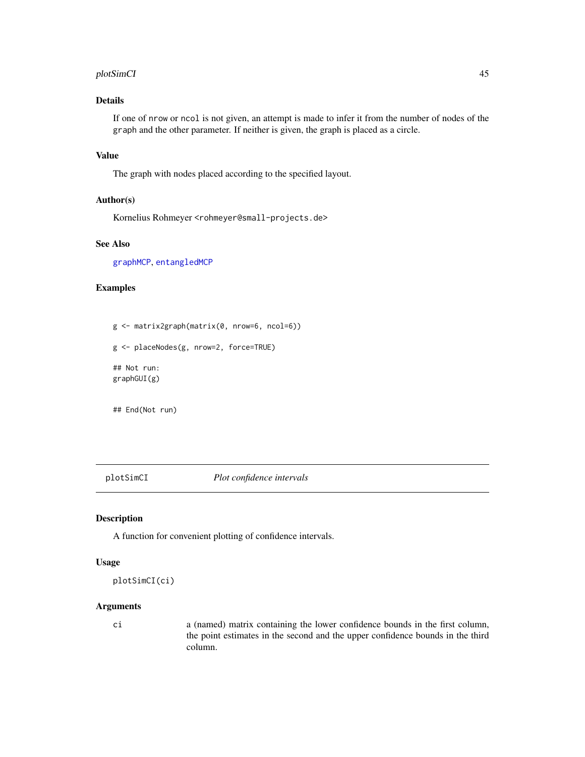## <span id="page-44-0"></span>plotSimCI 45

## Details

If one of nrow or ncol is not given, an attempt is made to infer it from the number of nodes of the graph and the other parameter. If neither is given, the graph is placed as a circle.

#### Value

The graph with nodes placed according to the specified layout.

## Author(s)

Kornelius Rohmeyer <rohmeyer@small-projects.de>

## See Also

[graphMCP](#page-35-1), [entangledMCP](#page-11-1)

## Examples

g <- matrix2graph(matrix(0, nrow=6, ncol=6)) g <- placeNodes(g, nrow=2, force=TRUE) ## Not run: graphGUI(g)

## End(Not run)

plotSimCI *Plot confidence intervals*

## Description

A function for convenient plotting of confidence intervals.

## Usage

```
plotSimCI(ci)
```
## Arguments

ci a (named) matrix containing the lower confidence bounds in the first column, the point estimates in the second and the upper confidence bounds in the third column.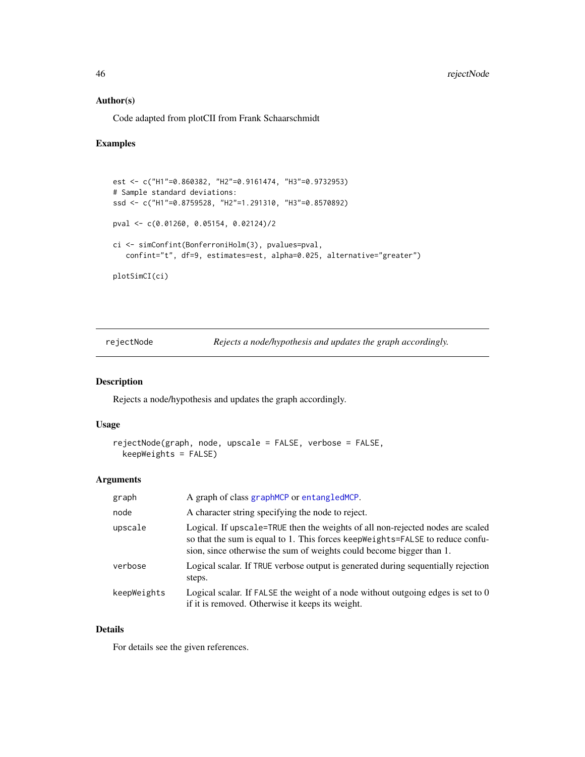#### Author(s)

Code adapted from plotCII from Frank Schaarschmidt

#### Examples

```
est <- c("H1"=0.860382, "H2"=0.9161474, "H3"=0.9732953)
# Sample standard deviations:
ssd <- c("H1"=0.8759528, "H2"=1.291310, "H3"=0.8570892)
pval <- c(0.01260, 0.05154, 0.02124)/2
ci <- simConfint(BonferroniHolm(3), pvalues=pval,
   confint="t", df=9, estimates=est, alpha=0.025, alternative="greater")
plotSimCI(ci)
```
rejectNode *Rejects a node/hypothesis and updates the graph accordingly.*

## Description

Rejects a node/hypothesis and updates the graph accordingly.

## Usage

```
rejectNode(graph, node, upscale = FALSE, verbose = FALSE,
 keepWeights = FALSE)
```
## Arguments

| graph       | A graph of class graphMCP or entangledMCP.                                                                                                                                                                                               |
|-------------|------------------------------------------------------------------------------------------------------------------------------------------------------------------------------------------------------------------------------------------|
| node        | A character string specifying the node to reject.                                                                                                                                                                                        |
| upscale     | Logical. If upscale=TRUE then the weights of all non-rejected nodes are scaled<br>so that the sum is equal to 1. This forces keep Weights=FALSE to reduce confu-<br>sion, since otherwise the sum of weights could become bigger than 1. |
| verbose     | Logical scalar. If TRUE verbose output is generated during sequentially rejection<br>steps.                                                                                                                                              |
| keepWeights | Logical scalar. If FALSE the weight of a node without outgoing edges is set to $0$<br>if it is removed. Otherwise it keeps its weight.                                                                                                   |

## Details

For details see the given references.

<span id="page-45-0"></span>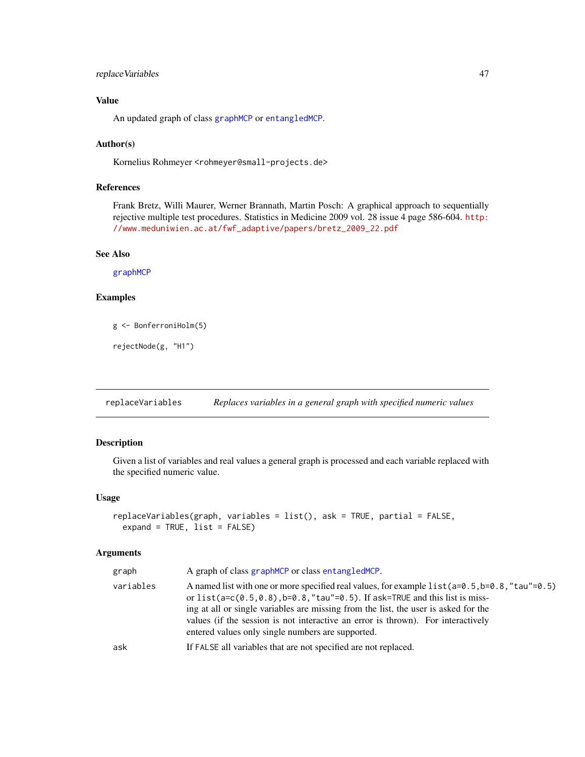## <span id="page-46-0"></span>replaceVariables 47

## Value

An updated graph of class [graphMCP](#page-35-1) or [entangledMCP](#page-11-1).

#### Author(s)

Kornelius Rohmeyer <rohmeyer@small-projects.de>

## References

Frank Bretz, Willi Maurer, Werner Brannath, Martin Posch: A graphical approach to sequentially rejective multiple test procedures. Statistics in Medicine 2009 vol. 28 issue 4 page 586-604. [http:](http://www.meduniwien.ac.at/fwf_adaptive/papers/bretz_2009_22.pdf) [//www.meduniwien.ac.at/fwf\\_adaptive/papers/bretz\\_2009\\_22.pdf](http://www.meduniwien.ac.at/fwf_adaptive/papers/bretz_2009_22.pdf)

#### See Also

[graphMCP](#page-35-1)

## Examples

g <- BonferroniHolm(5)

rejectNode(g, "H1")

replaceVariables *Replaces variables in a general graph with specified numeric values*

## Description

Given a list of variables and real values a general graph is processed and each variable replaced with the specified numeric value.

#### Usage

```
replaceVariables(graph, variables = list(), ask = TRUE, partial = FALSE,
 expand = TRUE, list = FALSE)
```

| graph     | A graph of class graphMCP or class entangledMCP.                                                                                                                                                                                                                                                                                                                                                                          |
|-----------|---------------------------------------------------------------------------------------------------------------------------------------------------------------------------------------------------------------------------------------------------------------------------------------------------------------------------------------------------------------------------------------------------------------------------|
| variables | A named list with one or more specified real values, for example $list(a=0.5, b=0.8, "tau" = 0.5)$<br>or list( $a=c(0.5, 0.8)$ , $b=0.8$ , "tau"=0.5). If ask=TRUE and this list is miss-<br>ing at all or single variables are missing from the list, the user is asked for the<br>values (if the session is not interactive an error is thrown). For interactively<br>entered values only single numbers are supported. |
| ask       | If FALSE all variables that are not specified are not replaced.                                                                                                                                                                                                                                                                                                                                                           |
|           |                                                                                                                                                                                                                                                                                                                                                                                                                           |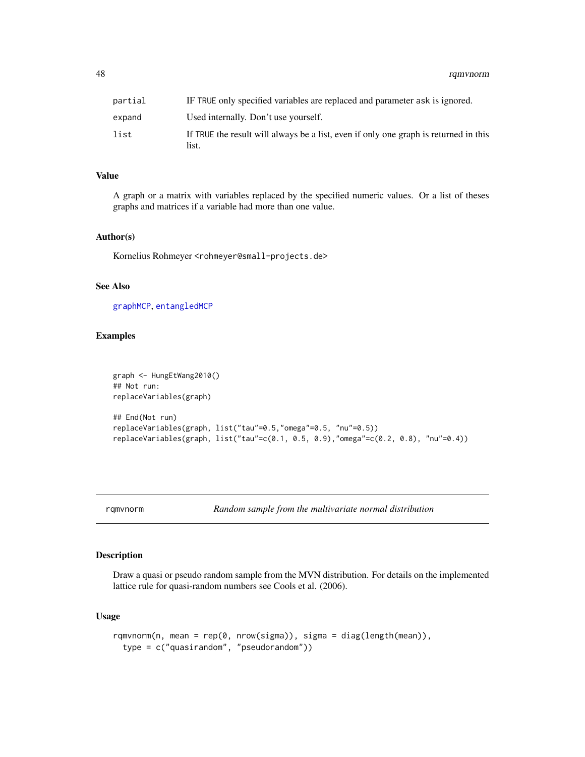<span id="page-47-0"></span>48 rqmvnorm

## Value

A graph or a matrix with variables replaced by the specified numeric values. Or a list of theses graphs and matrices if a variable had more than one value.

#### Author(s)

Kornelius Rohmeyer <rohmeyer@small-projects.de>

## See Also

[graphMCP](#page-35-1), [entangledMCP](#page-11-1)

## Examples

```
graph <- HungEtWang2010()
## Not run:
replaceVariables(graph)
## End(Not run)
replaceVariables(graph, list("tau"=0.5,"omega"=0.5, "nu"=0.5))
replaceVariables(graph, list("tau"=c(0.1, 0.5, 0.9),"omega"=c(0.2, 0.8), "nu"=0.4))
```
rqmvnorm *Random sample from the multivariate normal distribution*

## Description

Draw a quasi or pseudo random sample from the MVN distribution. For details on the implemented lattice rule for quasi-random numbers see Cools et al. (2006).

#### Usage

```
rqmvnorm(n, mean = rep(0, nrow(sigma)), sigma = diag(length(mean)),
  type = c("quasirandom", "pseudorandom"))
```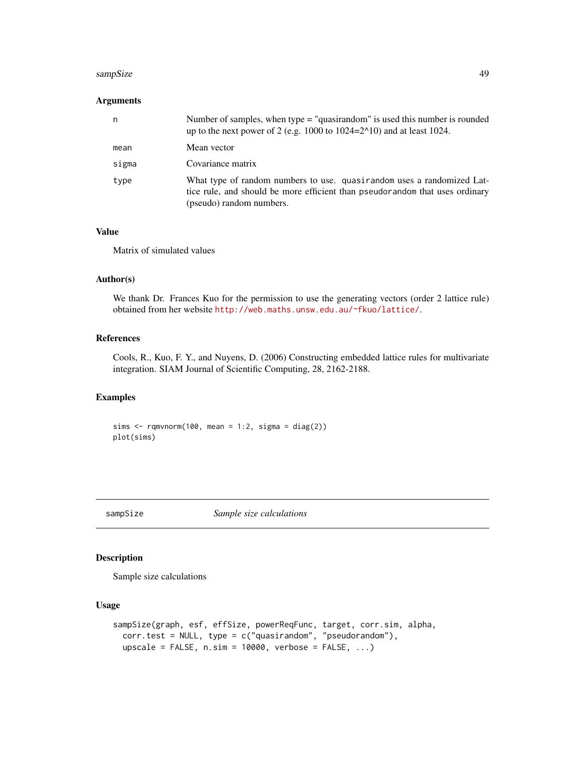#### <span id="page-48-0"></span>sampSize **49**

## Arguments

| n     | Number of samples, when type $=$ "quasirandom" is used this number is rounded<br>up to the next power of 2 (e.g. 1000 to $1024=2^{\text{A}}10$ ) and at least 1024.                |
|-------|------------------------------------------------------------------------------------------------------------------------------------------------------------------------------------|
| mean  | Mean vector                                                                                                                                                                        |
| sigma | Covariance matrix                                                                                                                                                                  |
| type  | What type of random numbers to use. quasirandom uses a randomized Lat-<br>tice rule, and should be more efficient than pseudorandom that uses ordinary<br>(pseudo) random numbers. |

## Value

Matrix of simulated values

## Author(s)

We thank Dr. Frances Kuo for the permission to use the generating vectors (order 2 lattice rule) obtained from her website <http://web.maths.unsw.edu.au/~fkuo/lattice/>.

## References

Cools, R., Kuo, F. Y., and Nuyens, D. (2006) Constructing embedded lattice rules for multivariate integration. SIAM Journal of Scientific Computing, 28, 2162-2188.

## Examples

sims  $\leq$  rqmvnorm(100, mean = 1:2, sigma = diag(2)) plot(sims)

sampSize *Sample size calculations*

## Description

Sample size calculations

#### Usage

```
sampSize(graph, esf, effSize, powerReqFunc, target, corr.sim, alpha,
 corr.test = NULL, type = c("quasirandom", "pseudorandom"),
 upscale = FALSE, n \sin = 10000, verbose = FALSE, ...)
```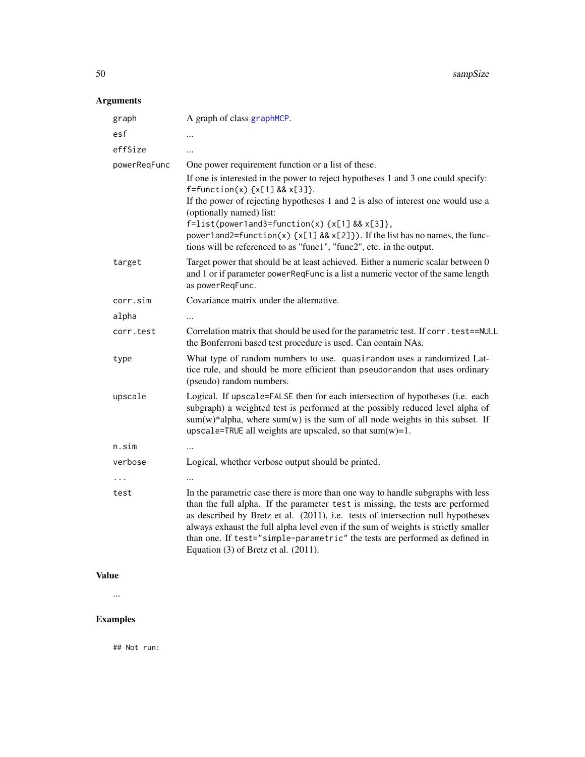## <span id="page-49-0"></span>Arguments

| graph        | A graph of class graphMCP.                                                                                                                                                                                                                                                                                                                                                                                                                                             |
|--------------|------------------------------------------------------------------------------------------------------------------------------------------------------------------------------------------------------------------------------------------------------------------------------------------------------------------------------------------------------------------------------------------------------------------------------------------------------------------------|
| esf          | $\ddotsc$                                                                                                                                                                                                                                                                                                                                                                                                                                                              |
| effSize      | $\ddotsc$                                                                                                                                                                                                                                                                                                                                                                                                                                                              |
| powerReqFunc | One power requirement function or a list of these.                                                                                                                                                                                                                                                                                                                                                                                                                     |
|              | If one is interested in the power to reject hypotheses 1 and 3 one could specify:<br>f=function(x) $\{x[1] 88 x[3]\}.$<br>If the power of rejecting hypotheses 1 and 2 is also of interest one would use a<br>(optionally named) list:<br>$f = list(power1 and 3 = function(x) {x[1] 8& x[3]},$<br>power1and2=function(x) $\{x[1] 88 x[2]\}$ ). If the list has no names, the func-<br>tions will be referenced to as "func1", "func2", etc. in the output.            |
| target       | Target power that should be at least achieved. Either a numeric scalar between 0<br>and 1 or if parameter powerReqFunc is a list a numeric vector of the same length<br>as powerReqFunc.                                                                                                                                                                                                                                                                               |
| corr.sim     | Covariance matrix under the alternative.                                                                                                                                                                                                                                                                                                                                                                                                                               |
| alpha        | $\cdots$                                                                                                                                                                                                                                                                                                                                                                                                                                                               |
| corr.test    | Correlation matrix that should be used for the parametric test. If corr. test==NULL<br>the Bonferroni based test procedure is used. Can contain NAs.                                                                                                                                                                                                                                                                                                                   |
| type         | What type of random numbers to use. quasirandom uses a randomized Lat-<br>tice rule, and should be more efficient than pseudorandom that uses ordinary<br>(pseudo) random numbers.                                                                                                                                                                                                                                                                                     |
| upscale      | Logical. If upscale=FALSE then for each intersection of hypotheses (i.e. each<br>subgraph) a weighted test is performed at the possibly reduced level alpha of<br>$sum(w)*alpha$ , where $sum(w)$ is the sum of all node weights in this subset. If<br>upscale=TRUE all weights are upscaled, so that $sum(w)=1$ .                                                                                                                                                     |
| n.sim        |                                                                                                                                                                                                                                                                                                                                                                                                                                                                        |
| verbose      | Logical, whether verbose output should be printed.                                                                                                                                                                                                                                                                                                                                                                                                                     |
| $\cdots$     |                                                                                                                                                                                                                                                                                                                                                                                                                                                                        |
| test         | In the parametric case there is more than one way to handle subgraphs with less<br>than the full alpha. If the parameter test is missing, the tests are performed<br>as described by Bretz et al. (2011), i.e. tests of intersection null hypotheses<br>always exhaust the full alpha level even if the sum of weights is strictly smaller<br>than one. If test="simple-parametric" the tests are performed as defined in<br>Equation $(3)$ of Bretz et al. $(2011)$ . |

## Value

...

## Examples

## Not run: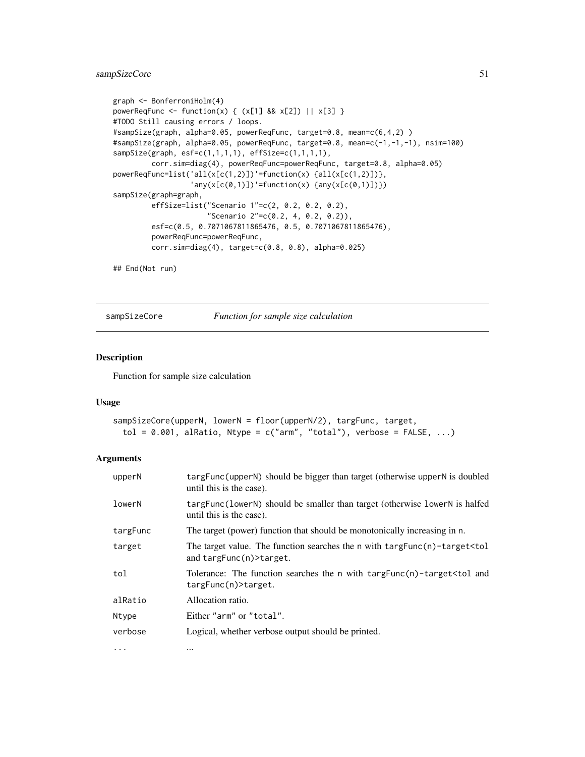## <span id="page-50-0"></span>sampSizeCore 51

```
graph <- BonferroniHolm(4)
powerReqFunc <- function(x) { (x[1] && x[2]) || x[3] }
#TODO Still causing errors / loops.
#sampSize(graph, alpha=0.05, powerReqFunc, target=0.8, mean=c(6,4,2) )
#sampSize(graph, alpha=0.05, powerReqFunc, target=0.8, mean=c(-1,-1,-1), nsim=100)
sampSize(graph, esf=c(1,1,1,1), effSize=c(1,1,1,1),
         corr.sim=diag(4), powerReqFunc=powerReqFunc, target=0.8, alpha=0.05)
powerReqFunc=list('all(x[c(1,2)])'=function(x) {all(x[c(1,2)])},
                  'any(x[c(0,1)])' = function(x) \{any(x[c(0,1)])\})sampSize(graph=graph,
         effSize=list("Scenario 1"=c(2, 0.2, 0.2, 0.2),
                      "Scenario 2"=c(0.2, 4, 0.2, 0.2)),
         esf=c(0.5, 0.7071067811865476, 0.5, 0.7071067811865476),
         powerReqFunc=powerReqFunc,
         corr.sim=diag(4), target=c(0.8, 0.8), alpha=0.025)
```
## End(Not run)

sampSizeCore *Function for sample size calculation*

## Description

Function for sample size calculation

#### Usage

```
sampSizeCore(upperN, lowerN = floor(upperN/2), targFunc, target,
  tol = 0.001, alRatio, Ntype = c("arm", "total"), verbose = FALSE, ...)
```

| upperN   | targFunc(upperN) should be bigger than target (otherwise upperN is doubled<br>until this is the case).                          |
|----------|---------------------------------------------------------------------------------------------------------------------------------|
| lowerN   | targFunc(lowerN) should be smaller than target (otherwise lowerN is halfed<br>until this is the case).                          |
| targFunc | The target (power) function that should be monotonically increasing in n.                                                       |
| target   | The target value. The function searches the n with $targFunc(n) - target < tol$<br>and $targFunc(n)$ > $target$ .               |
| tol      | Tolerance: The function searches the n with $\text{target}\leq \text{target}\leq \text{total}$ and<br>$targFunc(n)$ > $target.$ |
| alRatio  | Allocation ratio.                                                                                                               |
| Ntype    | Either "arm" or "total".                                                                                                        |
| verbose  | Logical, whether verbose output should be printed.                                                                              |
| $\ddots$ |                                                                                                                                 |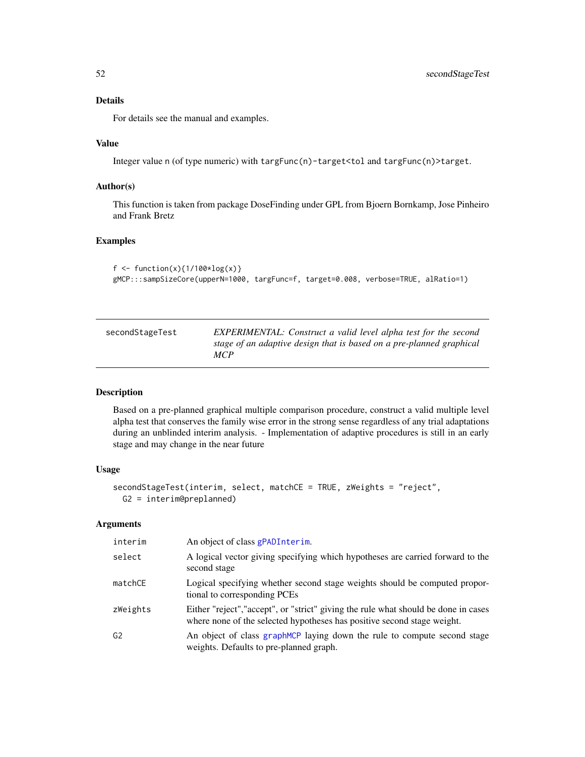<span id="page-51-0"></span>For details see the manual and examples.

#### Value

Integer value n (of type numeric) with targFunc(n)-target<tol and targFunc(n)>target.

## Author(s)

This function is taken from package DoseFinding under GPL from Bjoern Bornkamp, Jose Pinheiro and Frank Bretz

## Examples

```
f <- function(x){1/100*log(x)}
gMCP:::sampSizeCore(upperN=1000, targFunc=f, target=0.008, verbose=TRUE, alRatio=1)
```
<span id="page-51-1"></span>

| secondStageTest | <b>EXPERIMENTAL:</b> Construct a valid level alpha test for the second |
|-----------------|------------------------------------------------------------------------|
|                 | stage of an adaptive design that is based on a pre-planned graphical   |
|                 | <i>MCP</i>                                                             |

## Description

Based on a pre-planned graphical multiple comparison procedure, construct a valid multiple level alpha test that conserves the family wise error in the strong sense regardless of any trial adaptations during an unblinded interim analysis. - Implementation of adaptive procedures is still in an early stage and may change in the near future

#### Usage

```
secondStageTest(interim, select, matchCE = TRUE, zWeights = "reject",
 G2 = interim@preplanned)
```

| interim        | An object of class gPADInterim.                                                                                                                                |
|----------------|----------------------------------------------------------------------------------------------------------------------------------------------------------------|
| select         | A logical vector giving specifying which hypotheses are carried forward to the<br>second stage                                                                 |
| matchCE        | Logical specifying whether second stage weights should be computed propor-<br>tional to corresponding PCEs                                                     |
| zWeights       | Either "reject", "accept", or "strict" giving the rule what should be done in cases<br>where none of the selected hypotheses has positive second stage weight. |
| G <sub>2</sub> | An object of class graphMCP laying down the rule to compute second stage<br>weights. Defaults to pre-planned graph.                                            |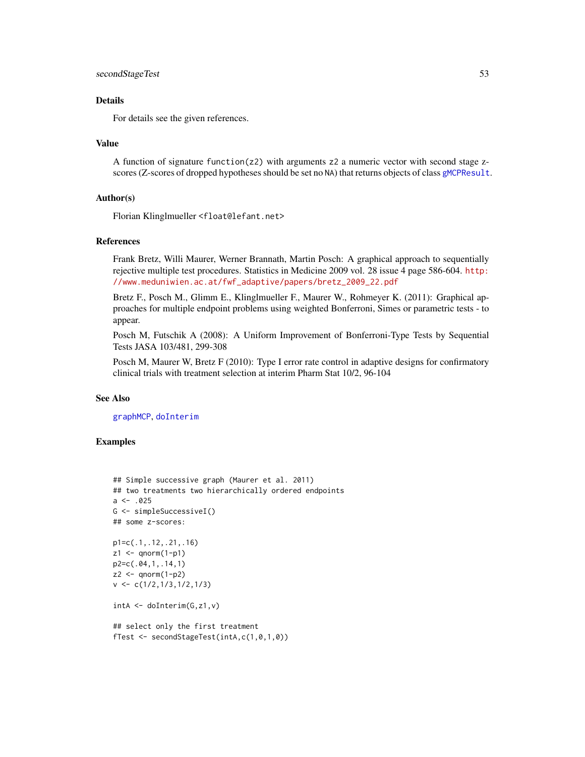## <span id="page-52-0"></span>secondStageTest 53

## Details

For details see the given references.

#### Value

A function of signature function(z2) with arguments z2 a numeric vector with second stage zscores (Z-scores of dropped hypotheses should be set no NA) that returns objects of class [gMCPResult](#page-30-1).

## Author(s)

Florian Klinglmueller <float@lefant.net>

#### References

Frank Bretz, Willi Maurer, Werner Brannath, Martin Posch: A graphical approach to sequentially rejective multiple test procedures. Statistics in Medicine 2009 vol. 28 issue 4 page 586-604. [http:](http://www.meduniwien.ac.at/fwf_adaptive/papers/bretz_2009_22.pdf) [//www.meduniwien.ac.at/fwf\\_adaptive/papers/bretz\\_2009\\_22.pdf](http://www.meduniwien.ac.at/fwf_adaptive/papers/bretz_2009_22.pdf)

Bretz F., Posch M., Glimm E., Klinglmueller F., Maurer W., Rohmeyer K. (2011): Graphical approaches for multiple endpoint problems using weighted Bonferroni, Simes or parametric tests - to appear.

Posch M, Futschik A (2008): A Uniform Improvement of Bonferroni-Type Tests by Sequential Tests JASA 103/481, 299-308

Posch M, Maurer W, Bretz F (2010): Type I error rate control in adaptive designs for confirmatory clinical trials with treatment selection at interim Pharm Stat 10/2, 96-104

#### See Also

[graphMCP](#page-35-1), [doInterim](#page-9-1)

## Examples

```
## Simple successive graph (Maurer et al. 2011)
## two treatments two hierarchically ordered endpoints
a \le -0.025G <- simpleSuccessiveI()
## some z-scores:
```

```
p1=c(.1,.12,.21,.16)
z1 <- qnorm(1-p1)p2=c(.04,1,.14,1)
z^2 <- qnorm(1-p^2)v \leq c(1/2, 1/3, 1/2, 1/3)
```

```
intA \leftarrow doInterim(G, z1, v)
```

```
## select only the first treatment
fTest <- secondStageTest(intA,c(1,0,1,0))
```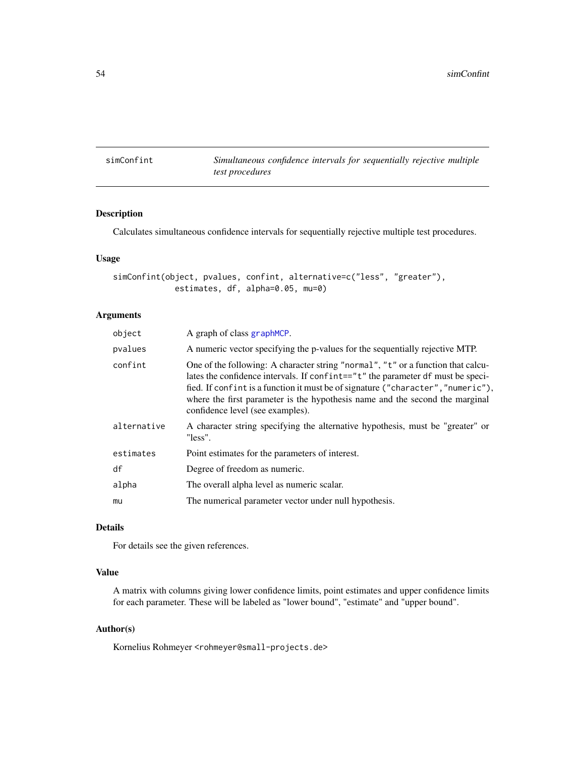<span id="page-53-0"></span>simConfint *Simultaneous confidence intervals for sequentially rejective multiple test procedures*

## Description

Calculates simultaneous confidence intervals for sequentially rejective multiple test procedures.

## Usage

```
simConfint(object, pvalues, confint, alternative=c("less", "greater"),
            estimates, df, alpha=0.05, mu=0)
```
## Arguments

| object      | A graph of class graphMCP.                                                                                                                                                                                                                                                                                                                                                         |
|-------------|------------------------------------------------------------------------------------------------------------------------------------------------------------------------------------------------------------------------------------------------------------------------------------------------------------------------------------------------------------------------------------|
| pvalues     | A numeric vector specifying the p-values for the sequentially rejective MTP.                                                                                                                                                                                                                                                                                                       |
| confint     | One of the following: A character string "normal", "t" or a function that calcu-<br>lates the confidence intervals. If confinit== $\mu$ t" the parameter df must be speci-<br>fied. If confint is a function it must be of signature ("character", "numeric"),<br>where the first parameter is the hypothesis name and the second the marginal<br>confidence level (see examples). |
| alternative | A character string specifying the alternative hypothesis, must be "greater" or<br>"less".                                                                                                                                                                                                                                                                                          |
| estimates   | Point estimates for the parameters of interest.                                                                                                                                                                                                                                                                                                                                    |
| df          | Degree of freedom as numeric.                                                                                                                                                                                                                                                                                                                                                      |
| alpha       | The overall alpha level as numeric scalar.                                                                                                                                                                                                                                                                                                                                         |
| mu          | The numerical parameter vector under null hypothesis.                                                                                                                                                                                                                                                                                                                              |

## Details

For details see the given references.

## Value

A matrix with columns giving lower confidence limits, point estimates and upper confidence limits for each parameter. These will be labeled as "lower bound", "estimate" and "upper bound".

## Author(s)

Kornelius Rohmeyer <rohmeyer@small-projects.de>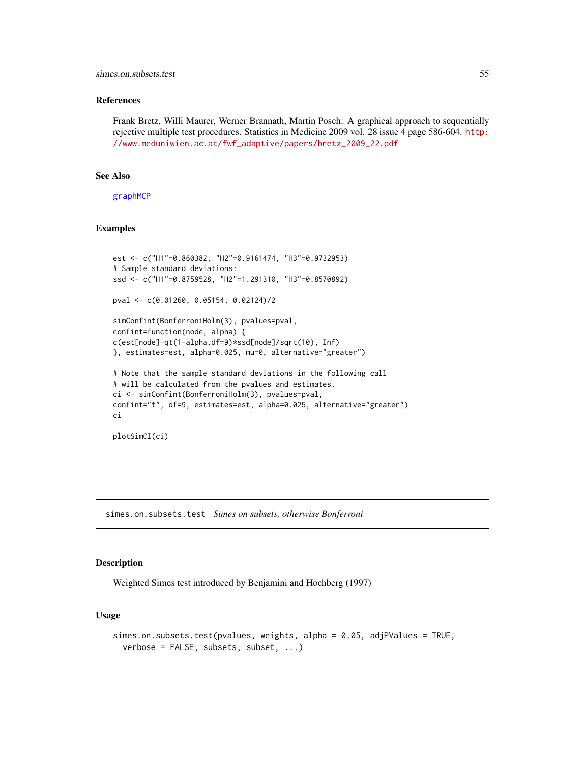#### <span id="page-54-0"></span>References

Frank Bretz, Willi Maurer, Werner Brannath, Martin Posch: A graphical approach to sequentially rejective multiple test procedures. Statistics in Medicine 2009 vol. 28 issue 4 page 586-604. [http:](http://www.meduniwien.ac.at/fwf_adaptive/papers/bretz_2009_22.pdf) [//www.meduniwien.ac.at/fwf\\_adaptive/papers/bretz\\_2009\\_22.pdf](http://www.meduniwien.ac.at/fwf_adaptive/papers/bretz_2009_22.pdf)

## See Also

[graphMCP](#page-35-1)

## Examples

```
est <- c("H1"=0.860382, "H2"=0.9161474, "H3"=0.9732953)
# Sample standard deviations:
ssd <- c("H1"=0.8759528, "H2"=1.291310, "H3"=0.8570892)
pval <- c(0.01260, 0.05154, 0.02124)/2
simConfint(BonferroniHolm(3), pvalues=pval,
confint=function(node, alpha) {
c(est[node]-qt(1-alpha,df=9)*ssd[node]/sqrt(10), Inf)
}, estimates=est, alpha=0.025, mu=0, alternative="greater")
# Note that the sample standard deviations in the following call
# will be calculated from the pvalues and estimates.
ci <- simConfint(BonferroniHolm(3), pvalues=pval,
confint="t", df=9, estimates=est, alpha=0.025, alternative="greater")
ci
plotSimCI(ci)
```
simes.on.subsets.test *Simes on subsets, otherwise Bonferroni*

#### Description

Weighted Simes test introduced by Benjamini and Hochberg (1997)

#### Usage

```
simes.on.subsets.test(pvalues, weights, alpha = 0.05, adjPValues = TRUE,
 verbose = FALSE, subsets, subset, ...)
```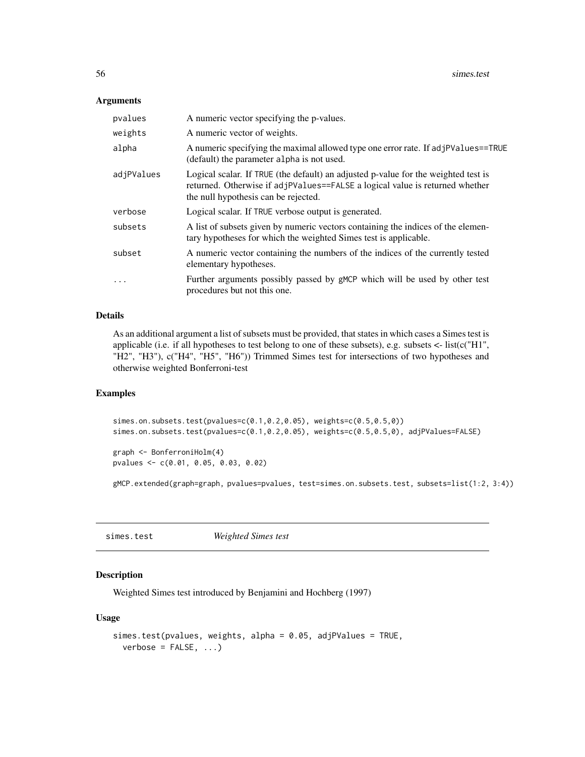#### <span id="page-55-0"></span>**Arguments**

| pvalues    | A numeric vector specifying the p-values.                                                                                                                                                                  |
|------------|------------------------------------------------------------------------------------------------------------------------------------------------------------------------------------------------------------|
| weights    | A numeric vector of weights.                                                                                                                                                                               |
| alpha      | A numeric specifying the maximal allowed type one error rate. If adjPValues==TRUE<br>(default) the parameter alpha is not used.                                                                            |
| adjPValues | Logical scalar. If TRUE (the default) an adjusted p-value for the weighted test is<br>returned. Otherwise if adjPValues==FALSE a logical value is returned whether<br>the null hypothesis can be rejected. |
| verbose    | Logical scalar. If TRUE verbose output is generated.                                                                                                                                                       |
| subsets    | A list of subsets given by numeric vectors containing the indices of the elemen-<br>tary hypotheses for which the weighted Simes test is applicable.                                                       |
| subset     | A numeric vector containing the numbers of the indices of the currently tested<br>elementary hypotheses.                                                                                                   |
| $\ddotsc$  | Further arguments possibly passed by gMCP which will be used by other test<br>procedures but not this one.                                                                                                 |

## Details

As an additional argument a list of subsets must be provided, that states in which cases a Simes test is applicable (i.e. if all hypotheses to test belong to one of these subsets), e.g. subsets  $\lt$ - list( $c("H1",$ "H2", "H3"), c("H4", "H5", "H6")) Trimmed Simes test for intersections of two hypotheses and otherwise weighted Bonferroni-test

## Examples

```
simes.on.subsets.test(pvalues=c(0.1,0.2,0.05), weights=c(0.5,0.5,0))
simes.on.subsets.test(pvalues=c(0.1,0.2,0.05), weights=c(0.5,0.5,0), adjPValues=FALSE)
```

```
graph <- BonferroniHolm(4)
pvalues <- c(0.01, 0.05, 0.03, 0.02)
```
gMCP.extended(graph=graph, pvalues=pvalues, test=simes.on.subsets.test, subsets=list(1:2, 3:4))

simes.test *Weighted Simes test*

#### Description

Weighted Simes test introduced by Benjamini and Hochberg (1997)

#### Usage

```
simes.test(pvalues, weights, alpha = 0.05, adjPValues = TRUE,
 verbose = FALSE, ...)
```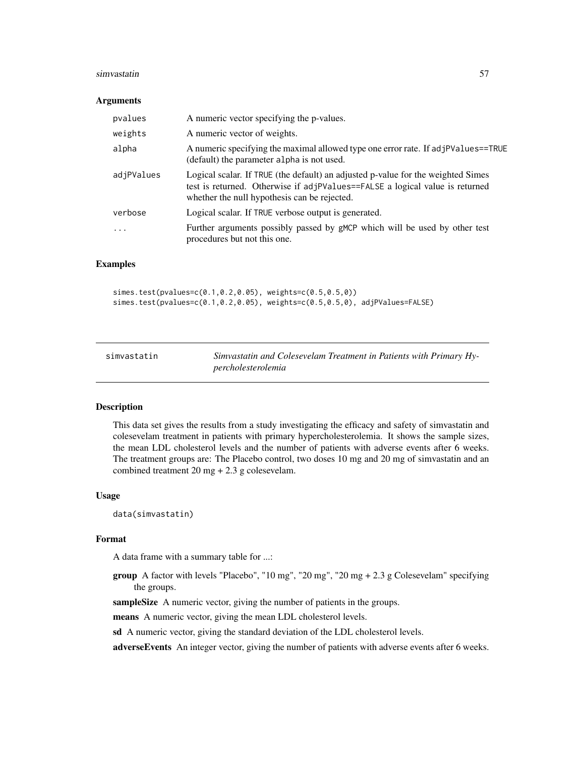#### <span id="page-56-0"></span>simvastatin 57

#### **Arguments**

| pvalues    | A numeric vector specifying the p-values.                                                                                                                                                                        |
|------------|------------------------------------------------------------------------------------------------------------------------------------------------------------------------------------------------------------------|
| weights    | A numeric vector of weights.                                                                                                                                                                                     |
| alpha      | A numeric specifying the maximal allowed type one error rate. If adjPValues==TRUE<br>(default) the parameter alpha is not used.                                                                                  |
| adjPValues | Logical scalar. If TRUE (the default) an adjusted p-value for the weighted Simes<br>test is returned. Otherwise if adjPValues==FALSE a logical value is returned<br>whether the null hypothesis can be rejected. |
| verbose    | Logical scalar. If TRUE verbose output is generated.                                                                                                                                                             |
| .          | Further arguments possibly passed by gMCP which will be used by other test<br>procedures but not this one.                                                                                                       |

#### Examples

```
simes.test(pvalues=c(0.1,0.2,0.05), weights=c(0.5,0.5,0))
simes.test(pvalues=c(0.1,0.2,0.05), weights=c(0.5,0.5,0), adjPValues=FALSE)
```
simvastatin *Simvastatin and Colesevelam Treatment in Patients with Primary Hypercholesterolemia*

## **Description**

This data set gives the results from a study investigating the efficacy and safety of simvastatin and colesevelam treatment in patients with primary hypercholesterolemia. It shows the sample sizes, the mean LDL cholesterol levels and the number of patients with adverse events after 6 weeks. The treatment groups are: The Placebo control, two doses 10 mg and 20 mg of simvastatin and an combined treatment 20 mg + 2.3 g colesevelam.

#### Usage

data(simvastatin)

#### Format

A data frame with a summary table for ...:

**group** A factor with levels "Placebo", "10 mg", "20 mg", "20 mg  $+ 2.3$  g Colesevelam" specifying the groups.

sampleSize A numeric vector, giving the number of patients in the groups.

means A numeric vector, giving the mean LDL cholesterol levels.

sd A numeric vector, giving the standard deviation of the LDL cholesterol levels.

adverseEvents An integer vector, giving the number of patients with adverse events after 6 weeks.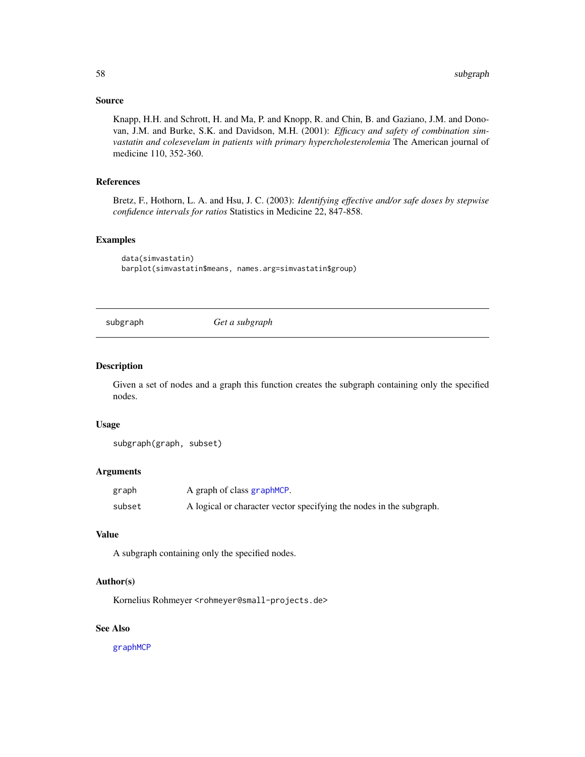## <span id="page-57-0"></span>Source

Knapp, H.H. and Schrott, H. and Ma, P. and Knopp, R. and Chin, B. and Gaziano, J.M. and Donovan, J.M. and Burke, S.K. and Davidson, M.H. (2001): *Efficacy and safety of combination simvastatin and colesevelam in patients with primary hypercholesterolemia* The American journal of medicine 110, 352-360.

## References

Bretz, F., Hothorn, L. A. and Hsu, J. C. (2003): *Identifying effective and/or safe doses by stepwise confidence intervals for ratios* Statistics in Medicine 22, 847-858.

#### Examples

data(simvastatin) barplot(simvastatin\$means, names.arg=simvastatin\$group)

subgraph *Get a subgraph*

#### Description

Given a set of nodes and a graph this function creates the subgraph containing only the specified nodes.

#### Usage

subgraph(graph, subset)

#### Arguments

| graph  | A graph of class graphMCP.                                          |
|--------|---------------------------------------------------------------------|
| subset | A logical or character vector specifying the nodes in the subgraph. |

#### Value

A subgraph containing only the specified nodes.

## Author(s)

Kornelius Rohmeyer <rohmeyer@small-projects.de>

## See Also

[graphMCP](#page-35-1)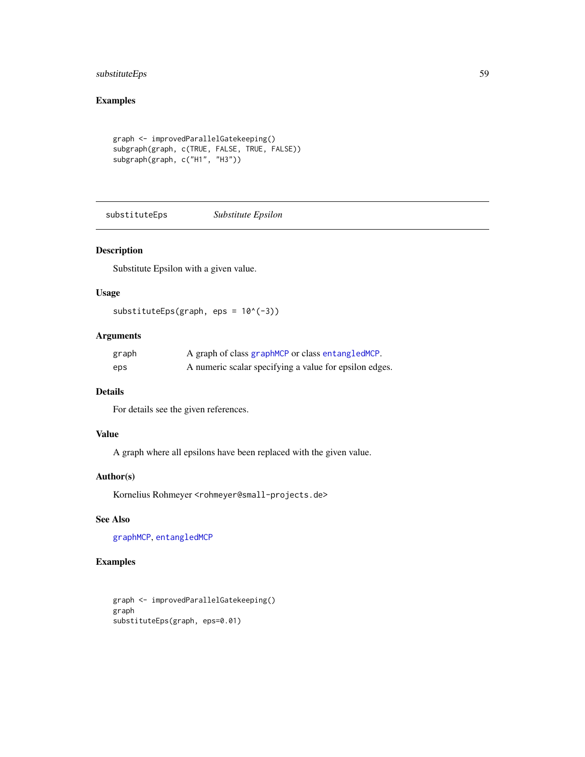## <span id="page-58-0"></span>substituteEps 59

## Examples

```
graph <- improvedParallelGatekeeping()
subgraph(graph, c(TRUE, FALSE, TRUE, FALSE))
subgraph(graph, c("H1", "H3"))
```
substituteEps *Substitute Epsilon*

## Description

Substitute Epsilon with a given value.

#### Usage

```
substituteEps(graph, eps = 10^(-3))
```
## Arguments

| graph | A graph of class graphMCP or class entangledMCP.       |
|-------|--------------------------------------------------------|
| eps   | A numeric scalar specifying a value for epsilon edges. |

## Details

For details see the given references.

## Value

A graph where all epsilons have been replaced with the given value.

## Author(s)

Kornelius Rohmeyer <rohmeyer@small-projects.de>

## See Also

[graphMCP](#page-35-1), [entangledMCP](#page-11-1)

## Examples

graph <- improvedParallelGatekeeping() graph substituteEps(graph, eps=0.01)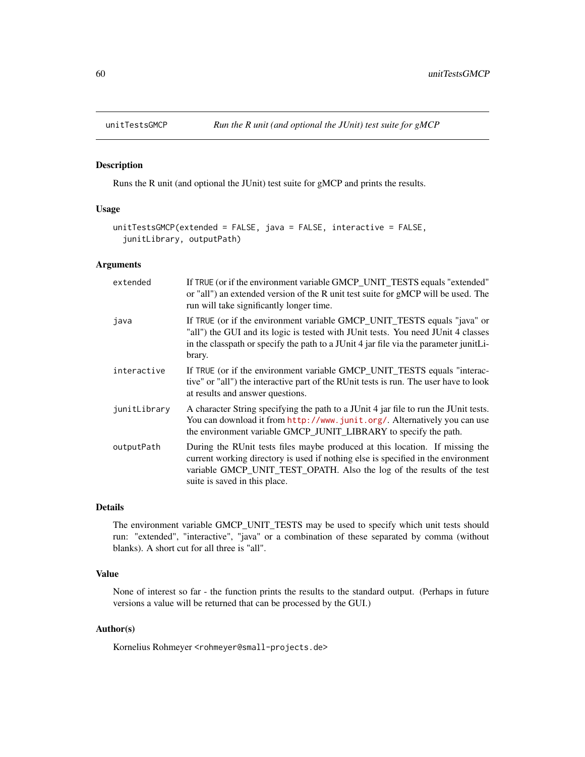<span id="page-59-0"></span>

#### Description

Runs the R unit (and optional the JUnit) test suite for gMCP and prints the results.

## Usage

```
unitTestsGMCP(extended = FALSE, java = FALSE, interactive = FALSE,
  junitLibrary, outputPath)
```
#### Arguments

| extended     | If TRUE (or if the environment variable GMCP_UNIT_TESTS equals "extended"<br>or "all") an extended version of the R unit test suite for gMCP will be used. The<br>run will take significantly longer time.                                                                   |
|--------------|------------------------------------------------------------------------------------------------------------------------------------------------------------------------------------------------------------------------------------------------------------------------------|
| java         | If TRUE (or if the environment variable GMCP_UNIT_TESTS equals "java" or<br>"all") the GUI and its logic is tested with JUnit tests. You need JUnit 4 classes<br>in the classpath or specify the path to a JUnit 4 jar file via the parameter junitLi-<br>brary.             |
| interactive  | If TRUE (or if the environment variable GMCP_UNIT_TESTS equals "interac-<br>tive" or "all") the interactive part of the RUnit tests is run. The user have to look<br>at results and answer questions.                                                                        |
| junitLibrary | A character String specifying the path to a JUnit 4 jar file to run the JUnit tests.<br>You can download it from http://www.junit.org/. Alternatively you can use<br>the environment variable GMCP_JUNIT_LIBRARY to specify the path.                                        |
| outputPath   | During the RUnit tests files maybe produced at this location. If missing the<br>current working directory is used if nothing else is specified in the environment<br>variable GMCP_UNIT_TEST_OPATH. Also the log of the results of the test<br>suite is saved in this place. |

#### Details

The environment variable GMCP\_UNIT\_TESTS may be used to specify which unit tests should run: "extended", "interactive", "java" or a combination of these separated by comma (without blanks). A short cut for all three is "all".

## Value

None of interest so far - the function prints the results to the standard output. (Perhaps in future versions a value will be returned that can be processed by the GUI.)

#### Author(s)

Kornelius Rohmeyer <rohmeyer@small-projects.de>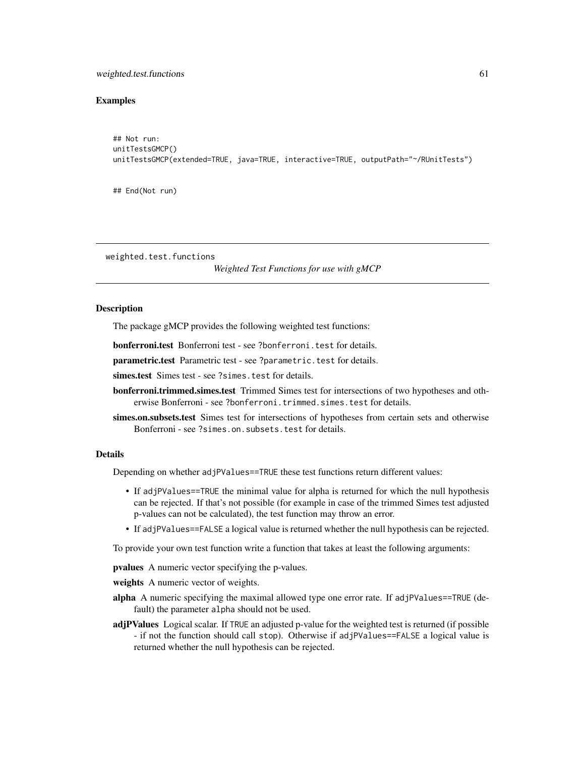#### <span id="page-60-0"></span>weighted.test.functions 61

## Examples

```
## Not run:
unitTestsGMCP()
unitTestsGMCP(extended=TRUE, java=TRUE, interactive=TRUE, outputPath="~/RUnitTests")
```
## End(Not run)

weighted.test.functions

*Weighted Test Functions for use with gMCP*

## Description

The package gMCP provides the following weighted test functions:

bonferroni.test Bonferroni test - see ?bonferroni.test for details.

parametric.test Parametric test - see ?parametric.test for details.

simes.test Simes test - see ?simes.test for details.

- **bonferroni.trimmed.simes.test** Trimmed Simes test for intersections of two hypotheses and otherwise Bonferroni - see ?bonferroni.trimmed.simes.test for details.
- simes.on.subsets.test Simes test for intersections of hypotheses from certain sets and otherwise Bonferroni - see ?simes.on.subsets.test for details.

#### Details

Depending on whether adjPValues==TRUE these test functions return different values:

- If adjPValues==TRUE the minimal value for alpha is returned for which the null hypothesis can be rejected. If that's not possible (for example in case of the trimmed Simes test adjusted p-values can not be calculated), the test function may throw an error.
- If adjPValues==FALSE a logical value is returned whether the null hypothesis can be rejected.

To provide your own test function write a function that takes at least the following arguments:

pvalues A numeric vector specifying the p-values.

weights A numeric vector of weights.

- alpha A numeric specifying the maximal allowed type one error rate. If adjPValues==TRUE (default) the parameter alpha should not be used.
- adjPValues Logical scalar. If TRUE an adjusted p-value for the weighted test is returned (if possible - if not the function should call stop). Otherwise if adjPValues==FALSE a logical value is returned whether the null hypothesis can be rejected.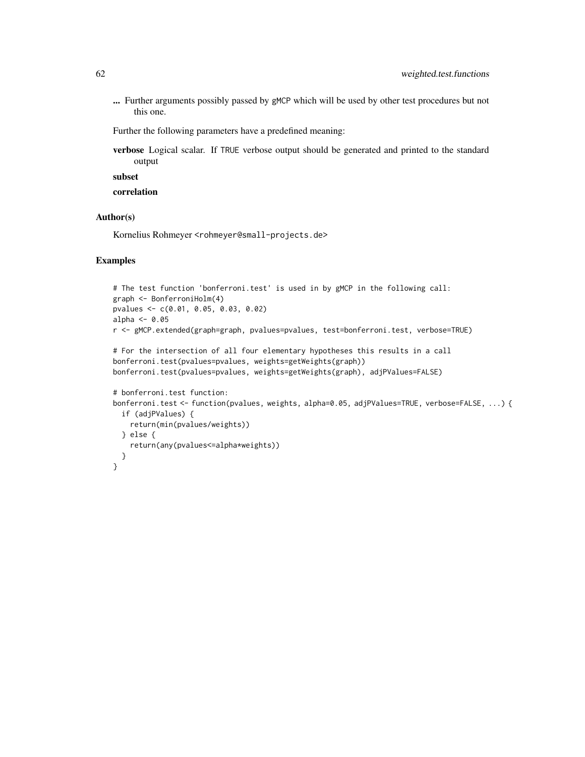... Further arguments possibly passed by gMCP which will be used by other test procedures but not this one.

Further the following parameters have a predefined meaning:

verbose Logical scalar. If TRUE verbose output should be generated and printed to the standard output

subset

correlation

#### Author(s)

Kornelius Rohmeyer <rohmeyer@small-projects.de>

#### Examples

```
# The test function 'bonferroni.test' is used in by gMCP in the following call:
graph <- BonferroniHolm(4)
pvalues <- c(0.01, 0.05, 0.03, 0.02)
alpha <- 0.05
r <- gMCP.extended(graph=graph, pvalues=pvalues, test=bonferroni.test, verbose=TRUE)
# For the intersection of all four elementary hypotheses this results in a call
bonferroni.test(pvalues=pvalues, weights=getWeights(graph))
```

```
bonferroni.test(pvalues=pvalues, weights=getWeights(graph), adjPValues=FALSE)
```

```
# bonferroni.test function:
bonferroni.test <- function(pvalues, weights, alpha=0.05, adjPValues=TRUE, verbose=FALSE, ...) {
 if (adjPValues) {
   return(min(pvalues/weights))
 } else {
   return(any(pvalues<=alpha*weights))
 }
}
```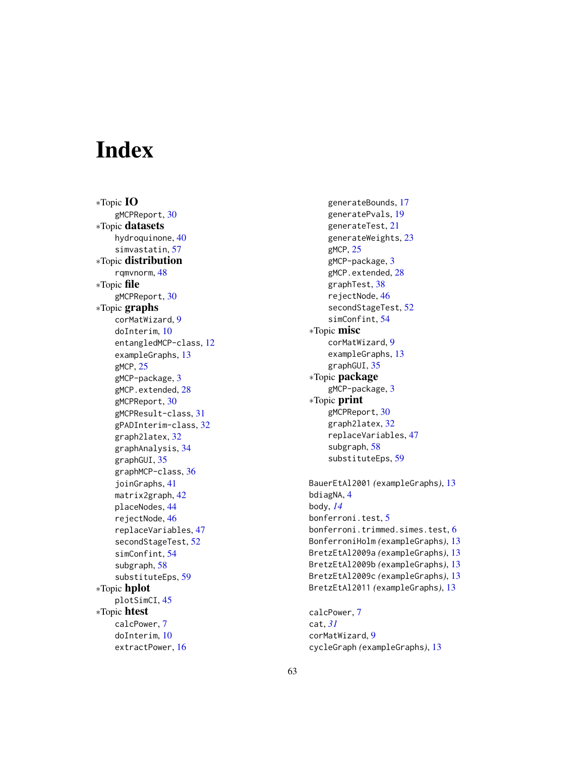# <span id="page-62-0"></span>**Index**

∗Topic IO gMCPReport, [30](#page-29-0) ∗Topic datasets hydroquinone, [40](#page-39-0) simvastatin, [57](#page-56-0) ∗Topic distribution rqmvnorm, [48](#page-47-0) ∗Topic file gMCPReport, [30](#page-29-0) ∗Topic graphs corMatWizard, [9](#page-8-0) doInterim, [10](#page-9-0) entangledMCP-class, [12](#page-11-0) exampleGraphs, [13](#page-12-0) gMCP, [25](#page-24-0) gMCP-package, [3](#page-2-0) gMCP.extended, [28](#page-27-0) gMCPReport, [30](#page-29-0) gMCPResult-class, [31](#page-30-0) gPADInterim-class, [32](#page-31-0) graph2latex, [32](#page-31-0) graphAnalysis, [34](#page-33-0) graphGUI, [35](#page-34-0) graphMCP-class, [36](#page-35-0) joinGraphs, [41](#page-40-0) matrix2graph, [42](#page-41-0) placeNodes, [44](#page-43-0) rejectNode, [46](#page-45-0) replaceVariables, [47](#page-46-0) secondStageTest, [52](#page-51-0) simConfint, [54](#page-53-0) subgraph, [58](#page-57-0) substituteEps, [59](#page-58-0) ∗Topic hplot plotSimCI, [45](#page-44-0) ∗Topic htest calcPower, [7](#page-6-0) doInterim, [10](#page-9-0) extractPower, [16](#page-15-0)

generateBounds, [17](#page-16-0) generatePvals, [19](#page-18-0) generateTest, [21](#page-20-0) generateWeights, [23](#page-22-0) gMCP, [25](#page-24-0) gMCP-package, [3](#page-2-0) gMCP.extended, [28](#page-27-0) graphTest, [38](#page-37-0) rejectNode, [46](#page-45-0) secondStageTest, [52](#page-51-0) simConfint, [54](#page-53-0) ∗Topic misc corMatWizard, [9](#page-8-0) exampleGraphs, [13](#page-12-0) graphGUI, [35](#page-34-0) ∗Topic package gMCP-package, [3](#page-2-0) ∗Topic print gMCPReport, [30](#page-29-0) graph2latex, [32](#page-31-0) replaceVariables, [47](#page-46-0) subgraph, [58](#page-57-0) substituteEps, [59](#page-58-0) BauerEtAl2001 *(*exampleGraphs*)*, [13](#page-12-0) bdiagNA, [4](#page-3-0) body, *[14](#page-13-0)* bonferroni.test, [5](#page-4-0) bonferroni.trimmed.simes.test, [6](#page-5-0) BonferroniHolm *(*exampleGraphs*)*, [13](#page-12-0) BretzEtAl2009a *(*exampleGraphs*)*, [13](#page-12-0) BretzEtAl2009b *(*exampleGraphs*)*, [13](#page-12-0) BretzEtAl2009c *(*exampleGraphs*)*, [13](#page-12-0)

calcPower, [7](#page-6-0) cat, *[31](#page-30-0)* corMatWizard, [9](#page-8-0) cycleGraph *(*exampleGraphs*)*, [13](#page-12-0)

BretzEtAl2011 *(*exampleGraphs*)*, [13](#page-12-0)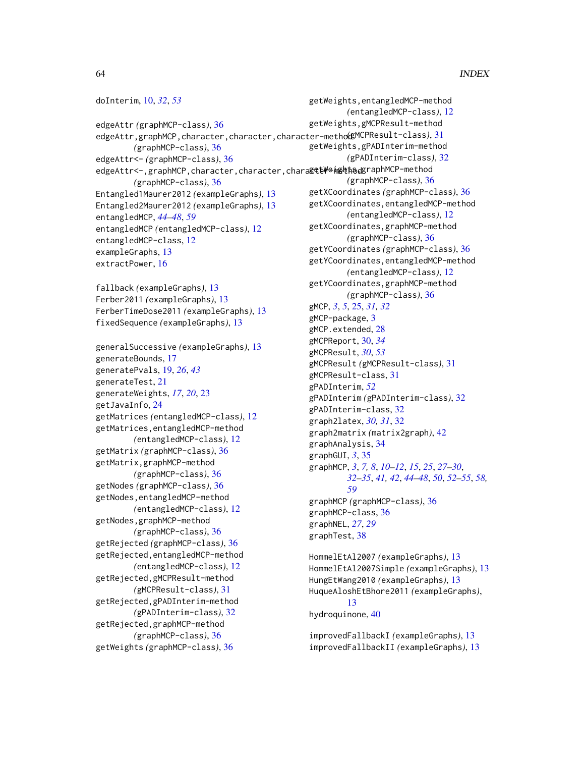```
doInterim, 10, 32, 53
edgeAttr (graphMCP-class), 36
edgeAttr,graphMCP,character,character,character-method
(gMCPResult-class), 31
        (graphMCP-class), 36
edgeAttr<- (graphMCP-class), 36
edgeAttr<-,graphMCP,character,character,chara&te\e#eh&dgraphMCP-method
        (graphMCP-class), 36
Entangled1Maurer2012 (exampleGraphs), 13
Entangled2Maurer2012 (exampleGraphs), 13
entangledMCP, 44–48, 59
entangledMCP (entangledMCP-class), 12
entangledMCP-class, 12
exampleGraphs, 13
extractPower, 16
fallback (exampleGraphs), 13
Ferber2011 (exampleGraphs), 13
FerberTimeDose2011 (exampleGraphs), 13
fixedSequence (exampleGraphs), 13
generalSuccessive (exampleGraphs), 13
generateBounds, 17
generatePvals, 19, 26, 43
generateTest, 21
generateWeights, 17, 20, 23
getJavaInfo, 24
getMatrices (entangledMCP-class), 12
getMatrices,entangledMCP-method
        (entangledMCP-class), 12
getMatrix (graphMCP-class), 36
getMatrix,graphMCP-method
        (graphMCP-class), 36
getNodes (graphMCP-class), 36
getNodes,entangledMCP-method
        (entangledMCP-class), 12
getNodes,graphMCP-method
        (graphMCP-class), 36
getRejected (graphMCP-class), 36
getRejected,entangledMCP-method
        (entangledMCP-class), 12
getRejected,gMCPResult-method
        (gMCPResult-class), 31
getRejected,gPADInterim-method
        (gPADInterim-class), 32
getRejected,graphMCP-method
        (graphMCP-class), 36
getWeights (graphMCP-class), 36
```

```
getWeights,entangledMCP-method
        (entangledMCP-class), 12
getWeights,gMCPResult-method
getWeights,gPADInterim-method
        (gPADInterim-class), 32
        (graphMCP-class), 36
getXCoordinates (graphMCP-class), 36
getXCoordinates,entangledMCP-method
        (entangledMCP-class), 12
getXCoordinates,graphMCP-method
        (graphMCP-class), 36
getYCoordinates (graphMCP-class), 36
getYCoordinates,entangledMCP-method
        (entangledMCP-class), 12
getYCoordinates,graphMCP-method
        (graphMCP-class), 36
gMCP, 3, 5, 25, 31, 32
gMCP-package, 3
gMCP.extended, 28
gMCPReport, 30, 34
gMCPResult, 30, 53
gMCPResult (gMCPResult-class), 31
gMCPResult-class, 31
gPADInterim, 52
gPADInterim (gPADInterim-class), 32
gPADInterim-class, 32
graph2latex, 30, 31, 32
graph2matrix (matrix2graph), 42
graphAnalysis, 34
graphGUI, 3, 35
graphMCP, 3, 7, 8, 10–12, 15, 25, 27–30,
        32–35, 41, 42, 44–48, 50, 52–55, 58,
        59
graphMCP (graphMCP-class), 36
graphMCP-class, 36
graphNEL, 27, 29
graphTest, 38
HommelEtAl2007 (exampleGraphs), 13
HommelEtAl2007Simple (exampleGraphs), 13
HungEtWang2010 (exampleGraphs), 13
HuqueAloshEtBhore2011 (exampleGraphs),
        13
hydroquinone, 40
```

```
improvedFallbackI (exampleGraphs), 13
improvedFallbackII (exampleGraphs), 13
```